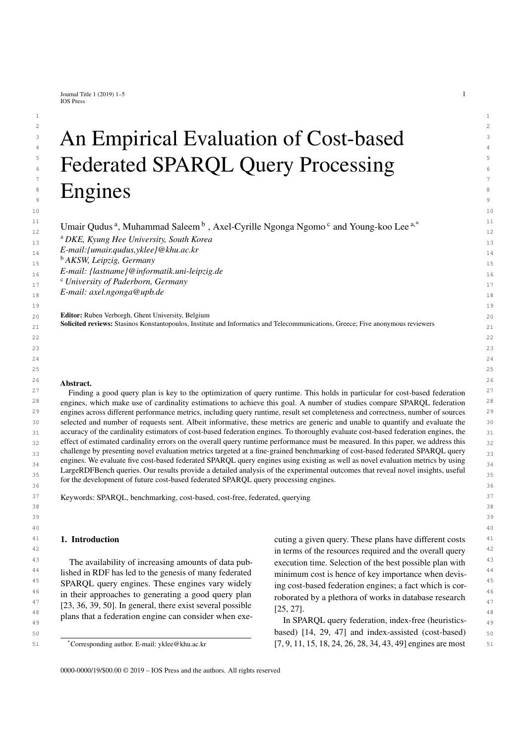Journal Title 1 (2019) 1–5  $1$ IOS Press

# $2\overline{2}$  $3$  An Hmnirical Hyaluation of Cost-hased  $3$ <sup>3</sup> An Empirical Evaluation of Cost-based  $5$   $\overline{1}$   $\overline{1}$   $\overline{1}$   $\overline{1}$   $\overline{1}$   $\overline{1}$   $\overline{1}$   $\overline{1}$   $\overline{1}$   $\overline{1}$   $\overline{1}$   $\overline{1}$   $\overline{1}$   $\overline{1}$   $\overline{1}$   $\overline{1}$   $\overline{1}$   $\overline{1}$   $\overline{1}$   $\overline{1}$   $\overline{1}$   $\overline{1}$   $\overline{1}$   $\overline{1}$  **EXECUTE:** Federated SPARQL Query Processing  $7\,$ **Engines**  $\overline{\mathbf{S}}$   $\overline{\mathbf{S}}$   $\overline{\mathbf{S}}$   $\overline{\mathbf{S}}$   $\overline{\mathbf{S}}$   $\overline{\mathbf{S}}$   $\overline{\mathbf{S}}$   $\overline{\mathbf{S}}$   $\overline{\mathbf{S}}$   $\overline{\mathbf{S}}$   $\overline{\mathbf{S}}$   $\overline{\mathbf{S}}$   $\overline{\mathbf{S}}$   $\overline{\mathbf{S}}$   $\overline{\mathbf{S}}$   $\overline{\mathbf{S}}$   $\overline{\mathbf{S}}$   $\overline{\mathbf{S}}$   $\overline{\$

11 11 <sup>11</sup> Um[a](#page-0-0)ir Qudus<sup>a</sup>, Muhammad Saleem<sup>[b](#page-0-1)</sup>, Axel-Cyrille Ngonga Ngomo<sup>[c](#page-0-2)</sup> and Young-koo Lee  $a^*$  <sup>11</sup>

<span id="page-0-0"></span>13 13 <sup>a</sup> *DKE, Kyung Hee University, South Korea*

14 14 *E-mail:{umair.qudus,yklee}@khu.ac.kr*

<span id="page-0-1"></span>15 15 <sup>b</sup> *AKSW, Leipzig, Germany*

16 16 *E-mail: {lastname}@informatik.uni-leipzig.de*

<span id="page-0-2"></span>17 17 <sup>c</sup> *University of Paderborn, Germany*

18 18 *E-mail: axel.ngonga@upb.de*

 $20 \text{ Z}$  **Editor:** Ruben Verborgh, Ghent University, Belgium  $20 \text{ Z}$  $21$  Solicited reviews: Stasinos Konstantopoulos, Institute and Informatics and Telecommunications, Greece; Five anonymous reviewers  $21$ 

#### $\frac{26}{4 \text{ hours}}$ Abstract.

 $27$  Finding a good query plan is key to the optimization of query runtime. This holds in particular for cost-based federation  $27$ <sup>28</sup> engines, which make use of cardinality estimations to achieve this goal. A number of studies compare SPARQL federation<sup>28</sup> 29 29 engines across different performance metrics, including query runtime, result set completeness and correctness, number of sources 30 30 selected and number of requests sent. Albeit informative, these metrics are generic and unable to quantify and evaluate the 31 31 accuracy of the cardinality estimators of cost-based federation engines. To thoroughly evaluate cost-based federation engines, the <sup>32</sup> effect of estimated cardinality errors on the overall query runtime performance must be measured. In this paper, we address this  $_{33}$  challenge by presenting novel evaluation metrics targeted at a fine-grained benchmarking of cost-based federated SPARQL query  $_{33}$ engines. We evaluate five cost-based federated SPARQL query engines using existing as well as novel evaluation metrics by using  $_{34}$ LargeRDFBench queries. Our results provide a detailed analysis of the experimental outcomes that reveal novel insights, useful  $\frac{35}{35}$ 36  $36$ for the development of future cost-based federated SPARQL query processing engines.

37 37 Keywords: SPARQL, benchmarking, cost-based, cost-free, federated, querying

# 1. Introduction

<sup>43</sup> The availability of increasing amounts of data pub-<br>execution time. Selection of the best possible plan with <sup>43</sup> <sup>44</sup> lished in RDF has led to the genesis of many federated minimum cost is hence of key importance when devis-<sup>45</sup> SPARQL query engines. These engines vary widely ing cost-based federation engines: a fact which is cor-<sup>46</sup> in their approaches to generating a good query plan roborated by a plethora of works in database research  $[23, 36, 39, 50]$  $[23, 36, 39, 50]$  $[23, 36, 39, 50]$  $[23, 36, 39, 50]$  $[23, 36, 39, 50]$  $[23, 36, 39, 50]$  $[23, 36, 39, 50]$ . In general, there exist several possible  $[25, 27]$ <sup>48</sup> plans that a federation engine can consider when exe-<br>In SPAROI query federation index-free (heuristics-The availability of increasing amounts of data pub-

<span id="page-0-3"></span>\*Corresponding author. E-mail: yklee@khu.ac.kr

<sup>41</sup> **1. Introduction 1. Cuting a given query.** These plans have different costs <sup>41</sup> <sup>42</sup> in terms of the resources required and the overall query <sup>42</sup> minimum cost is hence of key importance when devising cost-based federation engines; a fact which is corroborated by a plethora of works in database research [\[25,](#page-23-1) [27\]](#page-23-2).

 $_{49}$   $_{49}$  plans that a redefinition eigene can consider when exe-<br>In SPARQL query federation, index-free (heuristics-50 50 based) [\[14,](#page-23-3) [29,](#page-24-2) [47\]](#page-24-3) and index-assisted (cost-based) 51 51 [\[7,](#page-23-4) [9,](#page-23-5) [11,](#page-23-6) [15,](#page-23-7) [18,](#page-23-8) [24,](#page-23-9) [26,](#page-23-10) [28,](#page-23-11) [34,](#page-24-4) [43,](#page-24-5) [49\]](#page-24-6) engines are most

0000-0000/19/\$00.00 $@$  2019 – IOS Press and the authors. All rights reserved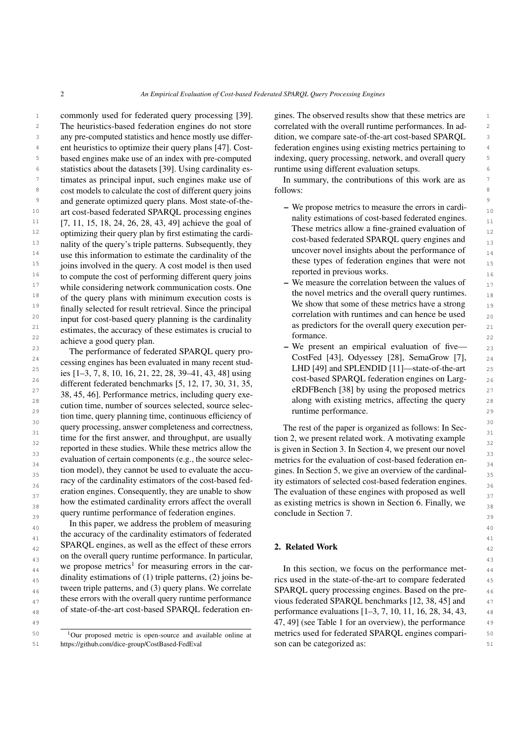1 commonly used for federated query processing [\[39\]](#page-24-1). gines. The observed results show that these metrics are 1 2 The heuristics-based federation engines do not store correlated with the overall runtime performances. In ad-3 any pre-computed statistics and hence mostly use differ-<br>
dition, we compare sate-of-the-art cost-based SPARQL 3 <sup>4</sup> ent heuristics to optimize their query plans [\[47\]](#page-24-3). Cost-federation engines using existing metrics pertaining to <sup>5</sup> based engines make use of an index with pre-computed indexing, query processing, network, and overall query <sup>6</sup> statistics about the datasets [\[39\]](#page-24-1). Using cardinality es- runtime using different evaluation setups. <sup>7</sup> timates as principal input, such engines make use of In summary, the contributions of this work are as <sup>7</sup> 8 8 cost models to calculate the cost of different query joins <sup>9</sup> and generate optimized query plans. Most state-of-the-<br><sup>9</sup> <sup>10</sup> art cost-based federated SPARQL processing engines <sup>- we</sup> propose members to measure the enors in cardi- $11$  [\[7,](#page-23-4) [11,](#page-23-6) [15,](#page-23-7) [18,](#page-23-8) [24,](#page-23-9) [26,](#page-23-10) [28,](#page-23-11) [43,](#page-24-5) [49\]](#page-24-6) achieve the goal of  $11$  have not increased to the goal of  $11$ <sup>12</sup> optimizing their query plan by first estimating the cardi-<br><sup>12</sup><br>and hand federal SPA DOL survey projects and <sup>13</sup> nality of the query's triple patterns. Subsequently, they cost-based redetated STANQL query engines and <sup>13</sup> <sup>14</sup> use this information to estimate the cardinality of the  $\frac{14}{14}$  these times of following engines that were not  $^{15}$  joins involved in the query. A cost model is then used  $^{15}$  and the set types of federation engines that were not <sup>16</sup> to compute the cost of performing different query joins<br>
We measure the completion between the values of <sup>17</sup> while considering network communication costs. One  $\overline{a}$  we measure the correlation between the values of <sup>18</sup> of the query plans with minimum execution costs is the novel metrics and the overall query runnines. <sup>18</sup>  $\frac{19}{12}$  finally selected for result retrieval Since the principal We show that some of these metrics have a strong  $\frac{19}{19}$  $\frac{20}{20}$  in the cost based over the principle in the correlation with runtimes and can hence be used <sup>21</sup> estimates, the accuracy of these estimates is crucial to  $\frac{1}{21}$  as predictors for the overall query execution per-<sup>22</sup> achieve a good query plan. <sup>22</sup> <sup>10</sup> achieve a good query plan. The heuristics-based federation engines do not store any pre-computed statistics and hence mostly use differfinally selected for result retrieval. Since the principal input for cost-based query planning is the cardinality

24 24 CostFed [\[43\]](#page-24-5), Odyessey [\[28\]](#page-23-11), SemaGrow [\[7\]](#page-23-4),  $25$   $\frac{1}{2}$   $\frac{2}{3}$   $\frac{1}{2}$   $\frac{2}{3}$   $\frac{1}{2}$   $\frac{2}{3}$   $\frac{2}{3}$   $\frac{2}{3}$   $\frac{2}{3}$   $\frac{2}{3}$   $\frac{2}{3}$   $\frac{2}{3}$   $\frac{2}{3}$   $\frac{2}{3}$   $\frac{2}{3}$   $\frac{2}{3}$   $\frac{2}{3}$   $\frac{2}{3}$   $\frac{2}{3}$   $\frac{2}{3}$   $\frac{2}{3}$   $\frac{2}{$ 26  $\frac{12.5}{26}$   $\frac{12.5}{26}$   $\frac{12.5}{20}$   $\frac{21.25}{21.25}$   $\frac{26.35}{21.25}$   $\frac{25.35}{21.25}$   $\frac{26.35}{21.25}$   $\frac{25.35}{21.25}$   $\frac{26.35}{21.25}$   $\frac{27.35}{21.25}$   $\frac{28.35}{21.25}$   $\frac{29.35}{21.25}$  $27 \t28 \t45 \t461$  Berformance metrics including  $21 \t28 \t45 \t461$  Berformance metrics including  $21 \t28 \t47 \t28 \t48 \t29 \t21$  $28$  along with existing metrics, affecting the query  $28$  along with existing metrics, affecting the query  $28$  $\frac{29}{2}$  tion time, query planning time, continuous efficiency of  $\frac{29}{2}$ <sup>30</sup> query processing, answer completeness and correctness, The rest of the paper is organized as follows: In Sec- $\frac{31}{100}$  time for the first answer, and throughput, are usually  $\frac{31}{100}$  time  $\frac{31}{100}$  to 2, we present related work. A motivating example  $\frac{32}{22}$  seperted in these studies. While these metrics allow the studies is given in Section 3. In Section 4, we present our novel  $\frac{33}{24}$  evaluation of certain components (e.g., the source selec-<br> $\frac{33}{24}$  evaluation of certain components (e.g., the source selec-<br> $\frac{33}{24}$  $\frac{34}{25}$  tion model), they cannot be used to evaluate the accu-<br> $\frac{34}{25}$  tion model), they cannot be used to evaluate the accu-<br> $\frac{34}{25}$  $\frac{35}{35}$  tion model), they cannot be used to evaluate the accu-<br> $\frac{35}{35}$  gines. In Section [5,](#page-5-0) we give an overview of the cardinal-36 36 ity estimators of selected cost-based federation engines.  $37$  eration engines. Consequently, they are unable to show The evaluation of these engines with proposed as well  $37$ how the estimated cardinality errors affect the overall as existing metrics is shown in Section [6.](#page-8-0) Finally, we query runtime performance of federation engines. conclude in Section 7. The performance of federated SPARQL query processing engines has been evaluated in many recent studies [\[1–](#page-22-0)[3,](#page-22-1) [7,](#page-23-4) [8,](#page-23-12) [10,](#page-23-13) [16,](#page-23-14) [21,](#page-23-15) [22,](#page-23-16) [28,](#page-23-11) [39](#page-24-1)[–41,](#page-24-7) [43,](#page-24-5) [48\]](#page-24-8) using different federated benchmarks [\[5,](#page-22-2) [12,](#page-23-17) [17,](#page-23-18) [30,](#page-24-9) [31,](#page-24-10) [35,](#page-24-11) [38,](#page-24-12) [45,](#page-24-13) [46\]](#page-24-14). Performance metrics, including query execution time, number of sources selected, source selecracy of the cardinality estimators of the cost-based federation engines. Consequently, they are unable to show how the estimated cardinality errors affect the overall

In this paper, we address the problem of measuring  $\frac{40}{40}$ the accuracy of the cardinality estimators of federated  $\frac{41}{41}$  $_{42}$  SPARQL engines, as well as the effect of these errors 2. Related Work <sup>43</sup> 43</sub> 43 <sup>44</sup> we propose metrics<sup>1</sup> for measuring errors in the car-<br>In this section, we focus on the performance met-45 dinality estimations of (1) triple patterns, (2) joins be-<br>rics used in the state-of-the-art to compare federated  $_{46}$  tween triple patterns, and (3) query plans. We correlate SPARQL query processing engines. Based on the pre-47 these errors with the overall query runtime performance vious federated SPARQL benchmarks [\[12,](#page-23-17) [38,](#page-24-12) [45\]](#page-24-13) and  $47$ we propose metrics<sup>[1](#page-1-0)</sup> for measuring errors in the cardinality estimations of (1) triple patterns, (2) joins between triple patterns, and (3) query plans. We correlate these errors with the overall query runtime performance of state-of-the-art cost-based SPARQL federation en-

<span id="page-1-0"></span><sup>1</sup>Our proposed metric is open-source and available online at

gines. The observed results show that these metrics are federation engines using existing metrics pertaining to indexing, query processing, network, and overall query runtime using different evaluation setups.

In summary, the contributions of this work are as follows:

- We propose metrics to measure the errors in cardinality estimations of cost-based federated engines. These metrics allow a fine-grained evaluation of cost-based federated SPARQL query engines and uncover novel insights about the performance of these types of federation engines that were not reported in previous works.
- We measure the correlation between the values of the novel metrics and the overall query runtimes. as predictors for the overall query execution performance.
- $\frac{23}{2}$  and  $\frac{23}{2}$  are  $\frac{23}{2}$  and  $\frac{23}{2}$  and  $\frac{23}{2}$  and  $\frac{23}{2}$  and  $\frac{23}{2}$  and  $\frac{23}{2}$  and  $\frac{23}{2}$  and  $\frac{23}{2}$  and  $\frac{23}{2}$  and  $\frac{23}{2}$  and  $\frac{23}{2}$  and  $\frac{23}{2}$  and  $\frac{23}{2}$  runtime performance.

The rest of the paper is organized as follows: In Section [2,](#page-1-1) we present related work. A motivating example is given in Section [3.](#page-3-0) In Section [4,](#page-3-1) we present our novel metrics for the evaluation of cost-based federation enconclude in Section [7.](#page-20-0)

# <span id="page-1-1"></span>2. Related Work

48 of state-of-the-art cost-based SPARQL federation en-<br>performance evaluations  $[1-3, 7, 10, 11, 16, 28, 34, 43,$  $[1-3, 7, 10, 11, 16, 28, 34, 43,$  $[1-3, 7, 10, 11, 16, 28, 34, 43,$  $[1-3, 7, 10, 11, 16, 28, 34, 43,$  $[1-3, 7, 10, 11, 16, 28, 34, 43,$  $[1-3, 7, 10, 11, 16, 28, 34, 43,$  $[1-3, 7, 10, 11, 16, 28, 34, 43,$  $[1-3, 7, 10, 11, 16, 28, 34, 43,$  $[1-3, 7, 10, 11, 16, 28, 34, 43,$  $[1-3, 7, 10, 11, 16, 28, 34, 43,$  $[1-3, 7, 10, 11, 16, 28, 34, 43,$  $[1-3, 7, 10, 11, 16, 28, 34, 43,$  $[1-3, 7, 10, 11, 16, 28, 34, 43,$  $[1-3, 7, 10, 11, 16, 28, 34, 43,$  $[1-3, 7, 10, 11, 16, 28, 34, 43,$  $[1-3, 7, 10, 11, 16, 28, 34, 43,$ 49 49 49 [47,](#page-24-3) [49\]](#page-24-6) (see Table [1](#page-2-0) for an overview), the performance 49 <sup>50</sup>  $\frac{1}{2}$  Our proposed metric is open-source and available online at metrics used for federated SPARQL engines compari-51 51 https://github.com/dice-group/CostBased-FedEval son can be categorized as: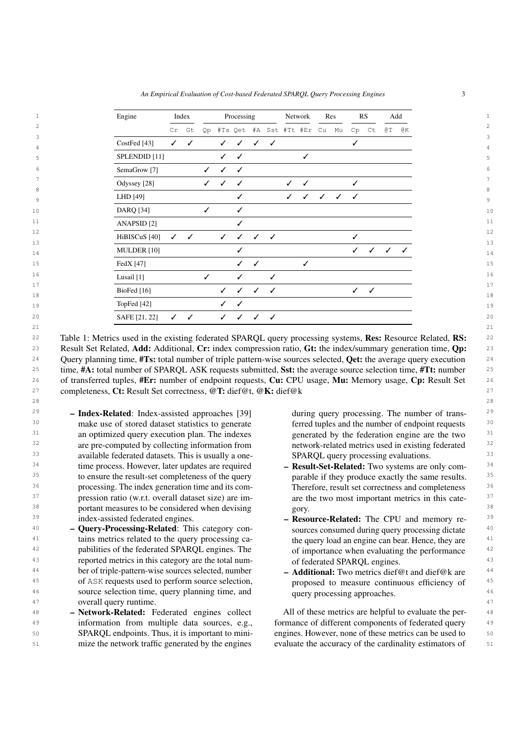*An Empirical Evaluation of Cost-based Federated SPARQL Query Processing Engines* 3

<span id="page-2-0"></span>

| Engine                   |              | Index |    |              | Processing   |              |                        |              | Network      |    | Res |              | RS           |              | Add          |
|--------------------------|--------------|-------|----|--------------|--------------|--------------|------------------------|--------------|--------------|----|-----|--------------|--------------|--------------|--------------|
|                          | Cr           | Gt    | Qp |              |              |              | #Ts Qet #A Sst #Tt #Er |              |              | Cu | Mu  | Cp           | Ct           | ΘT           | @Κ           |
| CostFed [43]             | $\checkmark$ | ✓     |    | $\checkmark$ | $\checkmark$ | ✓            | ✓                      |              |              |    |     | ✓            |              |              |              |
| SPLENDID <sup>[11]</sup> |              |       |    | $\checkmark$ | ✓            |              |                        |              | ✓            |    |     |              |              |              |              |
| SemaGrow <sup>[7]</sup>  |              |       | ✓  | $\checkmark$ | $\checkmark$ |              |                        |              |              |    |     |              |              |              |              |
| Odyssey <sup>[28]</sup>  |              |       | ✓  | $\checkmark$ | $\checkmark$ |              |                        | $\checkmark$ | $\checkmark$ |    |     | ✓            |              |              |              |
| LHD [49]                 |              |       |    |              | ✓            |              |                        | ✓            | ✓            | ✓  | ✓   | $\checkmark$ |              |              |              |
| <b>DARQ</b> [34]         |              |       | ✓  |              | ✓            |              |                        |              |              |    |     |              |              |              |              |
| ANAPSID <sup>[2]</sup>   |              |       |    |              | ✓            |              |                        |              |              |    |     |              |              |              |              |
| HiBISCuS [40]            | $\checkmark$ | ✓     |    | $\checkmark$ | $\checkmark$ | ✓            | $\checkmark$           |              |              |    |     | ✓            |              |              |              |
| MULDER [10]              |              |       |    |              | ✓            |              |                        |              |              |    |     | $\checkmark$ | $\checkmark$ | $\checkmark$ | $\checkmark$ |
| FedX [47]                |              |       |    |              | $\checkmark$ | ✓            |                        |              | ✓            |    |     |              |              |              |              |
| Lusail [1]               |              |       | ✓  |              | ✓            |              | ✓                      |              |              |    |     |              |              |              |              |
| BioFed <sup>[16]</sup>   |              |       |    | $\checkmark$ | ✓            | $\checkmark$ | $\checkmark$           |              |              |    |     | $\checkmark$ | $\checkmark$ |              |              |
| TopFed [42]              |              |       |    | ✓            | ✓            |              |                        |              |              |    |     |              |              |              |              |
| SAFE [21, 22]            | $\checkmark$ | ✓     |    | $\checkmark$ | $\checkmark$ | $\checkmark$ | $\checkmark$           |              |              |    |     |              |              |              |              |

<sup>22</sup> Table 1: Metrics used in the existing federated SPARQL query processing systems, Res: Resource Related, RS: <sup>22</sup> 23 Result Set Related, Add: Additional, Cr: index compression ratio, Gt: the index/summary generation time,  $Qp$ : 23 <sup>24</sup> Query planning time, #Ts: total number of triple pattern-wise sources selected, Qet: the average query execution <sup>24</sup> <sup>25</sup> time, #A: total number of SPARQL ASK requests submitted, Sst: the average source selection time, #Tt: number <sup>26</sup> of transferred tuples, #Er: number of endpoint requests, Cu: CPU usage, Mu: Memory usage, Cp: Result Set <sup>26</sup> 27 27 completeness, Ct: Result Set correctness, @T: dief@t, @K: dief@k

28 28

- $29$  Index-Related: Index-assisted approaches [39] during query processing. The number of trans-<sup>30</sup> make use of stored dataset statistics to generate ferred tuples and the number of endpoint requests <sup>30</sup> <sup>31</sup> an optimized query execution plan. The indexes generated by the federation engine are the two <sup>31</sup> <sup>32</sup> are pre-computed by collecting information from hetwork-related metrics used in existing federated <sup>32</sup> <sup>33</sup> 33 available federated datasets. This is usually a one-<br><sup>33</sup> SPARQL query processing evaluations. <sup>34</sup> time process. However, later updates are required **- Result-Set-Related:** Two systems are only com-<sup>35</sup> to ensure the result-set completeness of the query parable if they produce exactly the same results. <sup>35</sup> <sup>36</sup> processing. The index generation time and its com-<br>Therefore, result set correctness and completeness and  $\frac{36}{100}$ <sup>37</sup> pression ratio (w.r.t. overall dataset size) are im- are the two most important metrics in this cate-<sup>37</sup> <sup>38</sup> 38 **portant measures to be considered when devising gory.** 38 – Index-Related: Index-assisted approaches [\[39\]](#page-24-1) index-assisted federated engines.
- $^{40}$  Query-Processing-Related: This category con-<br>sources consumed during query processing dictate  $^{40}$ <sup>41</sup> tains metrics related to the query processing ca-<br><sup>41</sup> the query load an engine can bear. Hence, they are <sup>42</sup> pabilities of the federated SPARQL engines. The of importance when evaluating the performance <sup>42</sup> <sup>43</sup> **example 10** reported metrics in this category are the total num- of federated SPARQL engines. <sup>44</sup> ber of triple-pattern-wise sources selected, number **- Additional:** Two metrics dief@t and dief@k are <sup>44</sup> <sup>45</sup> of ASK requests used to perform source selection, becomes to measure continuous efficiency of <sup>45</sup> <sup>46</sup> source selection time, query planning time, and query processing approaches. 47 **overall query runtime.** And the set of the set of the set of the set of the set of the set of the set of the set of the set of the set of the set of the set of the set of the set of the set of the set of the set of the
- 48 Network-Related: Federated engines collect All of these metrics are helpful to evaluate the per-<sup>49</sup> information from multiple data sources, e.g., formance of different components of federated query <sup>49</sup> 50 **SPARQL** endpoints. Thus, it is important to mini- engines. However, none of these metrics can be used to 50 51 mize the network traffic generated by the engines evaluate the accuracy of the cardinality estimators of 51 – Network-Related: Federated engines collect information from multiple data sources, e.g., SPARQL endpoints. Thus, it is important to minimize the network traffic generated by the engines

ferred tuples and the number of endpoint requests generated by the federation engine are the two network-related metrics used in existing federated SPARQL query processing evaluations.

- Result-Set-Related: Two systems are only comparable if they produce exactly the same results. Therefore, result set correctness and completeness are the two most important metrics in this category.
- <sup>39</sup> index-assisted federated engines. **Example 20 and set of the CPU** and memory re-<sup>39</sup> sources consumed during query processing dictate the query load an engine can bear. Hence, they are of importance when evaluating the performance of federated SPARQL engines.
	- Additional: Two metrics dief@t and dief@k are proposed to measure continuous efficiency of query processing approaches.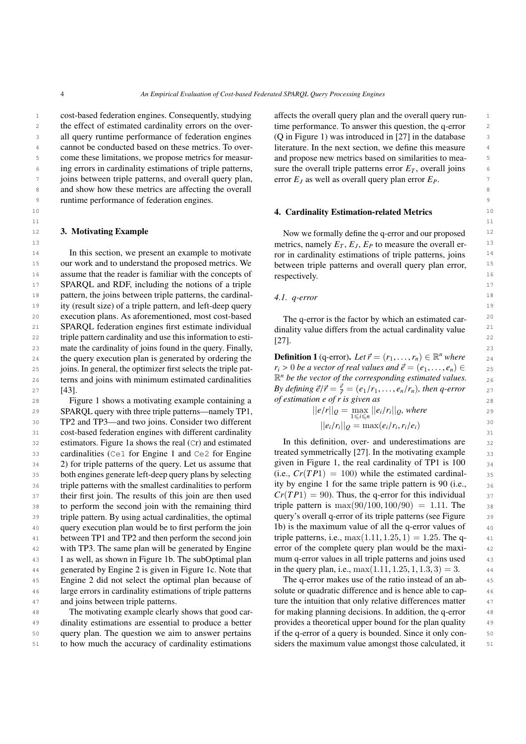$11$  11

1 cost-based federation engines. Consequently, studying affects the overall query plan and the overall query run-2 the effect of estimated cardinality errors on the over-<br>time performance. To answer this question, the q-error 2 3 all query runtime performance of federation engines (Q in Figure 1) was introduced in [27] in the database 3 <sup>4</sup> cannot be conducted based on these metrics. To over-<br>literature. In the next section, we define this measure <sup>5</sup> s come these limitations, we propose metrics for measur- and propose new metrics based on similarities to mea-<sup>6</sup> ing errors in cardinality estimations of triple patterns, sure the overall triple patterns error  $E_T$ , overall joins *z* joins between triple patterns, and overall query plan, error  $E_j$  as well as overall query plan error  $E_p$ . 8 8 and show how these metrics are affecting the overall 9 9 runtime performance of federation engines.

#### <span id="page-3-0"></span>3. Motivating Example

<sup>14</sup> In this section, we present an example to motivate ror in cardinality estimations of triple patterns, joins <sup>14</sup> <sup>15</sup> our work and to understand the proposed metrics. We between triple patterns and overall query plan error. <sup>15</sup> 16 16 assume that the reader is familiar with the concepts of 17 17 SPARQL and RDF, including the notions of a triple 18 18 **pattern, the joins between triple patterns, the cardinal-** 4.1, *a-error* 18 19 19 ity (result size) of a triple pattern, and left-deep query 20 20 20 20 20 execution plans. As aforementioned, most cost-based The q-error is the factor by which an estimated car-21 SPARQL federation engines first estimate individual dinality value differs from the actual cardinality value 22 triple pattern cardinality and use this information to esti- $\begin{bmatrix} 22 \end{bmatrix}$ 23 23 mate the cardinality of joins found in the query. Finally, 24 the query execution plan is generated by ordering the **Definition 1** (q-error). Let  $\vec{r} = (r_1, \ldots, r_n) \in \mathbb{R}^n$  where 24 25 isoms. In general, the optimizer first selects the triple pat-<br> $r_i > 0$  be a vector of real values and  $\vec{e} = (e_1, \dots, e_n) \in$ 26 terns and joins with minimum estimated cardinalities  $\mathbb{R}^n$  be the vector of the corresponding estimated values. 26 In this section, we present an example to motivate [\[43\]](#page-24-5).

28 **28 Figure [1](#page-4-0) shows a motivating example containing a** *of estimation e of r is given as* **28** 28 29 SPARQL query with three triple patterns—namely TP1,  $||e/r||_Q = \max_{\alpha} ||e/r||_Q$ , where 29 30 **TP2 and TP3—and two joins. Consider two different**  $||e_1(r)||_Q = \max(e_1(r, r, \ell e_1))$  30 31 cost-based federation engines with different cardinality and the cost-based federation engines with different cardinality 32 estimators. Figure [1a](#page-4-0) shows the real (Cr) and estimated In this definition, over- and underestimations are  $\frac{32}{2}$ 33 cardinalities (Ce1 for Engine 1 and Ce2 for Engine treated symmetrically [27]. In the motivating example 33  $34$  2) for triple patterns of the query. Let us assume that given in Figure 1, the real cardinality of TP1 is 100  $34$ 35 both engines generate left-deep query plans by selecting  $(i.e., Cr(TP1) = 100)$  while the estimated cardinal-36 triple patterns with the smallest cardinalities to perform ity by engine 1 for the same triple pattern is 90 (i.e., 36 37 their first join. The results of this join are then used  $Cr(TP1) = 90$ . Thus, the q-error for this individual  $\frac{37}{2}$ 38 to perform the second join with the remaining third triple pattern is  $\max(90/100, 100/90) = 1.11$ . The 38 39 triple pattern. By using actual cardinalities, the optimal query's overall q-error of its triple patterns (see Figure 39 40 query execution plan would be to first perform the join [1b\)](#page-4-0) is the maximum value of all the q-error values of 40 41 between TP1 and TP2 and then perform the second join triple patterns, i.e.,  $max(1.11, 1.25, 1) = 1.25$ . The q- 41 <sup>42</sup> with TP3. The same plan will be generated by Engine error of the complete query plan would be the maxi-43 1 as well, as shown in Figure 1b. The subOptimal plan mum q-error values in all triple patterns and joins used 43 44 generated by Engine 2 is given in Figure [1c.](#page-4-0) Note that in the query plan, i.e.,  $max(1.11, 1.25, 1, 1.3, 3) = 3$ . <sup>45</sup> Engine 2 did not select the optimal plan because of The q-error makes use of the ratio instead of an ab-<sup>46</sup> large errors in cardinality estimations of triple patterns solute or quadratic difference and is hence able to cap-<sup>47</sup> and joins between triple patterns. The transformation that only relative differences matter <sup>47</sup> query execution plan would be to first perform the join 1 as well, as shown in Figure [1b.](#page-4-0) The subOptimal plan large errors in cardinality estimations of triple patterns and joins between triple patterns.

49 dinality estimations are essential to produce a better provides a theoretical upper bound for the plan quality 49 50 query plan. The question we aim to answer pertains if the q-error of a query is bounded. Since it only con-51 51 to how much the accuracy of cardinality estimations The motivating example clearly shows that good car-

affects the overall query plan and the overall query runtime performance. To answer this question, the q-error (Q in Figure [1\)](#page-4-0) was introduced in [\[27\]](#page-23-2) in the database literature. In the next section, we define this measure and propose new metrics based on similarities to measure the overall triple patterns error  $E_T$ , overall joins error *E<sup>J</sup>* as well as overall query plan error *EP*.

# 10 10 4. Cardinality Estimation-related Metrics

<sup>12</sup> **3. Motivating Example 12** Now we formally define the q-error and our proposed <sup>12</sup>  $m$  metrics, namely  $E_T$ ,  $E_J$ ,  $E_P$  to measure the overall erbetween triple patterns and overall query plan error, respectively.

<span id="page-3-2"></span><span id="page-3-1"></span>

|  | 4.1. q-error |
|--|--------------|
|--|--------------|

The q-error is the factor by which an estimated cardinality value differs from the actual cardinality value [\[27\]](#page-23-2).

27  $[43]$ .<br> **By defining**  $\vec{e}/\vec{r} = \frac{\vec{e}}{r} = (e_1/r_1, \dots, e_n/r_n)$ , then q-error 27 **Definition 1** (q-error). Let  $\vec{r} = (r_1, \ldots, r_n) \in \mathbb{R}^n$  where  $r_i > 0$  be a vector of real values and  $\vec{a} = (e_i, \ldots, e_n) \in$  $r_i > 0$  *be a vector of real values and*  $\vec{e} = (e_1, \ldots, e_n) \in$  $\mathbb{R}^n$  be the vector of the corresponding estimated values. *of estimation e of r is given as*

$$
||e/r||_Q = \max_{1 \le i \le n} ||e_i/r_i||_Q, \text{ where}
$$
  

$$
||e_i/r_i||_Q = \max(e_i/r_i, r_i/e_i)
$$

In this definition, over- and underestimations are treated symmetrically [\[27\]](#page-23-2). In the motivating example given in Figure [1,](#page-4-0) the real cardinality of TP1 is 100 (i.e.,  $Cr(TP1) = 100$ ) while the estimated cardinality by engine 1 for the same triple pattern is 90 (i.e.,  $Cr(TP1) = 90$ . Thus, the q-error for this individual triple pattern is  $\max(90/100, 100/90) = 1.11$ . The query's overall q-error of its triple patterns (see Figure triple patterns, i.e.,  $max(1.11, 1.25, 1) = 1.25$ . The qerror of the complete query plan would be the maxiin the query plan, i.e.,  $max(1.11, 1.25, 1, 1.3, 3) = 3.$ 

48 The motivating example clearly shows that good car- for making planning decisions. In addition, the q-error 48 The q-error makes use of the ratio instead of an abprovides a theoretical upper bound for the plan quality if the q-error of a query is bounded. Since it only considers the maximum value amongst those calculated, it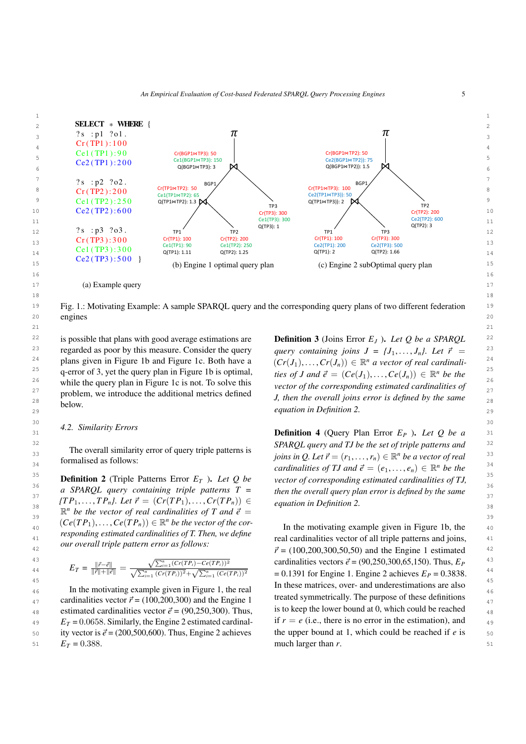<span id="page-4-0"></span>

<sup>19</sup> Fig. 1.: Motivating Example: A sample SPARQL query and the corresponding query plans of two different federation <sup>19</sup> 20 engines 20 engines

 $21$ 

<sup>22</sup> is possible that plans with good average estimations are **Definition 3** (Joins Error  $E_J$ ). Let Q be a SPARQL <sup>22</sup> <sup>23</sup> regarded as poor by this measure. Consider the query *query containing joins*  $J = \{J_1, \ldots, J_n\}$ . Let  $\vec{r} =$ <sup>23</sup> <sup>24</sup> plans given in Figure [1b](#page-4-0) and Figure [1c.](#page-4-0) Both have a  $(Cr(J_1),...,Cr(J_n)) \in \mathbb{R}^n$  a vector of real cardinali-<sup>25</sup> q-error of 3, yet the query plan in Figure [1b](#page-4-0) is optimal,  $\mathcal{L}^{25}$  is  $\mathcal{L}^{25}$  and  $\mathcal{L}^{25} = (Ce(J_1), \ldots, Ce(J_n)) \in \mathbb{R}^n$  be the <sup>26</sup> while the query plan in Figure [1c](#page-4-0) is not. To solve this *vector of the corresponding estimated cardinalities of*  $27$  problem, we introduce the additional metrics defined<br> $I$  then the overall joins error is defined by the same problem, we indoduce the additional metrics defined<br><sup>28</sup> **J**, then the overall joins error is defined by the same is possible that plans with good average estimations are below.

#### $30$   $30$   $30$ *4.2. Similarity Errors*

The overall similarity error of query triple patterns is formalised as follows:

<sup>36</sup> *a SPARQL query containing triple patterns*  $\overline{T}$  *= then the overall query plan error is defined by the same*  ${TP_1, \ldots, TP_n}$ . Let  $\vec{r} = (Cr(TP_1), \ldots, Cr(TP_n)) \in$  equation in Definition 2.<br>  $\mathbb{P}^n$  be the vector of real cardinalities of T and  $\vec{a}$  – equation in Definition 2.  $\mathbb{R}^n$  *be the vector of real cardinalities of T and*  $\vec{e}$  = equation in Definition 2.<br><sup>39</sup>  $(Ce(TP_1) - Ce(TP_2)) \in \mathbb{R}^n$  be the vector of the cor  $(Ce(TP_1), \ldots, Ce(TP_n)) \in \mathbb{R}^n$  *be the vector of the cor*-<br>
In the motivating example given in Figure 1b, the  $\mu_{40}$  (Ce(11),..., Ce(11<sub>n</sub>))  $\mu_{40}$  are vector of the cor-<br>In the motivating example given in Figure [1b,](#page-4-0) the  $\mu_{41}$  real cardinalities vector of all triple patterns and joins,  $\mu_{41}$ *responding estimated cardinalities of T. Then, we define our overall triple pattern error as follows:*

$$
E_T = \frac{\|\vec{r} - \vec{e}\|}{\|\vec{r}\| + \|\vec{e}\|} = \frac{\sqrt{\sum_{i=1}^{n} (Cr(TP_i) - Ce(TP_i))^2}}{\sqrt{\sum_{i=1}^{n} (Cr(TP_i))^2} + \sqrt{\sum_{i=1}^{n} (Ce(TP_i))^2}}
$$

<sup>46</sup> 46 **In the motivating example given in Figure [1,](#page-4-0) the real 46 In these matrices, over-** and underestimations at also  $\frac{47}{42}$  cardinalities vector  $\vec{r} = (100,200,300)$  and the Engine 1 treated symmetrically. The purpose of these definitions  $\frac{47}{47}$ estimated cardinalities vector  $\vec{e} = (90,250,300)$ . Thus,<br>  $F_R = 0.0658$  Similarly the Engine 2 estimated cardinal, if  $r = e$  (i.e., there is no error in the estimation), and  $E_T = 0.0658$ . Similarly, the Engine 2 estimated cardinal-<br> **E**<sup>1</sup>  $\epsilon$  ity vector is  $\vec{a} = (200, 500, 600)$ . Thus Engine 2 achieves the upper bound at 1 which could be reached if e is 50 ity vector is  $\vec{e} = (200,500,600)$ . Thus, Engine 2 achieves the upper bound at 1, which could be reached if *e* is 50<br> $F = -0.388$  $51$   $E_T = 0.388$ .  $51$  much larger than *r*.  $E_T = 0.388$ .

<sup>29</sup> <sup>equation</sup> in Definition 2. *query containing joins*  $J = \{J_1, \ldots, J_n\}$ . Let  $\vec{r}$  $(Cr(J_1),...,Cr(J_n)) \in \mathbb{R}^n$  *a vector of real cardinali-*<br>ting of *J* and  $\vec{a} = (C_0(I_1),...,C_0(I_1)) \in \mathbb{R}^n$  be the *ties of J and*  $\vec{e} = (Ce(J_1), \ldots, Ce(J_n)) \in \mathbb{R}^n$  *be the*<br>*wester of the corresponding estimated earlinglities* of *vector of the corresponding estimated cardinalities of*

 $\sum_{31}$   $\sum_{n=1}^{n}$   $\sum_{n=1}^{n}$   $\sum_{n=1}^{n}$   $\sum_{n=1}^{n}$   $\sum_{n=1}^{n}$   $\sum_{n=1}^{n}$   $\sum_{n=1}^{n}$   $\sum_{n=1}^{n}$   $\sum_{n=1}^{n}$   $\sum_{n=1}^{n}$   $\sum_{n=1}^{n}$   $\sum_{n=1}^{n}$   $\sum_{n=1}^{n}$   $\sum_{n=1}^{n}$   $\sum_{n=1}^{n}$   $\sum_{n=1}^{n}$   $\sum_{$ <sup>32</sup> 32 **The symple imilarity arror of superitively patterns is SPARQL query and TJ be the set of triple patterns and <sup>32</sup>** 33<br>  $j \text{ o } j \text{ on } \mathbb{R}$  *joins in Q. Let*  $\vec{r} = (r_1, \dots, r_n) \in \mathbb{R}^n$  *be a vector of real*<br>  $j \text{ on } \mathbb{R}^n$  formalised as follows: 34 **cardinalities of TJ and**  $\vec{e} = (e_1, \ldots, e_n) \in \mathbb{R}^n$  be the <sup>34</sup><br>35 **Definition 2** (Triple Patterns Frror  $F_{\pi}$ ), Let O be used a compared in a stimulated condinguities of TJ <sup>35</sup> **Definition 2** (Triple Patterns Error *E<sub>T</sub>* ). Let *Q* be vector of corresponding estimated cardinalities of TJ, *vector of corresponding estimated cardinalities of TJ, then the overall query plan error is defined by the same equation in Definition 2.*

<sup>42</sup> <sup>42</sup> <sup>6</sup>  $\vec{r} = (100,200,300,50,50)$  and the Engine 1 estimated <sup>42</sup><br><sup>43</sup> and the Engine 1 estimated <sup>42</sup>  $E_T = \frac{\|\vec{r} - \vec{e}\|}{\|\vec{r}\| + \|\vec{e}\|} = \frac{\sqrt{\sum_{i=1}^{n} (Cr(T_i - C) - C(\vec{r}F_i))^2}}{\sqrt{\sum_{i=1}^{n} (Cr(T_i - C) - C(\vec{r}F_i))^2}}$  cardinalities vectors  $\vec{e} = (90, 250, 300, 65, 150)$ . Thus,  $E_P$  <sup>43</sup>  $E_T = \frac{E_T}{\|\vec{r}\| + \|\vec{e}\|} = \frac{E_T}{\sqrt{\sum_{i=1}^n (Cr(TP_i))^2} + \sqrt{\sum_{i=1}^n (Ce(TP_i))^2}}$  = 0.1391 for Engine 1. Engine 2 achieves  $E_P = 0.3838$ . <sup>45</sup><br>In the motivating example given in Figure 1, the real lines matrices, over- and underestimations are also treated symmetrically. The purpose of these definitions is to keep the lower bound at 0, which could be reached if  $r = e$  (i.e., there is no error in the estimation), and the upper bound at 1, which could be reached if *e* is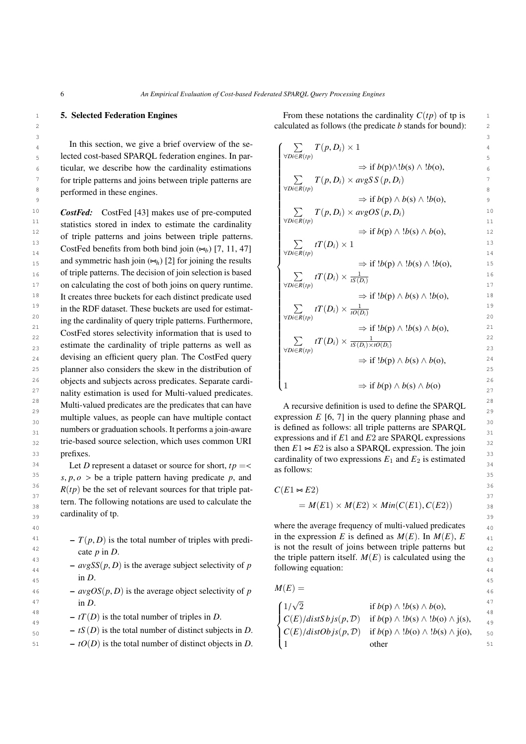#### <span id="page-5-0"></span>5. Selected Federation Engines

 $3 \overline{3}$ 

<sup>10</sup> **CostFed:** CostFed [\[43\]](#page-24-5) makes use of pre-computed  $\sum T(p, D_i) \times avgOS(p, D_i)$ <sup>11</sup> statistics stored in index to estimate the cardinality  $\forall Di \in R(p)$  11 <sup>12</sup> of triple patterns and joins between triple patterns.  $\Rightarrow$  if  $b(p) \land b(s) \land b(0)$ , <sup>12</sup> 13 13 14 **14**  $\text{CostFed benefits from both bind join } (\infty_b) [7, 11, 47]$  $\text{CostFed benefits from both bind join } (\infty_b) [7, 11, 47]$  $\text{CostFed benefits from both bind join } (\infty_b) [7, 11, 47]$  $\text{CostFed benefits from both bind join } (\infty_b) [7, 11, 47]$  $\text{CostFed benefits from both bind join } (\infty_b) [7, 11, 47]$  $\text{CostFed benefits from both bind join } (\infty_b) [7, 11, 47]$   $\forall \text{DieR}(tp)$ 15 and symmetric hash join  $(\infty_h)$  [\[2\]](#page-22-3) for joining the results  $\Rightarrow$  if  $!b(p) \land 1b(s) \land 1b(0)$ , 15 16 of triple patterns. The decision of join selection is based  $16 \sum_{i} r(T(n)) \times 16$ 17 on calculating the cost of both joins on query runtime.  $\forall \overline{DER}(tp)$   $\qquad \qquad$   $\Box C(t)$ <sup>18</sup> It creates three buckets for each distinct predicate used  $\Rightarrow$  if  $!b(p) \wedge b(s) \wedge !b(o)$ , <sup>18</sup> <sup>19</sup> in the RDF dataset. These buckets are used for estimat-<br>  $\sum f(T(D_i) \times \frac{1}{rO(D_i)}$ <sup>20</sup> ing the cardinality of query triple patterns. Furthermore,  $\sqrt{\frac{\nu D E(R(p))}{\nu D C(P)}}$ 21  $\rightarrow$  1  $\rightarrow$  1  $\rightarrow$  21  $\rightarrow$  1  $\rightarrow$  21  $\frac{2}{22}$  CostFed stores selectivity information that is used to  $\frac{2}{\sqrt{2}}$   $\frac{4T(D)}{22}$ estimate the cardinality of triple patterns as well as  $\frac{\sum_{\forall D i \in R(t_n)} u(D_i) \times \overline{tS(D_i) \times tO(D_i)}}{23}$ 24 devising an efficient query plan. The CostFed query  $\Rightarrow$  if  $b(n) \wedge b(s) \wedge b(0)$  24 25 25 planner also considers the skew in the distribution of <sup>26</sup> objects and subjects across predicates. Separate cardiality estimation is used for Multi-valued predicates. 28 28 28 Multi-valued predicates are the predicates that can have  $\alpha$  recursive definition is used to define the SPARQL 29 multiple values, as people can have multiple contact expression  $E$  [6, 7] in the query planning phase and  $\frac{29}{20}$  $\frac{30}{24}$  numbers or graduation schools. It performs a join-aware is defined as follows: all triple patterns are SPARQL  $_{31}$  numbers or graduation schools. It performs a join-aware  $_{15}$  at the state stretch strength same SPARQL  $_{31}$  $32$  trie-based source selection, which uses common URI expressions and if  $E_1$  and  $E_2$  are SPARQL expressions prefixes.

34 Let *D* represent a dataset or source for short,  $tp = \left\{ \begin{array}{c} 34 \\ 24 \end{array} \right\}$  as follows: 35  $s, p, \theta >$  be a triple pattern having predicate *p*, and <sup>35</sup><br><sup>36</sup>  $P(t_n)$  be the set of relaxant severes for that triple pat <sup>36</sup>  $R(tp)$  be the set of relevant sources for that triple pat-  $C(E1 \approx E2)$ <sup>36</sup>  $\frac{37}{2}$  37  $\frac{1}{2}$  37 tern. The following notations are used to calculate the  $M(E1) \times M(E2) \times Min(C(E1), C(E2))$  $3<sub>39</sub>$  calumatry of tp.  $3<sub>39</sub>$ cardinality of tp.

 $T(p, D)$  is the total number of triples with predi-<br><sup>42</sup> is not the result of joins between triple patterns but  $\frac{42}{100}$  is not the result of joins between triple patterns but cate *p* in *D*.

- $-avgSS(p, D)$  is the average subject selectivity of *p* following equation:  $\mathbf{H}$   $\mathbf{D}$ .  $\mathbf{H}$   $\mathbf{D}$ .  $\mathbf{H}$ in *D*.
- $-avgOS(p, D)$  is the average object selectivity of *p*  $M(E) =$ <br> $\frac{1}{2}$ 47 in D  $(1/\sqrt{2})$   $(3/\sqrt{2})$   $(1/\sqrt{2})$   $(3/\sqrt{2})$   $(1/\sqrt{2})$   $(1/\sqrt{2})$   $(1/\sqrt{2})$   $(1/\sqrt{2})$   $(1/\sqrt{2})$   $(1/\sqrt{2})$   $(1/\sqrt{2})$   $(1/\sqrt{2})$   $(1/\sqrt{2})$   $(1/\sqrt{2})$   $(1/\sqrt{2})$   $(1/\sqrt{2})$   $(1/\sqrt{2})$   $(1/\sqrt{2})$   $(1/\sqrt{2})$   $(1/\sqrt{2})$   $(1/\sqrt{2})$   $(1$ in *D*.
- 
- 
- $\begin{array}{ccc} -tO(D) \text{ is the total number of distinct objects in } D. \end{array}$  (1 other 51

1 **5. Selected Federation Engines** From these notations the cardinality  $C(tp)$  of tp is 2 2 calculated as follows (the predicate *b* stands for bound):

In this section, we give a brief overview of the se-  
\n
$$
\begin{array}{ll}\n\text{Let } \mathbf{c} \text{ is the set of } \mathbf{c} \text{ is the set of } \mathbf{c} \text{ is the set of } \mathbf{c} \text{ is the set of } \mathbf{c} \text{ is the set of } \mathbf{c} \text{ is the set of } \mathbf{c} \text{ is the set of } \mathbf{c} \text{ is the set of } \mathbf{c} \text{ is the set of } \mathbf{c} \text{ is the set of } \mathbf{c} \text{ is the set of } \mathbf{c} \text{ is the set of } \mathbf{c} \text{ is the set of } \mathbf{c} \text{ is the set of } \mathbf{c} \text{ is the set of } \mathbf{c} \text{ is the set of } \mathbf{c} \text{ is the set of } \mathbf{c} \text{ is the set of } \mathbf{c} \text{ is the set of } \mathbf{c} \text{ is the set of } \mathbf{c} \text{ is the set of } \mathbf{c} \text{ is the set of } \mathbf{c} \text{ is the set of } \mathbf{c} \text{ is the set of } \mathbf{c} \text{ is the set of } \mathbf{c} \text{ is the set of } \mathbf{c} \text{ is the set of } \mathbf{c} \text{ is the set of } \mathbf{c} \text{ is the set of } \mathbf{c} \text{ is the set of } \mathbf{c} \text{ is the set of } \mathbf{c} \text{ is the set of } \mathbf{c} \text{ is the set of } \mathbf{c} \text{ is the set of } \mathbf{c} \text{ is the set of } \mathbf{c} \text{ is the set of } \mathbf{c} \text{ is the set of } \mathbf{c} \text{ is the set of } \mathbf{c} \text{ is the set of } \mathbf{c} \text{ is the set of } \mathbf{c} \text{ is the set of } \mathbf{c} \text{ is the set of } \mathbf{c} \text{ is the set of } \mathbf{c} \text{ is the set of } \mathbf{c} \text{ is the set of } \mathbf{c} \text{ is the set of } \mathbf{c} \text{ is the set of } \mathbf{c} \text{ is the set of } \mathbf{c} \text{ is the set of } \mathbf{c} \text{ is the set of } \mathbf{c} \text{ is the set of } \mathbf{c} \text{ is the set of } \math
$$

33 prefixes.<br>  $\frac{33}{24}$  **Example 2.1** cardinality of two expressions  $E_1$  and  $E_2$  is estimated A recursive definition is used to define the SPARQL expression  $E$  [\[6,](#page-22-4) [7\]](#page-23-4) in the query planning phase and expressions and if *E*1 and *E*2 are SPARQL expressions then  $E1 \approx E2$  is also a SPARQL expression. The join as follows:

$$
C(E1 \bowtie E2)
$$
  
=  $M(E1) \times M(E2) \times Min(C(E1), C(E2))$ 

40 **40** where the average frequency of multi-valued predicates  $\frac{40}{40}$  $\frac{1}{43}$  the triple pattern itself.  $M(E)$  is calculated using the in the expression *E* is defined as  $M(E)$ . In  $M(E)$ , *E* following equation:

 $M(E) =$ 

$$
\begin{array}{ll}\n\text{in } D. \\
\text{in } D.\n\end{array}\n\quad\n\begin{array}{ll}\n\text{in } D. \\
\text{in } D.\n\end{array}\n\quad\n\begin{array}{ll}\n\text{in } D. \\
\text{in } D.\n\end{array}\n\quad\n\begin{array}{ll}\n\text{in } D. \\
\text{in } D.\n\end{array}\n\quad\n\begin{array}{ll}\n\text{in } D. \\
\text{in } D.\n\end{array}\n\quad\n\begin{array}{ll}\n\text{in } D. \\
\text{in } D.\n\end{array}\n\quad\n\begin{array}{ll}\n\text{in } D. \\
\text{in } D.\n\end{array}\n\quad\n\begin{array}{ll}\n\text{in } D. \\
\text{in } D.\n\end{array}\n\quad\n\begin{array}{ll}\n\text{in } D. \\
\text{in } D.\n\end{array}\n\quad\n\begin{array}{ll}\n\text{in } D. \\
\text{in } D.\n\end{array}\n\quad\n\begin{array}{ll}\n\text{in } D. \\
\text{in } D.\n\end{array}\n\quad\n\begin{array}{ll}\n\text{in } D. \\
\text{in } D.\n\end{array}\n\quad\n\begin{array}{ll}\n\text{in } D. \\
\text{in } D.\n\end{array}\n\quad\n\begin{array}{ll}\n\text{in } D. \\
\text{in } D.\n\quad\n\begin{array}{ll}\n\text{in } D \land \text{ is the total number of distinct subjects in } D.\n\end{array}\n\quad\n\begin{array}{ll}\n\text{in } D. \\
\text{in } D.\n\end{array}\n\quad\n\begin{array}{ll}\n\text{in } D \land \text{ is the total number of distinct objects in } D.\n\end{array}\n\quad\n\begin{array}{ll}\n\text{in } D. \\
\text{in } D.\n\end{array}\n\quad\n\begin{array}{ll}\n\text{in } D \land \text{ is the total number of distinct objects in } D.\n\end{array}
$$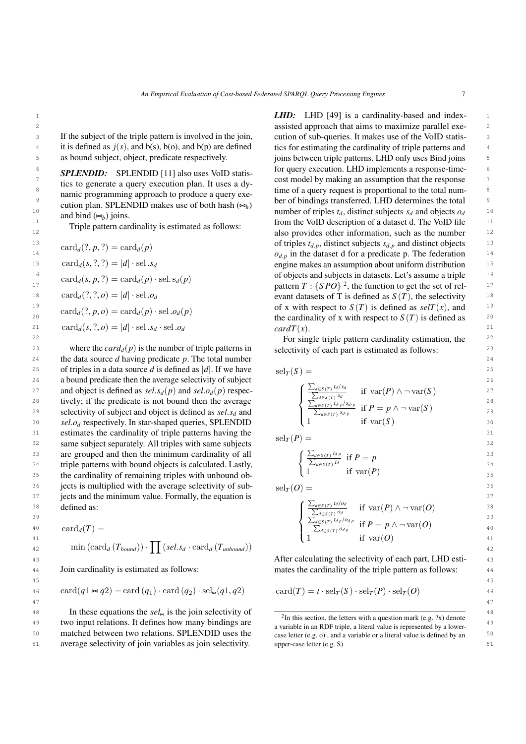If the subject of the triple pattern is involved in the join, as bound subject, object, predicate respectively.

*SPLENDID:* SPLENDID [\[11\]](#page-23-6) also uses VoID statistics to generate a query execution plan. It uses a dynamic programming approach to produce a query execution plan. SPLENDID makes use of both hash  $(\Join_h)$ and bind  $(\Join_b)$  joins.

Triple pattern cardinality is estimated as follows:

$$
card_d(?, p, ?) = card_d(p)
$$
  
\n
$$
card_d(s, ?, ?) = |d| \cdot sel \cdot sd
$$
  
\n
$$
card_d(s, p, ?) = card_d(p) \cdot sel \cdot sd(p)
$$
  
\n
$$
card_d(?, ?, o) = |d| \cdot sel \cdot o_d
$$
  
\n
$$
card_d(?, p, o) = card_d(p) \cdot sel \cdot o_d(p)
$$
  
\n
$$
card_d(s, ?, o) = |d| \cdot sel \cdot sd \cdot sel \cdot o_d
$$

24 24 the data source *d* having predicate *p*. The total number 25 of triples in a data source *d* is defined as  $|d|$ . If we have  $\text{sel}_{T}(S) =$  25 26 26 26 a bound predicate then the average selectivity of subject 26 27 and object is defined as  $sel.s_d(p)$  and  $sel.o_d(p)$  respec-<br>28 tively: if the predicate is not bound then the average  $2^{2d \in S(T)} \left( \frac{\sum_{d \in S(T)} id / 3d}{\sum_{d \in S(T)} sd} \right)$  if  $var(P) \wedge \neg var(S)$ 28 tively; if the predicate is not bound then the average  $\int \frac{\sum_{d \in S(t)} u}{\sum_{d \in S(t)} u_d s} s_{d,p}$ z<sup>9</sup> selectivity of subject and object is defined as *sel.s<sub>d</sub>* and  $\sum_{d \in S(T)} \sum_{d \in S(T)} f_{d,p}$  if  $Y = p \land \neg \text{Var}(S)$ 30 *sel.o<sub>d</sub>* respectively. In star-shaped queries, SPLENDID  $\qquad \qquad$  1 if var(S) 30 31 estimates the cardinality of triple patterns having the  $\frac{1}{2}$  ( $P_1$ )  $\frac{1}{2}$  $32$  same subject separately. All triples with same subjects  $32$ 33 are grouped and then the minimum cardinality of all  $\left( \frac{\sum_{d \in S(T)} t_{dp}}{\sum_{d \in S(T)} t_{dp}} \right)$  if  $p = n$ <sup>34</sup> triple patterns with bound objects is calculated. Lastly,  $\left\{\begin{array}{cc} \frac{2}{4} & \frac{2}{\sqrt{5}} \\ 1 & \frac{2}{\sqrt{5}} \end{array}\right\}$ 35 the cardinality of remaining triples with unbound ob-  $(1 - \ln \text{val}(r))$  35 <sup>36</sup> jects is multiplied with the average selectivity of sub-<br> $sl_{\mathcal{F}}(O) =$ <sup>36</sup>  $37$  jects and the minimum value. Formally, the equation is  $37$ 38 defined as:  $\left( \frac{\angle d \in S(T)^{a} d^{b} q}{\angle d \in S(T)^{a} d^{c}} \right)$  if  $\text{var}(P) \wedge \neg \text{var}(Q)$ defined as:

$$
card_{d}(T) = \n\begin{cases}\n\frac{1}{\sum_{d \in S(T)} d_{dp}} & \text{if } P = p \land \neg \text{var}(O) \\
1 & \text{if } \text{var}(O)\n\end{cases}\n\quad\n\begin{cases}\n\frac{1}{\sum_{d \in S(T)} d_{dp}} & \text{if } P = p \land \neg \text{var}(O) \\
1 & \text{if } \text{var}(O)\n\end{cases}\n\quad\n\begin{cases}\n1 & \text{if } P = p \land \neg \text{var}(O) \\
1 & \text{if } \text{var}(O)\n\end{cases}\n\quad\n\begin{cases}\n1 & \text{if } \text{var}(O) \\
1 & \text{if } \text{var}(O)\n\end{cases}
$$

Join cardinality is estimated as follows:

$$
ext{card}(q1 \bowtie q2) = \text{card}(q_1) \cdot \text{card}(q_2) \cdot \text{sel}_{\bowtie}(q1, q2) \qquad \text{card}(T) = t \cdot \text{sel}_T(S) \cdot \text{sel}_T(P) \cdot \text{sel}_T(O) \tag{46}
$$

48 In these equations the *sel*.<sup>48</sup> is the join selectivity of  $\frac{1}{2}$  in this section, the letters with a question mark (e.g. ?x) denote  $\frac{49}{49}$  two input relations. It defines how many bindings are  $\frac{1}{49}$  a variable in a DDE triple a literal value is represented by a lower. 50 50 matched between two relations. SPLENDID uses the 51 51 average selectivity of join variables as join selectivity.

1 1 *LHD:* LHD [\[49\]](#page-24-6) is a cardinality-based and index-2 2 assisted approach that aims to maximize parallel exe-3 If the subject of the triple pattern is involved in the join, cution of sub-queries. It makes use of the VoID statis-<sup>4</sup> it is defined as  $j(s)$ , and  $b(s)$ ,  $b(o)$ , and  $b(p)$  are defined tics for estimating the cardinality of triple patterns and <sup>4</sup> <sup>5</sup> as bound subject, object, predicate respectively. joins between triple patterns. LHD only uses Bind joins <sup>5</sup>  $\epsilon$  **cor**  $\epsilon$   $\epsilon$  for  $\epsilon$   $\epsilon$  for  $\epsilon$   $\epsilon$  for query execution. LHD implements a response-time- $\frac{7}{1}$  ties to generate a curry execution plan. It uses a dy cost model by making an assumption that the response ties to generate a query execution plan. It uses a dy  $\frac{8}{100}$  become a query request is proportional to the total num-<br>numic programming approach to produce a query  $\alpha$  time of a query request is proportional to the total num-9 9 ber of bindings transferred. LHD determines the total 10 and bind  $(s_d)$  ioins and bind  $(s_d)$  ioins  $\frac{11}{11}$  Triple pattern cardinality is estimated as follows: from the VoID description of a dataset d. The VoID file  $\frac{11}{11}$ 12 12 also provides other information, such as the number  $\text{card}_d(?, p, ?) = \text{card}_d(p)$  of triples  $t_{d,p}$ , distinct subjects  $s_{d,p}$  and distinct objects  $\text{ind}_d(?, p, ?) = \text{card}_d(p)$ 14  $o_{d,p}$  in the dataset d for a predicate p. The federation 14<br>
15  $\cos^2(1 - |d| \cdot \sin^2 x)$  and  $\sin^2 x = 15$  and  $\sin^2 x = 15$  $\text{card}_d(s, ', ') = |d| \cdot \text{sel} \cdot s_d$  engine makes an assumption about uniform distribution  $\text{red}(s, ', ') = |d| \cdot \text{sel} \cdot s_d$ <sup>16</sup>  $\qquad \qquad$  of objects and subjects in datasets. Let's assume a triple <sup>16</sup>  $\lim_{n \to \infty} \frac{\tan \alpha_a(s, p, \cdot)}{s} = \tan \alpha_a(p)$  below  $\lim_{n \to \infty} \frac{p}{n}$  pattern  $T : \{SPO\}^2$  $T : \{SPO\}^2$ , the function to get the set of rel-<sup>18</sup>  $\text{card}_d(Y, Y, o) = |d| \cdot \text{sel.} o_d$  evant datasets of T is defined as  $S(T)$ , the selectivity <sup>18</sup> <sup>19</sup>  $\operatorname{card}(f, p, q) = \operatorname{card}(p) \cdot \operatorname{sel}(q, q)$  of x with respect to  $S(T)$  is defined as  $\operatorname{selT}(x)$ , and 20 20 the cardinality of x with respect to *S* (*T*) is defined as  $\text{card}_d(s, ', o) = |d| \cdot \text{sel}.s_d \cdot \text{sel}.o_d$   $\text{card}T(r)$  21 tics for estimating the cardinality of triple patterns and  $cardT(x)$ .

22 22 For single triple pattern cardinality estimation, the <sup>23</sup> where the *card<sub>d</sub>*( $p$ ) is the number of triple patterns in selectivity of each part is estimated as follows: selectivity of each part is estimated as follows:

$$
\mathrm{sel}_{T}(S) = \left\{ \begin{array}{ll} \sum_{d \in S(T)} t_{d} / s_{d} & \text{if } \mathrm{var}(P) \land \neg \mathrm{var}(S) \\ \frac{\sum_{d \in S(T)} t_{d} / s_{d}}{\sum_{d \in S(T)} t_{d} \cdot p / s_{d} \cdot p} & \text{if } P = p \land \neg \mathrm{var}(S) \\ 1 & \text{if } \mathrm{var}(S) \end{array} \right.
$$

 $self(P) =$ 

$$
\begin{cases} \frac{\sum_{d \in S(T)} t_{d,p}}{\sum_{d \in S(T)} t_d} & \text{if } P = p \\ 1 & \text{if } \text{var}(P) \end{cases}
$$

 $\text{sel}_T(O) =$ 

45 45

47 47

38 defined as:  
\n
$$
\begin{cases}\n\frac{\sum_{d \in S(T)} t_d / o_d}{\sum_{d \in S(T)} o_d} & \text{if } \operatorname{var}(P) \wedge \neg \operatorname{var}(Q) \\
\frac{\sum_{d \in S(T)} t_d / o_d}{\sum_{d \in S(T)} t_d} & \text{if } P = p \wedge \neg \operatorname{var}(Q)\n\end{cases}
$$

$$
\begin{cases} \frac{\angle_{d \in S(T)} a_{p} \cap a_{p}}{\sum_{d \in S(T)} a_{d,p}} & \text{if } P = p \land \neg \text{var}(O) \\ 1 & \text{if } \text{var}(O) \end{cases}
$$

43 43 After calculating the selectivity of each part, LHD esti-44 **Join cardinality is estimated as follows:** mates the cardinality of the triple pattern as follows: 44

$$
card(T) = t \cdot sel_T(S) \cdot sel_T(P) \cdot sel_T(O)
$$

<span id="page-6-0"></span> $2$ In this section, the letters with a question mark (e.g.  $2x$ ) denote a variable in an RDF triple, a literal value is represented by a lowercase letter (e.g. o) , and a variable or a literal value is defined by an upper-case letter (e.g. S)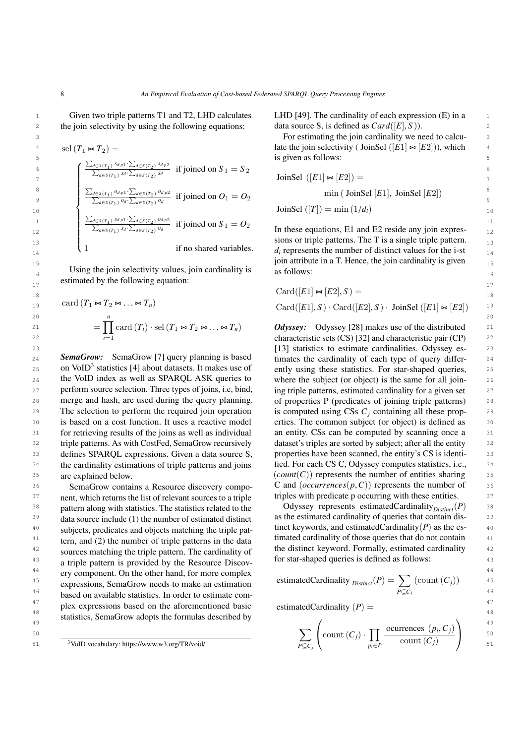2 the join selectivity by using the following equations: data source S, is defined as  $Card([E], S)$ ). Given two triple patterns T1 and T2, LHD calculates

$$
\begin{array}{ll}\n\text{sel}(T_1 \Join T_2) & \text{late the join selectivity (JoinSel ([E1] \Join [E2])), which is given as follows: 5\n\text{is given as follows:}\n\end{array}\n\quad\n\begin{array}{ll}\n\frac{\sum_{d \in S(T_1)} s_{d,p1} \cdot \sum_{d \in S(T_2)} s_{d,p2}}{\sum_{d \in S(T_1)} s_{d} \cdot \sum_{d \in S(T_2)} o_d} & \text{if joined on } S_1 = S_2 \\
\frac{\sum_{d \in S(T_1)} o_{d,p1} \cdot \sum_{d \in S(T_2)} o_{d,p2}}{\sum_{d \in S(T_1)} o_{d} \cdot \sum_{d \in S(T_2)} o_d} & \text{if joined on } O_1 = O_2 \\
\frac{\sum_{d \in S(T_1)} o_{d,p1} \cdot \sum_{d \in S(T_2)} o_{d,p2}}{\sum_{d \in S(T_1)} s_{d} \cdot \sum_{d \in S(T_2)} o_d} & \text{if joined on } S_1 = O_2 \\
\frac{\sum_{d \in S(T_1)} s_{d,p1} \cdot \sum_{d \in S(T_2)} o_{d,p2}}{\sum_{d \in S(T_1)} s_{d} \cdot \sum_{d \in S(T_2)} o_d} & \text{if joined on } S_1 = O_2 \\
\frac{\sum_{d \in S(T_1)} s_{d,p1} \cdot \sum_{d \in S(T_2)} o_d}{\sum_{d \in S(T_1)} s_{d} \cdot \sum_{d \in S(T_2)} o_d} & \text{if joined on } S_1 = O_2 \\
\frac{\sum_{d \in S(T_1)} s_{d,p1} \cdot \sum_{d \in S(T_2)} o_d}{\sum_{d \in S(T_1)} s_{d} \cdot \sum_{d \in S(T_2)} o_d} & \text{if joined on } S_1 = O_2 \\
\frac{\sum_{d \in S(T_1)} s_{d,p1} \cdot \sum_{d \in S(T_2)} o_d}{\sum_{d \in S(T_1)} s_{d} \cdot \sum_{d \in S(T_2)} o_d} & \text{if joined on } S_1 = O_2 \\
\frac{\sum_{d \in S(T_1)} s_{d,p1} \cdot \sum_{d \in S(T_2)} o_d}{\sum_{d \in S(T_1)} s_{d} \cdot \sum_{d \in S(T_2)} o_d} & \text{if joined on }
$$

Using the join selectivity values, join cardinality is  $\qquad$  as follows:  $17$  estimated by the following equation:

$$
\text{card}(T_1 \bowtie T_2 \bowtie \dots \bowtie T_n) \qquad \text{Card}([E1], S) \cdot \text{Card}([E2], S) \cdot \text{JoinSel} ([E1] \bowtie [E2]) \qquad \text{and} \qquad \text{Card}([E1], S) \cdot \text{Card}([E2], S) \cdot \text{JoinSel} ([E1] \bowtie [E2]) \qquad \text{and} \qquad \text{and} \qquad \text{and} \qquad \text{characteristic set } (CS) [32] \text{ and characteristic pair (CP)} \qquad \text{and} \qquad \text{linear} \qquad \text{and} \qquad \text{linear} \qquad \text{and} \qquad \text{linear} \qquad \text{and} \qquad \text{linear} \qquad \text{linear} \qquad \text{and} \qquad \text{linear} \qquad \text{linear} \qquad \text{and} \qquad \text{linear} \qquad \text{linear} \qquad \text{linear} \qquad \text{linear} \qquad \text{linear} \qquad \text{linear} \qquad \text{linear} \qquad \text{linear} \qquad \text{linear} \qquad \text{linear} \qquad \text{linear} \qquad \text{linear} \qquad \text{linear} \qquad \text{linear} \qquad \text{linear} \qquad \text{linear} \qquad \text{linear} \qquad \text{linear} \qquad \text{linear} \qquad \text{linear} \qquad \text{linear} \qquad \text{linear} \qquad \text{linear} \qquad \text{linear} \qquad \text{linear} \qquad \text{linear} \qquad \text{linear} \qquad \text{linear} \qquad \text{linear} \qquad \text{linear} \qquad \text{linear} \qquad \text{linear} \qquad \text{linear} \qquad \text{linear} \qquad \text{linear} \qquad \text{linear} \qquad \text{linear} \qquad \text{linear} \qquad \text{linear} \qquad \text{linear} \qquad \text{linear} \qquad \text{linear} \qquad \text{linear} \qquad \text{linear} \qquad \text{linear} \qquad \text{linear} \qquad \text{linear} \qquad \text{linear} \qquad \text{linear} \qquad \text{linear} \qquad \text{linear} \qquad \text{linear} \qquad \text{linear} \qquad \text{linear} \qquad \text{linear} \qquad \text{linear} \qquad \text{linear} \qquad \text{linear} \qquad \text{linear} \qquad \text{linear} \
$$

 $24$  **SemaGrow:** SemaGrow [7] query planning is based timates the cardinality of each type of query differ-25 on VoID<sup>3</sup> statistics [4] about datasets. It makes use of ently using these statistics. For star-shaped queries, 25 26 the VoID index as well as SPARQL ASK queries to where the subject (or object) is the same for all join-<br>26 27 perform source selection. Three types of joins, i.e, bind, ing triple patterns, estimated cardinality for a given set 27 28 merge and hash, are used during the query planning. of properties P (predicates of joining triple patterns) 28 29 The selection to perform the required join operation is computed using CSs  $C_j$  containing all these prop-30 is based on a cost function. It uses a reactive model erties. The common subject (or object) is defined as 30 31 31 for retrieving results of the joins as well as individual <sup>32</sup> triple patterns. As with CostFed, SemaGrow recursively dataset's triples are sorted by subject; after all the entity <sup>32</sup> 33 defines SPARQL expressions. Given a data source S, properties have been scanned, the entity's CS is identi-<sup>34</sup> the cardinality estimations of triple patterns and joins fied. For each CS C, Odyssey computes statistics, i.e., <sup>34</sup> 35 are explained below.  $(count(C))$  represents the number of entities sharing 35 *SemaGrow:* SemaGrow [\[7\]](#page-23-4) query planning is based on  $\text{VolD}^3$  $\text{VolD}^3$  statistics [\[4\]](#page-22-5) about datasets. It makes use of the VoID index as well as SPARQL ASK queries to perform source selection. Three types of joins, i.e, bind, is based on a cost function. It uses a reactive model the cardinality estimations of triple patterns and joins are explained below.

<sup>37</sup> nent, which returns the list of relevant sources to a triple triples with predicate p occurring with these entities. 38 pattern along with statistics. The statistics related to the Odyssey represents estimatedCardinality<sub>Distinct</sub> $(P)$  38 data source include (1) the number of estimated distinct as the estimated cardinality of queries that contain dis-<sup>40</sup> subjects predicates and objects matching the triple pat-<br> $\frac{1}{2}$  tinct keywords, and estimatedCardinality(*P*) as the es-<sup>41</sup> term and (2) the number of triple patterns in the data timated cardinality of those queries that do not contain <sup>41</sup> <sup>42</sup> sources matching the triple pattern. The cardinality of the distinct keyword. Formally, estimated cardinality <sup>42</sup> <sup>43</sup> a triple pattern is provided by the Resource Discov- for star-shaped queries is defined as follows: <sup>44</sup> ery component. On the other hand, for more complex  $\frac{44}{100}$ <sup>45</sup> expressions, SemaGrow needs to make an estimation estimatedCardinality  $_{Disinct}(P) = \sum$  (count  $(C_j)$ )  $46$  based on available statistics. In order to estimate com-<br> $P \subseteq C_j$   $46$ <sup>47</sup> plex expressions based on the aforementioned basic estimatedCardinality  $(P) =$ <sup>47</sup> 48<br>
statistics, SemaGrow adopts the formulas described by SemaGrow contains a Resource discovery component, which returns the list of relevant sources to a triple pattern along with statistics. The statistics related to the data source include (1) the number of estimated distinct subjects, predicates and objects matching the triple pattern, and (2) the number of triple patterns in the data sources matching the triple pattern. The cardinality of a triple pattern is provided by the Resource Discov-

<span id="page-7-0"></span>

1 Given two triple patterns T1 and T2, LHD calculates LHD [\[49\]](#page-24-6). The cardinality of each expression (E) in a 1 data source S, is defined as *Card*([*E*], *<sup>S</sup>* )).

3 3 For estimating the join cardinality we need to calcu- $\text{rel}(T_1 \bowtie T_2) =$ <br>  $\text{latet the join selectivity (JoinSel ([E1] \bowtie [E2])), which}$ <br>  $\text{is given as follows:}$ 

JoinSel 
$$
([E1] \Join [E2]) =
$$

$$
\min\left(\text{JoinSel }[E1],\text{JoinSel }[E2]\right)
$$

 13 sions or triple patterns. The T is a single triple pattern. 14 *d<sup>i</sup>* represents the number of distinct values for the i-st 15 join attribute in a T. Hence, the join cardinality is given as follows:

$$
\operatorname{Card}([E1] \bowtie [E2], S) =
$$
\n
$$
\operatorname{card}([T_1 \bowtie T_2 \bowtie ... \bowtie T_n])
$$
\n
$$
\operatorname{Card}([F1] \cap S) \quad \operatorname{Card}([F2] \cap S) \quad \operatorname{LipSol}([F1] \cap [F2])
$$
\n
$$
\operatorname{Card}([F1] \cap S) \quad \operatorname{Card}([F2] \cap S) \quad \operatorname{LipSol}([F1] \cap [F2])
$$

21  $= \int \cosh(T_i) \cdot \text{sel}(T_1 \bowtie T_2 \bowtie \ldots \bowtie T_n)$  *Odyssey:* Odyssey [\[28\]](#page-23-11) makes use of the distributed 21 22  $i=1$  characteristic sets (CS) [\[32\]](#page-24-17) and characteristic pair (CP) 22 23 23 [\[13\]](#page-23-19) statistics to estimate cardinalities. Odyssey es-36 **36**<br>
SemaGrow contains a Resource discovery compo-<br>
C and  $(occurrences(p, C))$  represents the number of 36<br>
triples with predicate p occurring with these entities of properties P (predicates of joining triple patterns) is computed using CSs  $C_j$  containing all these propan entity. CSs can be computed by scanning once a dataset's triples are sorted by subject; after all the entity properties have been scanned, the entity's CS is identi-

estimatedCardinality 
$$
_{Distinct}(P) = \sum_{P \subseteq C_j} (count(C_j))
$$

estimatedCardinality  $(P)$  =

49 49 50 50 51 51 <sup>3</sup>VoID vocabulary:<https://www.w3.org/TR/void/> X *P*⊆*C<sup>j</sup>* count (*Cj*) · Y *pi*∈*P* ocurrences (*p<sup>i</sup>* ,*Cj*) count (*Cj*)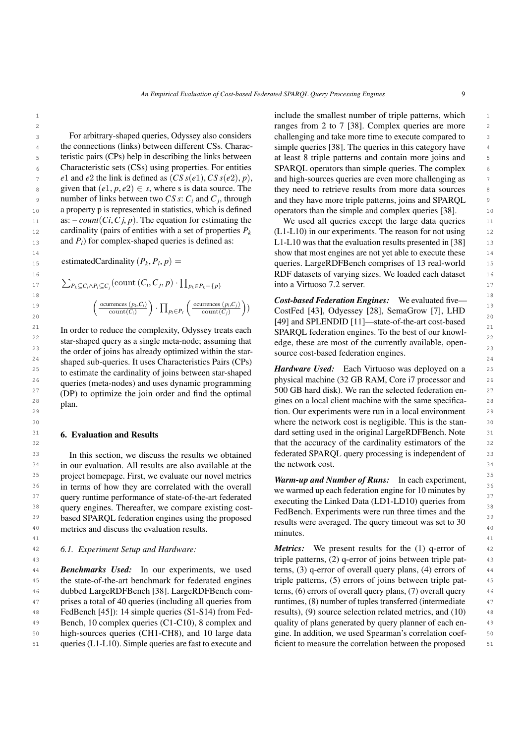10 **a** property p is represented in statistics, which is defined operators than the simple and complex queries [\[38\]](#page-24-12). 11 **as:**  $\text{count}(Ci, Cj, p)$ . The equation for estimating the We used all queries except the large data queries 11 12 cardinality (pairs of entities with a set of properties  $P_k$  (L1-L10) in our experiments. The reason for not using 12 13 **and**  $P_l$ **)** for complex-shaped queries is defined as: L1-L10 was that the evaluation results presented in [\[38\]](#page-24-12) 13 For arbitrary-shaped queries, Odyssey also considers the connections (links) between different CSs. Charac-Characteristic sets (CSs) using properties. For entities *e*1 and *e*2 the link is defined as  $(CS s(e1), CS s(e2), p)$ , given that  $(e1, p, e2) \in s$ , where s is data source. The number of links between two *CS s*: *C<sup>i</sup>* and *C<sup>j</sup>* , through a property p is represented in statistics, which is defined as:  $-count(Ci, Cj, p)$ . The equation for estimating the cardinality (pairs of entities with a set of properties  $P_k$ and *P*<sup>*l*</sup>) for complex-shaped queries is defined as:

estimatedCardinality  $(P_k, P_l, p)$  =

$$
\sum_{P_k \subseteq C_i \land P_l \subseteq C_j} (\text{count}(C_i, C_j, p) \cdot \prod_{p_k \in P_k - \{p\}} \text{into a Virtuoso 7.2 server.}
$$
\n
$$
\left(\frac{\text{occurrences}(p_k, C_i)}{\text{count}(C_i)}\right) \cdot \prod_{p_l \in P_l} \left(\frac{\text{occurrences}(p_l, C_j)}{\text{count}(C_j)}\right))
$$
\n
$$
\left(\frac{\text{occurrences}(p_k, C_i)}{\text{count}(C_i)}\right) \cdot \prod_{p_l \in P_l} \left(\frac{\text{occurrences}(p_l, C_j)}{\text{count}(C_j)}\right))
$$
\n
$$
\left(\frac{\text{occurrences}(p_k, C_i)}{\text{count}(C_i)}\right) \cdot \prod_{p_l \in P_l} \left(\frac{\text{occurrences}(p_l, C_j)}{\text{count}(C_j)}\right))
$$
\n
$$
\left(\frac{\text{occures}(p_k, C_i)}{\text{count}(C_i)}\right) \cdot \prod_{p_l \in P_l} \left(\frac{\text{occures}(p_l, C_j)}{\text{count}(C_j)}\right))
$$
\n
$$
\left(\frac{\text{occures}(p_k, C_i)}{\text{count}(C_i)}\right) \cdot \prod_{p_l \in P_l} \left(\frac{\text{occures}(p_l, C_j)}{\text{count}(C_j)}\right)
$$

<sup>22</sup> star-shaped query as a single meta-node; assuming that edge, these are most of the currently available, open-<sup>23</sup> the order of joins has already optimized within the star-<br>source cost-based federation engines. <sup>24</sup> shaped sub-queries. It uses Characteristics Pairs (CPs) <sup>25</sup> to estimate the cardinality of joins between star-shaned **Hardware Used:** Each Virtuoso was deployed on a <sup>25</sup> <sup>26</sup> queries (meta-nodes) and uses dynamic programming physical machine (32 GB RAM, Core i7 processor and <sup>26</sup> <sup>27</sup> (DP) to optimize the join order and find the optimal 500 GB hard disk). We ran the selected federation en-28 **plan** 1 **28 plan 1 28 plan 1 plan 1 gines on a local client machine with the same specifica-** 28 to estimate the cardinality of joins between star-shaped queries (meta-nodes) and uses dynamic programming (DP) to optimize the join order and find the optimal plan.

## <span id="page-8-0"></span>6. Evaluation and Results

<sup>34</sup> in our evaluation. All results are also available at the the network cost. <sup>35</sup> project homepage. First, we evaluate our novel metrics  $\boldsymbol{Warm\_un}$  and Number of Runs. In each experiment <sup>36</sup> in terms of how they are correlated with the overall we warmed up each federation engine for 10 minutes by <sup>37</sup> query runtime performance of state-of-the-art federated<br><sup>37</sup> apple integrating the Linked Data (I D1-I D10) queries from <sup>38</sup> query engines. Thereafter, we compare existing cost-<br> **E**edBench Experiments were run three times and the <sup>39</sup> based SPARQL federation engines using the proposed results were averaged. The query timeout was set to 30<sup>39</sup> 40 metrics and discuss the evaluation results. In this section, we discuss the results we obtained

#### *6.1. Experiment Setup and Hardware:*

**Benchmarks Used:** In our experiments, we used terns, (3) q-error of overall query plans, (4) errors of 44 45 the state-of-the-art benchmark for federated engines triple patterns, (5) errors of joins between triple pat- 46 dubbed LargeRDFBench [\[38\]](#page-24-12). LargeRDFBench com- 47 prises a total of 40 queries (including all queries from 48 FedBench [\[45\]](#page-24-13)): 14 simple queries (S1-S14) from Fed-49 Bench, 10 complex queries (C1-C10), 8 complex and quality of plans generated by query planner of each en- 50 high-sources queries (CH1-CH8), and 10 large data 51 queries (L1-L10). Simple queries are fast to execute and

1 1 include the smallest number of triple patterns, which z and the complex state of the complex queries are more and  $\frac{2}{38}$ . Complex queries are more and  $\frac{2}{38}$ 3 3 challenging and take more time to execute compared to <sup>4</sup> the connections (links) between different CSs. Charac-<br><sup>4</sup> simple queries [\[38\]](#page-24-12). The queries in this category have <sup>5</sup> teristic pairs (CPs) help in describing the links between at least 8 triple patterns and contain more joins and 6 Characteristic sets (CSs) using properties. For entities SPARQL operators than simple queries. The complex 6 <sup>7</sup> e1 and e2 the link is defined as  $(CS s(e1), CS s(e2), p)$ , and high-sources queries are even more challenging as s given that  $(e1, p, e2) \in s$ , where s is data source. The they need to retrieve results from more data sources 9 9 and they have more triple patterns, joins and SPARQL at least 8 triple patterns and contain more joins and

 14 show that most engines are not yet able to execute these 15 estimated Cardinality  $(P_k, P_l, p)$  = queries. LargeRDFBench comprises of 13 real-world 15 16 RDF datasets of varying sizes. We loaded each dataset  $\sum_{P_k \subseteq C_i \land P_l \subseteq C_i}$  (count  $(C_i, C_j, p) \cdot \prod_{P_k \in P_k - \{p\}}$  into a Virtuoso 7.2 server.

 $\left(\frac{\text{occurrences } (p_k, C_i)}{\text{count}(C_i)}\right) \cdot \prod_{p_i \in P_l} \left(\frac{\text{occurrences } (p_i, C_j)}{\text{count}(C_j)}\right)$  CostFed [\[43\]](#page-24-5), Odyessey [\[28\]](#page-23-11), SemaGrow [\[7\]](#page-23-4), LHD  $20$  [\[49\]](#page-24-6) and SPLENDID [\[11\]](#page-23-6)—state-of-the-art cost-based  $20$ <sup>21</sup> In order to reduce the complexity, Odyssey treats each SPAROL federation engines. To the best of our knowl-SPARQL federation engines. To the best of our knowledge, these are most of the currently available, opensource cost-based federation engines.

29 <sup>1</sup> 29 1 29 tion. Our experiments were run in a local environment 29 30 30 where the network cost is negligible. This is the stan-<sup>31</sup> **6. Evaluation and Results dard setting used in the original LargeRDFBench. Note** <sup>31</sup> 32 32 that the accuracy of the cardinality estimators of the 33 In this section, we discuss the results we obtained federated SPARQL query processing is independent of 33 the network cost.

41 41 *Warm-up and Number of Runs:* In each experiment, we warmed up each federation engine for 10 minutes by executing the Linked Data (LD1-LD10) queries from FedBench. Experiments were run three times and the results were averaged. The query timeout was set to 30 minutes.

42 6.1. *Experiment Setup and Hardware: Metrics:* We present results for the (1) q-error of 42 43 43 triple patterns, (2) q-error of joins between triple patterns, (3) q-error of overall query plans, (4) errors of triple patterns, (5) errors of joins between triple patterns, (6) errors of overall query plans, (7) overall query runtimes, (8) number of tuples transferred (intermediate results), (9) source selection related metrics, and (10) quality of plans generated by query planner of each engine. In addition, we used Spearman's correlation coefficient to measure the correlation between the proposed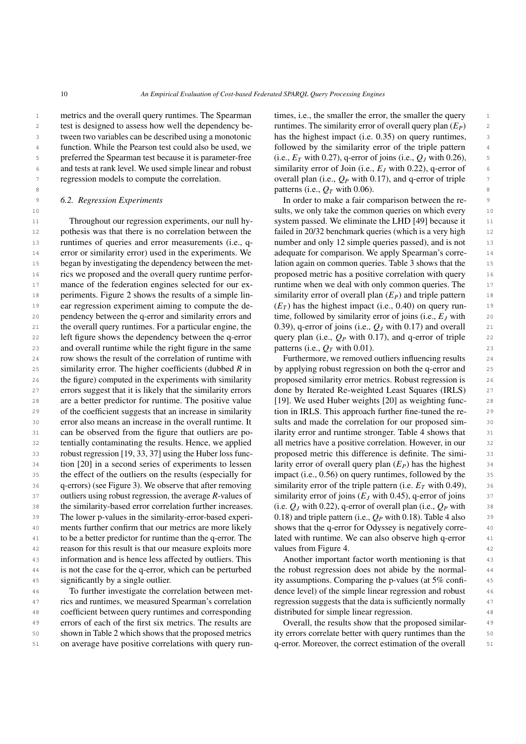1 metrics and the overall query runtimes. The Spearman times, i.e., the smaller the error, the smaller the query z test is designed to assess how well the dependency be-<br> $r$  untimes. The similarity error of overall query plan  $(E_P)$  z 3 3 tween two variables can be described using a monotonic <sup>4</sup> function. While the Pearson test could also be used, we followed by the similarity error of the triple pattern 5 preferred the Spearman test because it is parameter-free (i.e.,  $E_T$  with 0.27), q-error of joins (i.e.,  $Q_J$  with 0.26), 6 and tests at rank level. We used simple linear and robust similarity error of Join (i.e.,  $E_J$  with 0.22), q-error of 6 test is designed to assess how well the dependency beregression models to compute the correlation.

#### *6.2. Regression Experiments*

11 Throughout our regression experiments, our null hy-<br>
11 system passed. We eliminate the LHD [\[49\]](#page-24-6) because it 12 pothesis was that there is no correlation between the failed in 20/32 benchmark queries (which is a very high 12 13 runtimes of queries and error measurements (i.e., q- number and only 12 simple queries passed), and is not 13 <sup>14</sup> error or similarity error) used in the experiments. We adequate for comparison. We apply Spearman's corre-15 began by investigating the dependency between the met-<br>
lation again on common queries. Table 3 shows that the 15 <sup>16</sup> rics we proposed and the overall query runtime perfor-<br>
proposed metric has a positive correlation with query <sup>17</sup> mance of the federation engines selected for our ex-<br>
runtime when we deal with only common queries. The 18 periments. Figure [2](#page-10-0) shows the results of a simple lin-<br>similarity error of overall plan  $(E_P)$  and triple pattern 18 19 **ear regression experiment aiming to compute the de-**  $(E_T)$  has the highest impact (i.e., 0.40) on query run-20 20 time, followed by similarity error of joins (i.e., *E<sup>J</sup>* with 21 the overall query runtimes. For a particular engine, the  $0.39$ , q-error of joins (i.e.,  $Q_J$  with 0.17) and overall 21 22 left figure shows the dependency between the q-error query plan (i.e.,  $Q_P$  with 0.17), and q-error of triple 22 23 and overall runtime while the right figure in the same patterns (i.e.,  $Q_T$  with 0.01). 24 24 row shows the result of the correlation of runtime with 25 similarity error. The higher coefficients (dubbed  $R$  in by applying robust regression on both the q-error and 25 26 the figure) computed in the experiments with similarity proposed similarity error metrics. Robust regression is 26 27 errors suggest that it is likely that the similarity errors done by Iterated Re-weighted Least Squares (IRLS) 27 28 are a better predictor for runtime. The positive value [\[19\]](#page-23-20). We used Huber weights [\[20\]](#page-23-21) as weighting func-29 of the coefficient suggests that an increase in similarity tion in IRLS. This approach further fine-tuned the re-<br>29 30 30 error also means an increase in the overall runtime. It 31 can be observed from the figure that outliers are po-<br>ilarity error and runtime stronger. Table 4 shows that 31 32 32 tentially contaminating the results. Hence, we applied 33 robust regression [\[19,](#page-23-20) [33,](#page-24-18) [37\]](#page-24-19) using the Huber loss func-<br>proposed metric this difference is definite. The simi-<br>33 <sup>34</sup> tion [20] in a second series of experiments to lessen larity error of overall query plan (*E<sub>P</sub>*) has the highest <sup>34</sup> 35 the effect of the outliers on the results (especially for impact (i.e., 0.56) on query runtimes, followed by the <sup>35</sup> 36  $q$ -errors) (see Figure [3\)](#page-11-0). We observe that after removing similarity error of the triple pattern (i.e.  $E_T$  with 0.49), 37 outliers using robust regression, the average *R*-values of similarity error of joins (*E<sub>J</sub>* with 0.45), q-error of joins <sup>37</sup> 38 the similarity-based error correlation further increases. (i.e.  $Q_J$  with 0.22), q-error of overall plan (i.e.,  $Q_P$  with 38 39 The lower p-values in the similarity-error-based experi- 0.18) and triple pattern (i.e.,  $Q_P$  with 0.18). Table 4 also 39 40 ments further confirm that our metrics are more likely shows that the q-error for Odyssey is negatively corre-41 41 to be a better predictor for runtime than the q-error. The 42 42 reason for this result is that our measure exploits more 43 43 information and is hence less affected by outliers. This <sup>44</sup> is not the case for the q-error, which can be perturbed the robust regression does not abide by the normal-45 significantly by a single outlier. The state of the system of the system of the p-values (at 5% confi-Throughout our regression experiments, our null hyerror or similarity error) used in the experiments. We pendency between the q-error and similarity errors and the overall query runtimes. For a particular engine, the similarity error. The higher coefficients (dubbed *R* in the figure) computed in the experiments with similarity are a better predictor for runtime. The positive value of the coefficient suggests that an increase in similarity tion [\[20\]](#page-23-21) in a second series of experiments to lessen significantly by a single outlier.

46 To further investigate the correlation between met-<br>dence level) of the simple linear regression and robust 46 <sup>47</sup> rics and runtimes, we measured Spearman's correlation regression suggests that the data is sufficiently normally 48 48 coefficient between query runtimes and corresponding <sup>49</sup> errors of each of the first six metrics. The results are **Overall**, the results show that the proposed similar-50 shown in Table [2](#page-12-0) which shows that the proposed metrics ity errors correlate better with query runtimes than the 50 51 on average have positive correlations with query run- q-error. Moreover, the correct estimation of the overall 51 To further investigate the correlation between metrics and runtimes, we measured Spearman's correlation

regression models to compute the correlation. overall plan (i.e.,  $Q_P$  with 0.17), and q-error of triple  $\tau$  $\alpha$  8 **b** atterns (i.e.,  $Q_T$  with 0.06). times, i.e., the smaller the error, the smaller the query has the highest impact (i.e. 0.35) on query runtimes, followed by the similarity error of the triple pattern (i.e.,  $E_T$  with 0.27), q-error of joins (i.e.,  $Q_J$  with 0.26), similarity error of Join (i.e., *E<sup>J</sup>* with 0.22), q-error of

9 6.2. Regression Experiments **Experiments** In order to make a fair comparison between the re-10 **10** 10 **10** 10 **10** 10 **10** 10 **10** 10 **10** 10 **10** 10 **10** 10 **10** 10 **10** 10 **10** 10 **10** 10 **10** 10 **10** 10 failed in 20/32 benchmark queries (which is a very high number and only 12 simple queries passed), and is not lation again on common queries. Table [3](#page-12-1) shows that the proposed metric has a positive correlation with query runtime when we deal with only common queries. The similarity error of overall plan  $(E_P)$  and triple pattern  $(E_T)$  has the highest impact (i.e., 0.40) on query runquery plan (i.e., *Q<sup>P</sup>* with 0.17), and q-error of triple patterns (i.e.,  $Q_T$  with 0.01).

> Furthermore, we removed outliers influencing results done by Iterated Re-weighted Least Squares (IRLS) sults and made the correlation for our proposed similarity error and runtime stronger. Table [4](#page-12-2) shows that all metrics have a positive correlation. However, in our proposed metric this difference is definite. The simiimpact (i.e., 0.56) on query runtimes, followed by the similarity error of the triple pattern (i.e.  $E_T$  with 0.49), similarity error of joins  $(E_J \text{ with } 0.45)$ , q-error of joins (i.e.  $Q_J$  with 0.22), q-error of overall plan (i.e.,  $Q_P$  with 0.18) and triple pattern (i.e.,  $Q_P$  with 0.18). Table [4](#page-12-2) also shows that the q-error for Odyssey is negatively correlated with runtime. We can also observe high q-error values from Figure [4.](#page-13-0)

Another important factor worth mentioning is that the robust regression does not abide by the normaldistributed for simple linear regression.

Overall, the results show that the proposed similarity errors correlate better with query runtimes than the q-error. Moreover, the correct estimation of the overall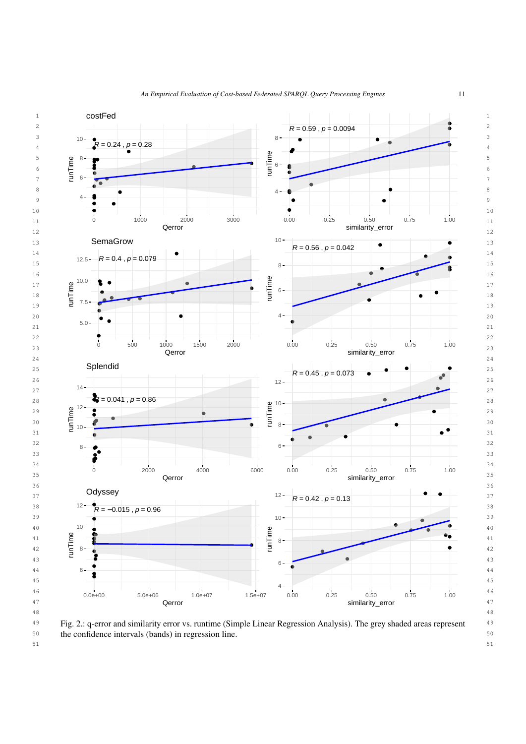<span id="page-10-0"></span>

51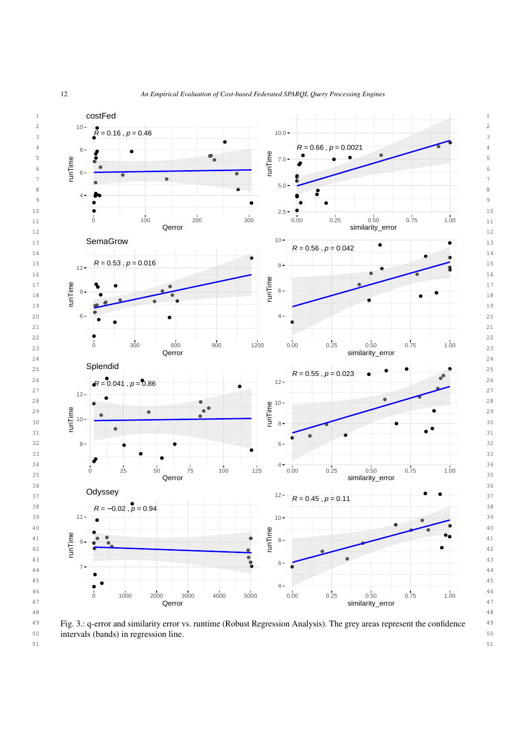<span id="page-11-0"></span>

 49 Fig. 3.: q-error and similarity error vs. runtime (Robust Regression Analysis). The grey areas represent the confidence 50 intervals (bands) in regression line.

51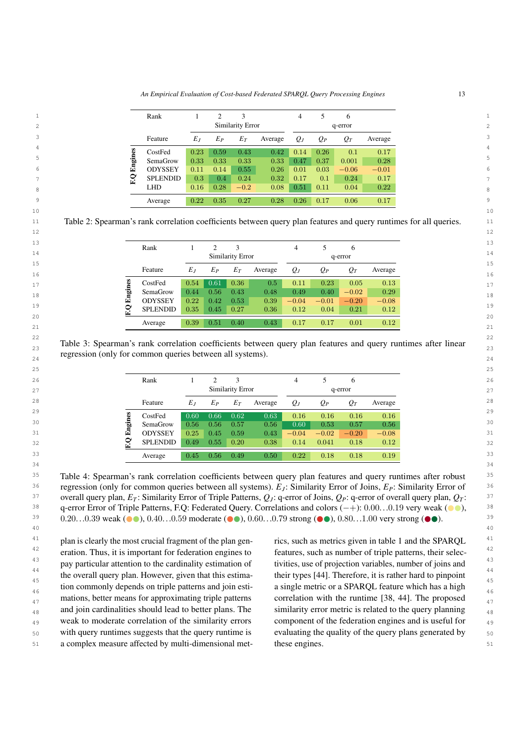*An Empirical Evaluation of Cost-based Federated SPARQL Query Processing Engines* 13

<span id="page-12-0"></span>

|    | Rank            |       | ∍     |                         |         | 4     |       | 6       |         |
|----|-----------------|-------|-------|-------------------------|---------|-------|-------|---------|---------|
|    |                 |       |       | <b>Similarity Error</b> |         |       |       | q-error |         |
|    | Feature         | $E_J$ | $E_P$ | $E_T$                   | Average | $Q_J$ | $Q_P$ | $Q_T$   | Average |
|    | CostFed         | 0.23  | 0.59  | 0.43                    | 0.42    | 0.14  | 0.26  | 0.1     | 0.17    |
| 品  | SemaGrow        | 0.33  | 0.33  | 0.33                    | 0.33    | 0.47  | 0.37  | 0.001   | 0.28    |
| 덜  | <b>ODYSSEY</b>  | 0.11  | 0.14  | 0.55                    | 0.26    | 0.01  | 0.03  | $-0.06$ | $-0.01$ |
| ၟႍ | <b>SPLENDID</b> | 0.3   | 0.4   | 0.24                    | 0.32    | 0.17  | 0.1   | 0.24    | 0.17    |
|    | <b>LHD</b>      | 0.16  | 0.28  | $-0.2$                  | 0.08    | 0.51  | 0.11  | 0.04    | 0.22    |
|    | Average         | 0.22  | 0.35  | 0.27                    | 0.28    | 0.26  | 0.17  | 0.06    | 0.17    |
|    |                 |       |       |                         |         |       |       |         |         |

11 11 Table 2: Spearman's rank correlation coefficients between query plan features and query runtimes for all queries.  $12$ 

10 10

<span id="page-12-1"></span>

|       |                         |       |         | 4                        |         | b       |                 |
|-------|-------------------------|-------|---------|--------------------------|---------|---------|-----------------|
|       |                         |       |         |                          |         |         |                 |
| $E_J$ | Eр                      | $E_T$ | Average | $Q_J$                    | $Q_P$   | $Q_T$   | Average         |
| 0.54  | 0.61                    | 0.36  | 0.5     | 0.11                     | 0.23    | 0.05    | 0.13            |
| 0.44  | $0.56\,$                | 0.43  | 0.48    | 0.49                     | 0.40    | $-0.02$ | 0.29            |
| 0.22  | 0.42                    | 0.53  | 0.39    | $-0.04$                  | $-0.01$ | $-0.20$ | $-0.08$         |
| 0.35  | 0.45                    | 0.27  | 0.36    | 0.12                     | 0.04    | 0.21    | 0.12            |
|       |                         |       |         |                          |         |         | 0.12            |
|       | <b>SPLENDID</b><br>0.39 | 0.51  | 0.40    | Similarity Error<br>0.43 | 0.17    | 0.17    | q-error<br>0.01 |

22 and  $\sim$  22 and  $\sim$  22 and  $\sim$  22 and  $\sim$  22 and  $\sim$  22 and  $\sim$  22 and  $\sim$  22 23 23 Table 3: Spearman's rank correlation coefficients between query plan features and query runtimes after linear regression (only for common queries between all systems).

<span id="page-12-2"></span>

| 25 |    |                 |       |          |                  |         |         |         |         |         |
|----|----|-----------------|-------|----------|------------------|---------|---------|---------|---------|---------|
| 26 |    | Rank            |       |          |                  |         | 4       |         | b       |         |
| 27 |    |                 |       |          | Similarity Error |         |         |         | q-error |         |
| 28 |    | Feature         | $E_J$ | $E_P$    | $E_T$            | Average | $Q_J$   | $Q_P$   | $Q_T$   | Average |
| 29 |    | CostFed         | 0.60  | 0.66     | 0.62             | 0.63    | 0.16    | 0.16    | 0.16    | 0.16    |
| 30 | ЪD | SemaGrow        | 0.56  | $0.56\,$ | 0.57             | 0.56    | 0.60    | 0.53    | 0.57    | 0.56    |
| 31 | 闰  | <b>ODYSSEY</b>  | 0.25  | 0.45     | 0.59             | 0.43    | $-0.04$ | $-0.02$ | $-0.20$ | $-0.08$ |
| 32 |    | <b>SPLENDID</b> | 0.49  | 0.55     | 0.20             | 0.38    | 0.14    | 0.041   | 0.18    | 0.12    |
| 33 |    | Average         | 0.45  | 0.56     | 0.49             | 0.50    | 0.22    | 0.18    | 0.18    | 0.19    |
| 21 |    |                 |       |          |                  |         |         |         |         |         |

 $\overline{\phantom{a}}$  34

40 40

<sup>35</sup> Table 4: Spearman's rank correlation coefficients between query plan features and query runtimes after robust 36 36 regression (only for common queries between all systems). *E<sup>J</sup>* : Similarity Error of Joins, *EP*: Similarity Error of 37 37 overall query plan, *E<sup>T</sup>* : Similarity Error of Triple Patterns, *Q<sup>J</sup>* : q-error of Joins, *QP*: q-error of overall query plan, *Q<sup>T</sup>* :  $q$ -error Error of Triple Patterns, F.Q: Federated Query. Correlations and colors (−+): 0.00. . .0.19 very weak (●●),  $q$ ,  $\frac{38}{2}$ <br>0.20 0.39 weak (●●), 0.40 0.59 moderate (●●), 0.60 0.79 strong (●●), 0.80 1.00 very str 39  $0.20...0.39$  weak ( $\bullet \bullet$ ),  $0.40...0.59$  moderate ( $\bullet \bullet$ ),  $0.60...0.79$  strong ( $\bullet \bullet$ ),  $0.80...1.00$  very strong ( $\bullet \bullet$ ).

<sup>41</sup> plan is clearly the most crucial fragment of the plan gen-<br>rics, such as metrics given in table 1 and the SPARQL  $41$  $42$  eration. Thus, it is important for federation engines to features, such as number of triple patterns, their selec- $42$ <sup>43</sup> pay particular attention to the cardinality estimation of tivities, use of projection variables, number of joins and 44 **1997 1998 1998 1999 1999 1999 1999 1999 1999 1999 1999 1999 1999 1999 1999 1999 1999 1999 1999 1999 1999 1999 1999 1999 1999 1999 1999 1999 1999 1999 1999 1** the overall query plan. However, given that this estima-<br> $\frac{45}{45}$  their types [44]. Therefore, it is rather hard to pinpoint tion commonly depends on triple patterns and join esti-<br>a single metric or a SPARQL feature which has a high  $\frac{46}{46}$  $_{47}$  mations, better means for approximating triple patterns correlation with the runtime [38, 44]. The proposed  $_{47}$  $_{48}$  and join cardinalities should lead to better plans. The similarity error metric is related to the query planning  $_{48}$ <sup>49</sup> weak to moderate correlation of the similarity errors component of the federation engines and is useful for 50 50 with query runtimes suggests that the query runtime is eration. Thus, it is important for federation engines to

51 51 a complex measure affected by multi-dimensional metrics, such as metrics given in table [1](#page-2-0) and the SPARQL tivities, use of projection variables, number of joins and their types [\[44\]](#page-24-20). Therefore, it is rather hard to pinpoint a single metric or a SPARQL feature which has a high correlation with the runtime [\[38,](#page-24-12) [44\]](#page-24-20). The proposed similarity error metric is related to the query planning component of the federation engines and is useful for evaluating the quality of the query plans generated by these engines.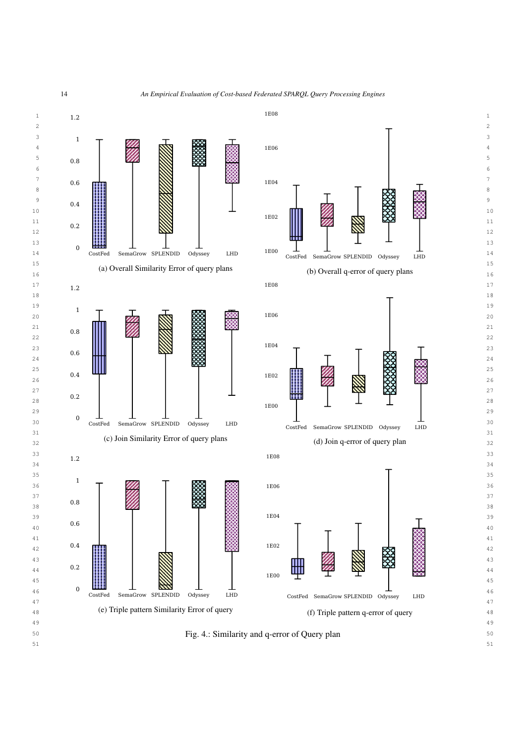

<span id="page-13-0"></span>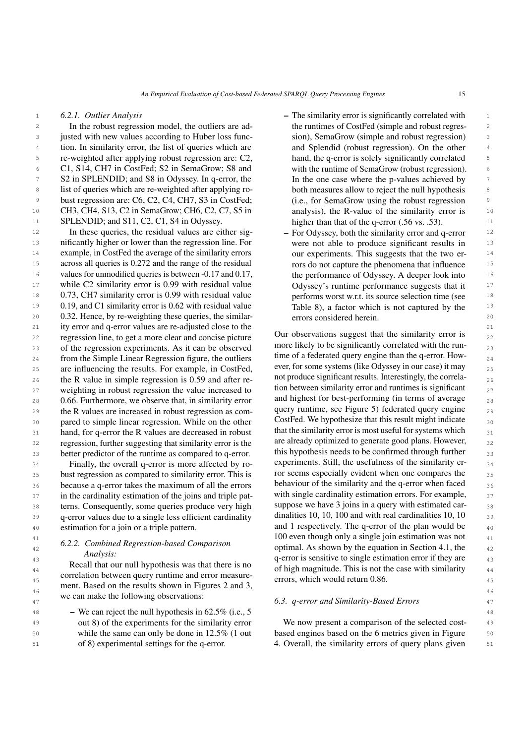## *6.2.1. Outlier Analysis*

2 In the robust regression model, the outliers are ad-<br>2 a the runtimes of CostFed (simple and robust regres-3 3 justed with new values according to Huber loss func-<sup>4</sup> tion. In similarity error, the list of queries which are and Splendid (robust regression). On the other 5 5 re-weighted after applying robust regression are: C2, 6 **C1, S14, CH7 in CostFed; S2 in SemaGrow; S8 and** with the runtime of SemaGrow (robust regression). 7 S2 in SPLENDID; and S8 in Odyssey. In q-error, the In the one case where the p-values achieved by <sup>8</sup> list of queries which are re-weighted after applying ro-<br>both measures allow to reject the null hypothesis 9 9 bust regression are: C6, C2, C4, CH7, S3 in CostFed; 10 CH3, CH4, S13, C2 in SemaGrow; CH6, C2, C7, S5 in analysis), the R-value of the similarity error is 10 11 SPLENDID; and S11, C2, C1, S4 in Odyssey. higher than that of the q-error (.56 vs. .53).

12 In these queries, the residual values are either sig-<br>  $\frac{12}{2}$  For Odyssey, both the similarity error and q-error  $\frac{12}{2}$ <sup>13</sup> 13 nificantly higher or lower than the regression line. For were not able to produce significant results in <sup>14</sup> example, in CostFed the average of the similarity errors our experiments. This suggests that the two er-<sup>14</sup> <sup>15</sup> across all queries is 0.272 and the range of the residual rors do not capture the phenomena that influence <sup>15</sup> <sup>16</sup> values for unmodified queries is between -0.17 and 0.17, the performance of Odyssey. A deeper look into <sup>16</sup> <sup>17</sup> while C2 similarity error is 0.99 with residual value Odyssey's runtime performance suggests that it <sup>18</sup> 0.73, CH7 similarity error is 0.99 with residual value performs worst w.r.t. its source selection time (see <sup>18</sup> <sup>19</sup> 0.19, and C1 similarity error is 0.62 with residual value Table 8), a factor which is not captured by the <sup>19</sup> 20 20 20 20 0.32. Hence, by re-weighting these queries, the similar-<br>20 21 21 ity error and q-error values are re-adjusted close to the 22 regression line, to get a more clear and concise picture Uur observations suggest that the similarity error is 23 of the regression experiments. As it can be observed more likely to be significantly correlated with the run- $24$  from the Simple Linear Regression figure, the outliers time of a rederated query engine than the q-error. How-25 are influencing the results. For example, in CostFed, ever, for some systems (like Odyssey in our case) it may  $_{25}$ 26 the R value in simple regression is  $0.59$  and after re-<br>not produce significant results. Interestingly, the correla- $27$  weighting in robust regression the value increased to  $100$  between similarity error and runtimes is significant 28  $\mu$  0.66. Furthermore, we observe that, in similarity error and highest for best-performing (in terms of average  $\mu$ <sub>28</sub> 29 the R values are increased in robust regression as com- query runtime, see Figure 5) rederated query engine 30 a pared to simple linear regression. While on the other CostFed. We hypothesize that this result might indicate  $31$  hand, for q-error the R values are decreased in robust that the similarity error is most useful for systems which  $31$ 32 regression, further suggesting that similarity error is the are already optimized to generate good plans. However,  $\frac{32}{2}$ 33 better predictor of the runtime as compared to q-error. this hypothesis needs to be confirmed through further  $\frac{33}{2}$ 

35 bust regression as compared to similarity error. This is for seems especially evident when one compares the 36 because a q-error takes the maximum of all the errors behaviour of the similarity and the q-error when faced  $\frac{36}{26}$ 37 in the cardinality estimation of the joins and triple pat-<br> $\frac{1}{27}$  with single cardinality estimation errors. For example, 38 terns. Consequently, some queries produce very high suppose we have 3 joins in a query with estimated car-39 q-error values due to a single less efficient cardinality dinalities 10, 10, 100 and with real cardinalities 10, 10  $\frac{39}{2}$ <sup>40</sup> estimation for a join or a triple pattern. and 1 respectively. The q-error of the plan would be estimation for a join or a triple pattern.

# *6.2.2. Combined Regression-based Comparison Analysis:*

<sup>44</sup> Hetal that our hull hypothesis was that there is no of high magnitude. This is not the case with similarity <sup>45</sup> correlation between query runnine and error ineasure-<br><sup>45</sup> errors, which would return 0.86. 46 46 we can make the following observations: Recall that our null hypothesis was that there is no correlation between query runtime and error measurement. Based on the results shown in Figures [2](#page-10-0) and [3,](#page-11-0)

48 48 – We can reject the null hypothesis in 62.5% (i.e., 5 out 8) of the experiments for the similarity error while the same can only be done in 12.5% (1 out of 8) experimental settings for the q-error.

- 1 1 The similarity error is significantly correlated with the runtimes of CostFed (simple and robust regression), SemaGrow (simple and robust regression) and Splendid (robust regression). On the other hand, the q-error is solely significantly correlated with the runtime of SemaGrow (robust regression). In the one case where the p-values achieved by both measures allow to reject the null hypothesis (i.e., for SemaGrow using the robust regression analysis), the R-value of the similarity error is higher than that of the q-error (.56 vs. .53).
	- For Odyssey, both the similarity error and q-error were not able to produce significant results in our experiments. This suggests that the two errors do not capture the phenomena that influence the performance of Odyssey. A deeper look into Odyssey's runtime performance suggests that it performs worst w.r.t. its source selection time (see Table [8\)](#page-19-0), a factor which is not captured by the errors considered herein.

34 Finally, the overall q-error is more affected by ro- experiments. Still, the usefulness of the similarity er-<sup>41</sup> **622 G** J: **10 100 even though only a single join estimation was not <b>41** <sup>42</sup> **o.2.2.** Complete Regression-based Comparison optimal. As shown by the equation in Section [4.1,](#page-3-2) the <sup>42</sup> 43 *Antivysis*.<br>
q-error is sensitive to single estimation error if they are 43 Our observations suggest that the similarity error is more likely to be significantly correlated with the runtime of a federated query engine than the q-error. However, for some systems (like Odyssey in our case) it may not produce significant results. Interestingly, the correlation between similarity error and runtimes is significant and highest for best-performing (in terms of average query runtime, see Figure [5\)](#page-21-0) federated query engine CostFed. We hypothesize that this result might indicate that the similarity error is most useful for systems which are already optimized to generate good plans. However, this hypothesis needs to be confirmed through further experiments. Still, the usefulness of the similarity error seems especially evident when one compares the behaviour of the similarity and the q-error when faced with single cardinality estimation errors. For example, suppose we have 3 joins in a query with estimated cardinalities 10, 10, 100 and with real cardinalities 10, 10

## 47 47 *6.3. q-error and Similarity-Based Errors*

49 out 8) of the experiments for the similarity error We now present a comparison of the selected cost-50 while the same can only be done in 12.5% (1 out based engines based on the 6 metrics given in Figure 50 51 of 8) experimental settings for the q-error. [4.](#page-13-0) Overall, the similarity errors of query plans given 51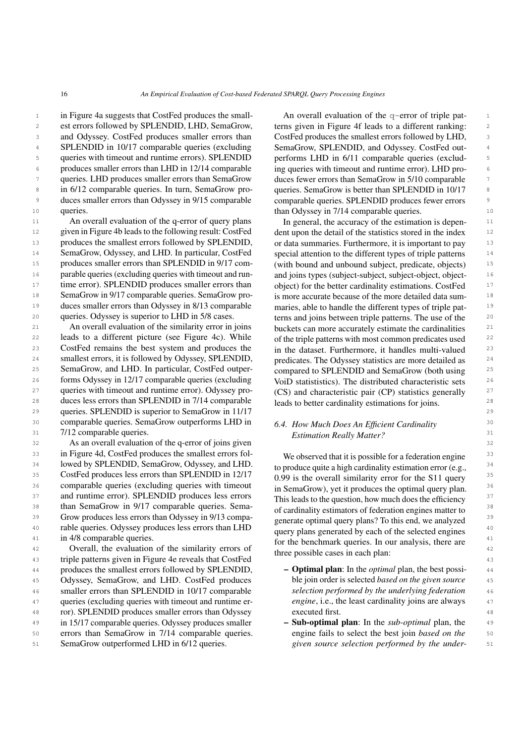1 in Figure [4a](#page-13-0) suggests that CostFed produces the small-<br>An overall evaluation of the  $q$ -error of triple pat-2 est errors followed by SPLENDID, LHD, SemaGrow, terns given in Figure 4f leads to a different ranking: 2 3 and Odyssey. CostFed produces smaller errors than CostFed produces the smallest errors followed by LHD, 3 4 SPLENDID in 10/17 comparable queries (excluding SemaGrow, SPLENDID, and Odyssey. CostFed out-5 queries with timeout and runtime errors). SPLENDID performs LHD in 6/11 comparable queries (exclud-<sup>6</sup> produces smaller errors than LHD in 12/14 comparable ing queries with time out and runtime error). LHD pro-7 queries. LHD produces smaller errors than SemaGrow duces fewer errors than SemaGrow in 5/10 comparable 7 <sup>8</sup> in 6/12 comparable queries. In turn, SemaGrow pro- queries. SemaGrow is better than SPLENDID in 10/17 <sup>8</sup> <sup>9</sup> duces smaller errors than Odyssey in 9/15 comparable comparable queries. SPLENDID produces fewer errors queries with timeout and runtime errors). SPLENDID queries.

11 An overall evaluation of the q-error of query plans In general, the accuracy of the estimation is depen-<sup>12</sup> given in Figure [4b](#page-13-0) leads to the following result: CostFed dent upon the detail of the statistics stored in the index<sup>12</sup> <sup>13</sup> produces the smallest errors followed by SPLENDID, or data summaries. Furthermore, it is important to pay <sup>14</sup> SemaGrow, Odyssey, and LHD. In particular, CostFed special attention to the different types of triple patterns <sup>14</sup> <sup>15</sup> produces smaller errors than SPLENDID in 9/17 com-<br>
(with bound and unbound subject, predicate, objects) <sup>15</sup> 16 parable queries (excluding queries with timeout and run-<br>and joins types (subject-subject, subject-object, object-<sup>17</sup> time error). SPLENDID produces smaller errors than object) for the better cardinality estimations. CostFed<sup>17</sup> <sup>18</sup> SemaGrow in 9/17 comparable queries. SemaGrow pro- is more accurate because of the more detailed data sum-<sup>19</sup> duces smaller errors than Odyssey in 8/13 comparable maries, able to handle the different types of triple pat-<sup>20</sup> queries. Odyssey is superior to LHD in 5/8 cases. terms and joins between triple patterns. The use of the <sup>20</sup> queries. Odyssey is superior to LHD in 5/8 cases.

22 leads to a different picture (see Figure [4c\)](#page-13-0). While of the triple patterns with most common predicates used 22 23 CostFed remains the best system and produces the in the dataset. Furthermore, it handles multi-valued <sup>23</sup> <sup>24</sup> smallest errors, it is followed by Odyssey, SPLENDID, predicates. The Odyssey statistics are more detailed as <sup>24</sup> 25 SemaGrow, and LHD. In particular, CostFed outper-<br>
compared to SPLENDID and SemaGrow (both using  $^{25}$ <sup>26</sup> forms Odyssey in 12/17 comparable queries (excluding VoiD statististics). The distributed characteristic sets <sup>26</sup> <sup>27</sup> queries with timeout and runtime error). Odyssey pro- (CS) and characteristic pair (CP) statistics generally 28 28 duces less errors than SPLENDID in 7/14 comparable 29 29 queries. SPLENDID is superior to SemaGrow in 11/17 30 comparable queries. SemaGrow outperforms LHD in 6.4 How Much Does An Efficient Cardinality 30 31 7/12 comparable queries. The same state of the state of the state of the state of the state of the state of the state of the state of the state of the state of the state of the state of the state of the state of the sta

32 32 As an overall evaluation of the q-error of joins given <sup>33</sup> in Figure [4d,](#page-13-0) CostFed produces the smallest errors fol-<br><sup>33</sup> We observed that it is possible for a federation engine  $34$  lowed by SPLENDID, SemaGrow, Odyssey, and LHD.  $\frac{1}{2}$  to produce quite a high cardinality estimation error (e.g.  $\frac{34}{2}$ <sup>35</sup> CostFed produces less errors than SPLENDID in 12/17 0.99 is the overall similarity error for the \$11 query <sup>35</sup> <sup>36</sup> comparable queries (excluding queries with timeout in SemaGrow) yet it produces the ontimal query plan <sup>37</sup> and runtime error). SPLENDID produces less errors This leads to the question how much does the efficiency <sup>37</sup> 38 38 than SemaGrow in 9/17 comparable queries. Sema-<sup>39</sup> Grow produces less errors than Odyssey in 9/13 compa-<br><sub>generate</sub> optimal query plane? To this end, we analyzed 40 40 rable queries. Odyssey produces less errors than LHD in 4/8 comparable queries.

42 Overall, the evaluation of the similarity errors of the possible cases in each plan: 43 43 triple patterns given in Figure [4e](#page-13-0) reveals that CostFed 44 produces the smallest errors followed by SPLENDID, **- Optimal plan**: In the *optimal* plan, the best possi-44 45 Odyssey, SemaGrow, and LHD. CostFed produces ble join order is selected based on the given source 45 46 smaller errors than SPLENDID in 10/17 comparable *selection performed by the underlying federation* 46 47 queries (excluding queries with timeout and runtime er- *engine*, i.e., the least cardinality joins are always 48 48 ror). SPLENDID produces smaller errors than Odyssey 49 in 15/17 comparable queries. Odyssey produces smaller **- Sub-optimal plan**: In the *sub-optimal* plan, the 49 50 errors than SemaGrow in 7/14 comparable queries. engine fails to select the best join based on the 50 51 51 *given source selection performed by the under-*SemaGrow outperformed LHD in 6/12 queries.

10 queries. The same of the comparable due than Odyssey in 7/14 comparable queries. An overall evaluation of the q-error of triple patterns given in Figure [4f](#page-13-0) leads to a different ranking: CostFed produces the smallest errors followed by LHD, SemaGrow, SPLENDID, and Odyssey. CostFed outing queries with timeout and runtime error). LHD produces fewer errors than SemaGrow in 5/10 comparable queries. SemaGrow is better than SPLENDID in 10/17 comparable queries. SPLENDID produces fewer errors

21 An overall evaluation of the similarity error in joins buckets can more accurately estimate the cardinalities 21 In general, the accuracy of the estimation is dependent upon the detail of the statistics stored in the index or data summaries. Furthermore, it is important to pay special attention to the different types of triple patterns (with bound and unbound subject, predicate, objects) and joins types (subject-subject, subject-object, objectobject) for the better cardinality estimations. CostFed is more accurate because of the more detailed data summaries, able to handle the different types of triple patbuckets can more accurately estimate the cardinalities of the triple patterns with most common predicates used in the dataset. Furthermore, it handles multi-valued predicates. The Odyssey statistics are more detailed as compared to SPLENDID and SemaGrow (both using VoiD statististics). The distributed characteristic sets (CS) and characteristic pair (CP) statistics generally leads to better cardinality estimations for joins.

# *6.4. How Much Does An Efficient Cardinality Estimation Really Matter?*

<sup>41</sup> in 4/8 comparable queries.<br> **for the benchmark queries.** In our analysis, there are <sup>41</sup> We observed that it is possible for a federation engine to produce quite a high cardinality estimation error (e.g., 0.99 is the overall similarity error for the S11 query in SemaGrow), yet it produces the optimal query plan. This leads to the question, how much does the efficiency of cardinality estimators of federation engines matter to generate optimal query plans? To this end, we analyzed query plans generated by each of the selected engines three possible cases in each plan:

- Optimal plan: In the *optimal* plan, the best possible join order is selected *based on the given source selection performed by the underlying federation engine*, i.e., the least cardinality joins are always executed first.
- Sub-optimal plan: In the *sub-optimal* plan, the engine fails to select the best join *based on the*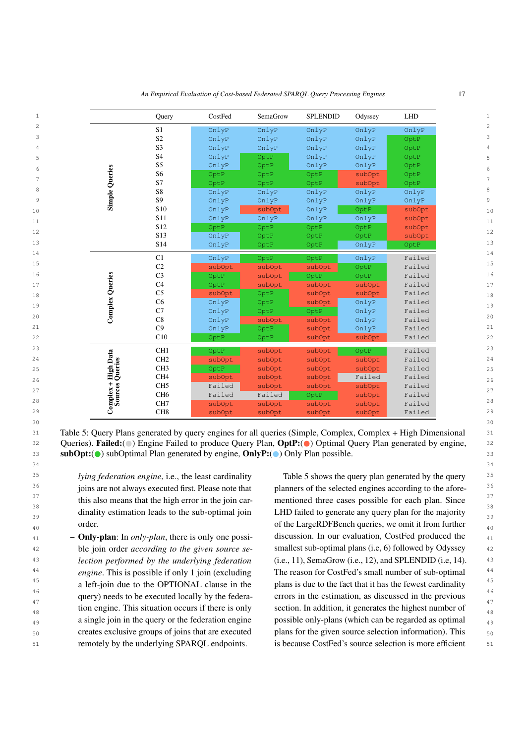<span id="page-16-0"></span>

| $\mathbf 1$ |                          | Query           | CostFed | SemaGrow | <b>SPLENDID</b> | Odyssey | <b>LHD</b> |
|-------------|--------------------------|-----------------|---------|----------|-----------------|---------|------------|
| 2           |                          | S <sub>1</sub>  | OnlyP   | OnlyP    | OnlyP           | OnlyP   | OnlyP      |
| 3           |                          | S <sub>2</sub>  | OnlyP   | OnlyP    | OnlyP           | OnlyP   | OptP       |
| 4           |                          | S <sub>3</sub>  | OnlyP   | OnlyP    | OnlyP           | OnlyP   | OptP       |
| 5           |                          | S <sub>4</sub>  | OnlyP   | OptP     | OnlyP           | OnlyP   | OptP       |
| 6           |                          | S5              | OnlyP   | OptP     | OnlyP           | OnlyP   | OptP       |
|             | <b>Simple Queries</b>    | S <sub>6</sub>  | OptP    | OptP     | OptP            | subOpt  | OptP       |
| 7           |                          | S7              | OptP    | OptP     | OptP            | subOpt  | OptP       |
| 8           |                          | S8              | OnlyP   | OnlyP    | OnlyP           | OnlyP   | OnlyP      |
| 9           |                          | S <sub>9</sub>  | OnlyP   | OnlyP    | OnlyP           | OnlyP   | OnlyP      |
| 10          |                          | S10             | OnlyP   | subOpt   | OnlyP           | OptP    | subOpt     |
| 11          |                          | S11             | OnlyP   | OnlyP    | OnlyP           | OnlyP   | subOpt     |
| 12          |                          | S12             | OptP    | OptP     | OptP            | OptP    | subOpt     |
|             |                          | S <sub>13</sub> | OnlyP   | OptP     | OptP            | OptP    | subOpt     |
| 13          |                          | S14             | OnlyP   | OptP     | OptP            | OnlyP   | OptP       |
| 14          |                          | C1              | OnlyP   | OptP     | OptP            | OnlyP   | Failed     |
| 15          |                          | C <sub>2</sub>  | subOpt  | subOpt   | subOpt          | OptP    | Failed     |
| 16          |                          | C <sub>3</sub>  | OptP    | subOpt   | OptP            | OptP    | Failed     |
| 17          |                          | C <sub>4</sub>  | OptP    | subOpt   | subOpt          | subOpt  | Failed     |
| 18          | <b>Complex Queries</b>   | C <sub>5</sub>  | subOpt  | OptP     | subOpt          | subOpt  | Failed     |
| 19          |                          | C6              | OnlyP   | OptP     | subOpt          | OnlyP   | Failed     |
|             |                          | C7              | OnlyP   | OptP     | OptP            | OnlyP   | Failed     |
| 20          |                          | C8              | OnlyP   | subOpt   | subOpt          | OnlyP   | Failed     |
| 21          |                          | C9              | OnlyP   | OptP     | subOpt          | OnlyP   | Failed     |
| 22          |                          | C10             | OptP    | OptP     | subOpt          | subOpt  | Failed     |
| 23          |                          | CH <sub>1</sub> | OptP    | subOpt   | subOpt          | OptP    | Failed     |
| 24          | - High Data<br>Queries   | CH <sub>2</sub> | subOpt  | subOpt   | subOpt          | subOpt  | Failed     |
| 25          |                          | CH <sub>3</sub> | OptP    | subOpt   | subOpt          | subOpt  | Failed     |
| 26          |                          | CH <sub>4</sub> | subOpt  | subOpt   | subOpt          | Failed  | Failed     |
|             |                          | CH <sub>5</sub> | Failed  | subOpt.  | subOpt          | subOpt  | Failed     |
| 27          |                          | CH <sub>6</sub> | Failed  | Failed   | OptP            | subOpt  | Failed     |
| 28          | $Complex +$<br>Sources ( | CH <sub>7</sub> | subOpt  | subOpt   | subOpt          | subOpt  | Failed     |
| 29          |                          | CH <sub>8</sub> | subOpt  | subOpt   | subOpt          | subOpt  | Failed     |
|             |                          |                 |         |          |                 |         |            |

*An Empirical Evaluation of Cost-based Federated SPARQL Query Processing Engines* 17

31 31 Table 5: Query Plans generated by query engines for all queries (Simple, Complex, Complex + High Dimensional 32 Queries). Failed:( ) Engine Failed to produce Query Plan, OptP:( ) Optimal Query Plan generated by engine, 32 **subOpt:**( $\bullet$ ) subOptimal Plan generated by engine, **OnlyP:**( $\bullet$ ) Only Plan possible.

 $30$ 

34 34

*lying federation engine*, i.e., the least cardinality dinality estimation leads to the sub-optimal join order.

<sup>42</sup> ble join order *according to the given source se* smallest sub-optimal plans (i.e, 6) followed by Odyssey <sup>42</sup> *A3 lection performed by the underlying federation* (i.e., 11), SemaGrow (i.e., 12), and SPLENDID (i.e, 14).  $43$ <sup>44</sup> engine. This is possible if only 1 join (excluding The reason for CostFed's small number of sub-optimal <sup>44</sup> <sup>45</sup> a left-join due to the OPTIONAL clause in the plans is due to the fact that it has the fewest cardinality  $45$ <sup>46</sup> query) needs to be executed locally by the federa- errors in the estimation, as discussed in the previous  $\frac{1}{47}$   $\frac{1}{47}$   $\frac{1}{47}$   $\frac{1}{47}$   $\frac{1}{47}$   $\frac{1}{47}$   $\frac{1}{47}$   $\frac{1}{47}$   $\frac{1}{47}$   $\frac{1}{47}$   $\frac{1}{47}$   $\frac{1}{47}$   $\frac{1}{47}$   $\frac{1}{47}$   $\frac{1}{47}$   $\frac{1}{47}$   $\frac{1}{47}$   $\frac{1}{47}$   $\frac{1}{47}$   $\frac{1}{47}$  <sup>48</sup> tion engine. This situation occurs if there is only section. In addition, it generates the highest number of <sup>49</sup> a single join in the query or the federation engine possible only-plans (which can be regarded as optimal <sup>49</sup> <sub>50</sub> creates exclusive groups of joins that are executed plans for the given source selection information). This <sub>50</sub> 51 **51** 51 **51 EXECUTE:** TERRAPE **reduced FEDGES** 51 **c** is because CostFed's source selection is more efficient 51 – Only-plan: In *only-plan*, there is only one possible join order *according to the given source selection performed by the underlying federation engine*. This is possible if only 1 join (excluding a left-join due to the OPTIONAL clause in the query) needs to be executed locally by the federation engine. This situation occurs if there is only a single join in the query or the federation engine creates exclusive groups of joins that are executed remotely by the underlying SPARQL endpoints.

 $35$  *lying federation engine*, i.e., the least cardinality Table [5](#page-16-0) shows the query plan generated by the query  $35$ <sup>36</sup> joins are not always executed first. Please note that planners of the selected engines according to the afore-<sup>37</sup> this also means that the high error in the join car-<br>this also means that the high error in the join car-<br>and the cases possible for each plan. Since 38 38 dinality estimation leads to the sub-optimal join LHD failed to generate any query plan for the majority  $\frac{39}{39}$ <sup>40</sup> order. and order order the LargeRDFBench queries, we omit it from further  $41$  - Only-plan: In only-plan, there is only one possi-<br>discussion. In our evaluation, CostFed produced the  $41$ planners of the selected engines according to the aforementioned three cases possible for each plan. Since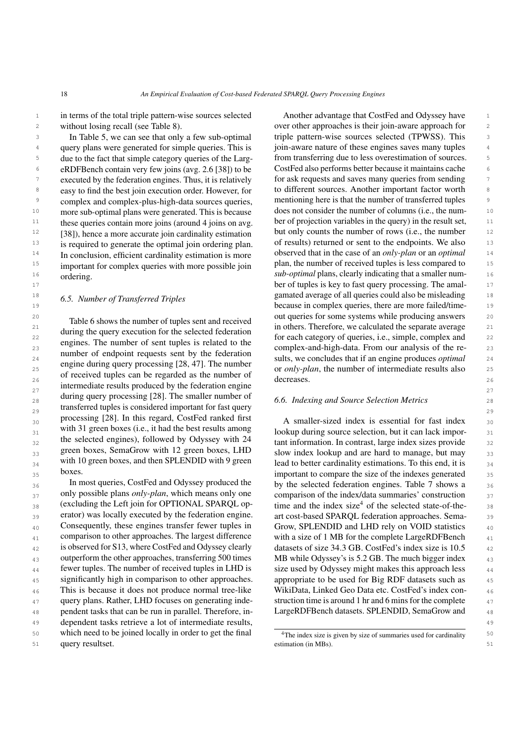<sup>1</sup> in terms of the total triple pattern-wise sources selected Another advantage that CostFed and Odyssey have <sup>1</sup> without losing recall (see Table [8\)](#page-19-0).

In Table [5,](#page-16-0) we can see that only a few sub-optimal eRDFBench contain very few joins (avg. 2.6 [\[38\]](#page-24-12)) to be executed by the federation engines. Thus, it is relatively easy to find the best join execution order. However, for more sub-optimal plans were generated. This is because these queries contain more joins (around 4 joins on avg. [\[38\]](#page-24-12)), hence a more accurate join cardinality estimation is required to generate the optimal join ordering plan. In conclusion, efficient cardinality estimation is more important for complex queries with more possible join ordering.

#### *6.5. Number of Transferred Triples*

<sup>21</sup> during the question for the selected federation in others. Therefore, we calculated the separate average 21  $\frac{1}{2^2}$  22 and  $\frac{1}{2^2}$  are property of each category of queries, i.e., simple, complex and 22  $23$  complex-and-high-data. From our analysis of the re-<br>  $23$ 24 24 sults, we concludes that if an engine produces *optimal*  $25$  25 cm in the number of intermediate results also  $25$  25 cm intermediate results also 25  $\frac{26}{26}$  of received tuples can be regarded as the number of  $\frac{61 \text{ cm/s}}{26}$  cereases. intermediate results produced by the federation engine 28 28 *6.6. Indexing and Source Selection Metrics* transferred tuples is considered important for fast query  $\frac{29}{29}$  $_{30}$  processing [28]. In this regard, Costred ranked first  $\alpha$  smaller-sized index is essential for fast index  $_{30}$  $_{31}$  with 31 green boxes (i.e., it had the best results among lookup during source selection, but it can lack impor- $_{32}$  the selected engines), followed by Odyssey with  $24$  tant information. In contrast, large index sizes provide  $_{32}$  $_{33}$  green boxes, SemaGrow with 12 green boxes, LHD slow index lookup and are hard to manage, but may  $_{33}$  $_{34}$  with 10 green boxes, and then SPLENDID with 9 green lead to better cardinality estimations. To this end, it is  $_{34}$ Table [6](#page-18-0) shows the number of tuples sent and received during the query execution for the selected federation engines. The number of sent tuples is related to the number of endpoint requests sent by the federation engine during query processing [\[28,](#page-23-11) [47\]](#page-24-3). The number during query processing [\[28\]](#page-23-11). The smaller number of processing [\[28\]](#page-23-11). In this regard, CostFed ranked first with 31 green boxes (i.e., it had the best results among the selected engines), followed by Odyssey with 24 green boxes, SemaGrow with 12 green boxes, LHD with 10 green boxes, and then SPLENDID with 9 green boxes.

 $_{36}$  In most queries, CostFed and Odyssey produced the by the selected federation engines. Table [7](#page-18-1) shows a  $_{36}$  $37$  only possible plans *only-plan*, which means only one comparison of the index/data summaries' construction  $37$  $38$  (excluding the Left join for OPTIONAL SPARQL op-<br> $38$  time and the index size<sup>[4](#page-17-0)</sup> of the selected state-of-the-<sup>39</sup> 39 erator) was locally executed by the federation engine. art cost-based SPARQL federation approaches. Sema- $_{40}$  Consequently, these engines transfer fewer tuples in Grow, SPLENDID and LHD rely on VOID statistics  $_{40}$ <sup>41</sup> comparison to other approaches. The largest difference with a size of 1 MB for the complete LargeRDFBench <sup>41</sup> <sup>42</sup> is observed for S13, where CostFed and Odyssey clearly datasets of size 34.3 GB. CostFed's index size is 10.5 <sup>43</sup> outperform the other approaches, transferring 500 times MB while Odyssey's is 5.2 GB. The much bigger index <sup>44</sup> fewer tuples. The number of received tuples in LHD is size used by Odyssey might makes this approach less <sup>44</sup> <sup>45</sup> significantly high in comparison to other approaches. appropriate to be used for Big RDF datasets such as <sup>45</sup> <sup>46</sup> This is because it does not produce normal tree-like WikiData, Linked Geo Data etc. CostFed's index con-47 query plans. Rather, LHD focuses on generating inde-<br>47 48 pendent tasks that can be run in parallel. Therefore, in-<br>LargeRDFBench datasets. SPLENDID, SemaGrow and<br>48 49 49 dependent tasks retrieve a lot of intermediate results, 50 which need to be joined locally in order to get the final  $\frac{4}{\text{The index size is given by size of summarizes the final}}$ In most queries, CostFed and Odyssey produced the only possible plans *only-plan*, which means only one (excluding the Left join for OPTIONAL SPARQL operator) was locally executed by the federation engine. Consequently, these engines transfer fewer tuples in is observed for S13, where CostFed and Odyssey clearly outperform the other approaches, transferring 500 times fewer tuples. The number of received tuples in LHD is query resultset.

2 2 over other approaches is their join-aware approach for 3 In Table 5, we can see that only a few sub-optimal triple pattern-wise sources selected (TPWSS). This <sup>4</sup> query plans were generated for simple queries. This is join-aware nature of these engines saves many tuples <sup>5</sup> due to the fact that simple category queries of the Larg-<br><sup>5</sup> from transferring due to less overestimation of sources. <sup>6</sup> eRDFBench contain very few joins (avg. 2.6 [38]) to be CostFed also performs better because it maintains cache <sup>7</sup> executed by the federation engines. Thus, it is relatively for ask requests and saves many queries from sending 8 easy to find the best join execution order. However, for to different sources. Another important factor worth <sup>8</sup> <sup>9</sup> complex and complex-plus-high-data sources queries, mentioning here is that the number of transferred tuples <sup>10</sup> more sub-optimal plans were generated. This is because does not consider the number of columns (i.e., the num-<sup>11</sup> these queries contain more joins (around 4 joins on avg. ber of projection variables in the query) in the result set, <sup>11</sup> <sup>12</sup> [38]), hence a more accurate join cardinality estimation but only counts the number of rows (i.e., the number <sup>12</sup> <sup>13</sup> is required to generate the optimal join ordering plan. of results) returned or sent to the endpoints. We also <sup>14</sup> In conclusion, efficient cardinality estimation is more observed that in the case of an *only-plan* or an *optimal* <sup>14</sup> <sup>15</sup> important for complex queries with more possible join plan, the number of received tuples is less compared to <sup>16</sup> ordering ordering **16** 16 and 16<sup>16</sup> to the sub-optimal plans, clearly indicating that a smaller num-17 17 **ber of tuples is key to fast query processing. The amal-** 17 <sup>18</sup> 6.5 Number of Transferred Triples **18** 18 mated average of all queries could also be misleading 18 19 19 because in complex queries, there are more failed/time-20 20 out queries for some systems while producing answers Another advantage that CostFed and Odyssey have join-aware nature of these engines saves many tuples from transferring due to less overestimation of sources. mentioning here is that the number of transferred tuples decreases.

s boxes. boxes boxes are not to compare the size of the indexes generated as with a size of 1 MB for the complete LargeRDFBench appropriate to be used for Big RDF datasets such as WikiData, Linked Geo Data etc. CostFed's index construction time is around 1 hr and 6 mins for the complete LargeRDFBench datasets. SPLENDID, SemaGrow and

<span id="page-17-0"></span><sup>51</sup> query resultset. 51 settimation (in MBs). 51 <sup>4</sup>The index size is given by size of summaries used for cardinality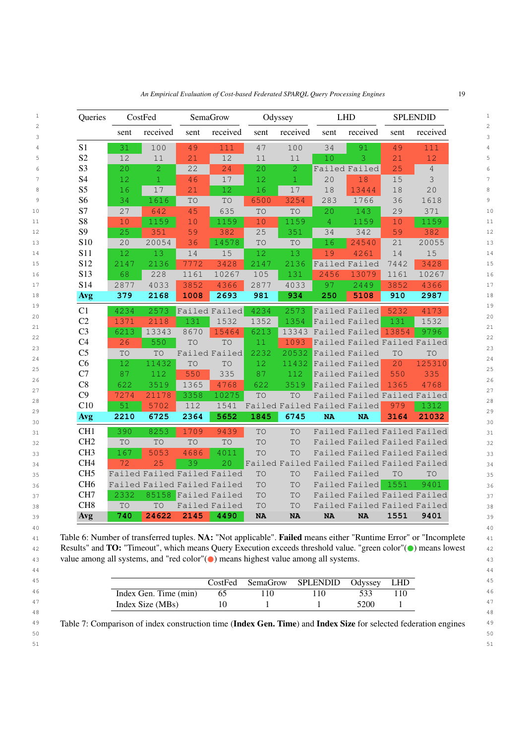<span id="page-18-0"></span>

| Queries         |      | CostFed                     |           | SemaGrow            |           | Odyssey                                   |                | <b>LHD</b>                  |                 | <b>SPLENDID</b> |
|-----------------|------|-----------------------------|-----------|---------------------|-----------|-------------------------------------------|----------------|-----------------------------|-----------------|-----------------|
|                 | sent | received                    | sent      | received            | sent      | received                                  | sent           | received                    | sent            | received        |
| S <sub>1</sub>  | 31   | 100                         | 49        | 111                 | 47        | 100                                       | 34             | 91                          | 49              | 111             |
| S <sub>2</sub>  | 12   | 11                          | 21        | 12                  | 11        | 11                                        | 10             | 3                           | 21              | 12              |
| S <sub>3</sub>  | 20   | $\overline{2}$              | 22        | 24                  | 20        | $\overline{2}$                            |                | Failed Failed               | 25              | $\overline{4}$  |
| <b>S4</b>       | 12   | $\mathbf{1}$                | 46        | 17                  | 12        | $\mathbf{1}$                              | 20             | 18                          | 15              | 3               |
| S <sub>5</sub>  | 16   | 17                          | 21        | 12                  | 16        | 17                                        | 18             | 13444                       | 18              | 20              |
| S <sub>6</sub>  | 34   | 1616                        | TO        | TO                  | 6500      | 3254                                      | 283            | 1766                        | 36              | 1618            |
| S7              | 27   | 642                         | 45        | 635                 | TO        | TO                                        | 20             | 143                         | 29              | 371             |
| S <sub>8</sub>  | 10   | 1159                        | 10        | 1159                | 10        | 1159                                      | $\overline{4}$ | 1159                        | 10              | 1159            |
| S <sub>9</sub>  | 25   | 351                         | 59        | 382                 | 25        | 351                                       | 34             | 342                         | 59              | 382             |
| S10             | 20   | 20054                       | 36        | 14578               | TO        | TO                                        | 16             | 24540                       | $\overline{21}$ | 20055           |
| <b>S11</b>      | 12   | 13                          | 14        | 15                  | 12        | 13                                        | 19             | 4261                        | 14              | 15              |
| S12             | 2147 | 2136                        | 7772      | 3428                | 2147      | 2136                                      |                | Failed Failed               | 7442            | 3428            |
| S13             | 68   | 228                         | 1161      | 10267               | 105       | 131                                       | 2456           | 13079                       | 1161            | 10267           |
| S14             | 2877 | 4033                        | 3852      | 4366                | 2877      | 4033                                      | 97             | 2449                        | 3852            | 4366            |
| <b>Avg</b>      | 379  | 2168                        | 1008      | 2693                | 981       | 934                                       | 250            | 5108                        | 910             | 2987            |
| C1              | 4234 | 2573                        |           | Failed Failed       | 4234      | 2573                                      |                | Failed Failed               | 5232            | 4173            |
| C2              | 1371 | 2118                        | 131       | 1532                | 1352      | 1354                                      |                | Failed Failed               | 131             | 1532            |
| C <sub>3</sub>  | 6213 | 13343                       | 8670      | 15464               | 6213      |                                           |                | 13343 Failed Failed         | 13854           | 9796            |
| C <sub>4</sub>  | 26   | 550                         | TO        | TO                  | 11        | 1093                                      |                | Failed Failed Failed Failed |                 |                 |
| C <sub>5</sub>  | TO   | TO                          |           | Failed Failed       | 2232      | 20532                                     |                | Failed Failed               | <b>TO</b>       | TO              |
| C6              | 12   | 11432                       | TO        | TO                  | 12        | 11432                                     |                | Failed Failed               | 20              | 125310          |
| C7              | 87   | 112                         | 550       | 335                 | 87        | 112                                       |                | Failed Failed               | 550             | 335             |
| C8              | 622  | 3519                        | 1365      | 4768                | 622       | 3519                                      |                | Failed Failed               | 1365            | 4768            |
| C9              | 7274 | 21178                       | 3358      | 10275               | TO        | TO                                        |                | Failed Failed Failed Failed |                 |                 |
| C10             | 51   | 5702                        | 112       | 1541                |           | Failed Failed Failed Failed               |                |                             | 979             | 1312            |
| <b>Avg</b>      | 2210 | 6725                        | 2364      | 5652                | 1845      | 6745                                      | <b>NA</b>      | <b>NA</b>                   | 3164            | 21032           |
| CH <sub>1</sub> | 390  | 8253                        | 1709      | 9439                | <b>TO</b> | TO                                        |                | Failed Failed Failed Failed |                 |                 |
| CH <sub>2</sub> | TO   | TO                          | <b>TO</b> | TO                  | TO        | TO                                        |                | Failed Failed Failed Failed |                 |                 |
| CH <sub>3</sub> | 167  | 5053                        | 4686      | 4011                | TO        | TO                                        |                | Failed Failed Failed Failed |                 |                 |
| CH <sub>4</sub> | 72   | 25                          | 39        | 20                  |           | Failed Failed Failed Failed Failed Failed |                |                             |                 |                 |
| CH <sub>5</sub> |      | Failed Failed Failed Failed |           |                     | TO        | TO                                        |                | Failed Failed               | <b>TO</b>       | TO              |
| CH <sub>6</sub> |      | Failed Failed Failed Failed |           |                     | TO        | TO                                        |                | Failed Failed               | 1551            | 9401            |
| CH7             | 2332 |                             |           | 85158 Failed Failed | TO        | TO                                        |                | Failed Failed Failed Failed |                 |                 |
| CH <sub>8</sub> | TO   | TO                          |           | Failed Failed       | TO        | TO                                        |                | Failed Failed Failed Failed |                 |                 |
| Avg             | 740  | 24622                       | 2145      | 4490                | <b>NA</b> | <b>NA</b>                                 | <b>NA</b>      | <b>NA</b>                   | 1551            | 9401            |

41 Table 6: Number of transferred tuples. NA: "Not applicable". Failed means either "Runtime Error" or "Incomplete 41 42 Results" and **TO:** "Timeout", which means Query Execution exceeds threshold value. "green color"( $\bullet$ ) means lowest 42 43 value among all systems, and "red color"( $\bullet$ ) means highest value among all systems.

<span id="page-18-1"></span>

| Index Gen. Time (min)<br>l 10<br>10<br>5200<br>Index Size (MBs) | CostFed | SemaGrow SPLENDID | Odvssey | <b>LHD</b> |
|-----------------------------------------------------------------|---------|-------------------|---------|------------|
|                                                                 |         |                   |         |            |
|                                                                 |         |                   |         |            |

44 44

49 Table 7: Comparison of index construction time (Index Gen. Time) and Index Size for selected federation engines 49

 $50$ 

51 51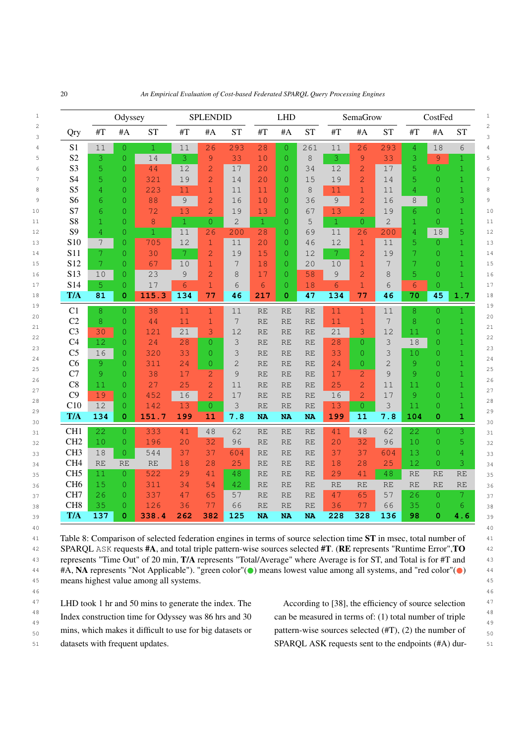<span id="page-19-0"></span>

|                 |           | Odyssey        |              |              | <b>SPLENDID</b> |                |                 | <b>LHD</b>     |           |               | SemaGrow       |                |                | CostFed        |              |
|-----------------|-----------|----------------|--------------|--------------|-----------------|----------------|-----------------|----------------|-----------|---------------|----------------|----------------|----------------|----------------|--------------|
| Qry             | #T        | #A             | <b>ST</b>    | #T           | #A              | <b>ST</b>      | #T              | #A             | <b>ST</b> | #T            | #A             | <b>ST</b>      | #T             | #A             | <b>ST</b>    |
| S <sub>1</sub>  | 11        | $\Omega$       | $\mathbf{1}$ | 11           | 26              | 293            | 28              | $\overline{0}$ | 261       | 11            | 26             | 293            | 4              | 18             | 6            |
| S <sub>2</sub>  | 3         | $\overline{0}$ | 14           | 3            | 9               | 33             | 10              | $\overline{O}$ | 8         | 3             | 9              | 33             | 3              | 9              | 1            |
| S <sub>3</sub>  | 5         | $\Omega$       | 44           | 12           | $\overline{2}$  | 17             | 20              | $\Omega$       | 34        | 12            | $\overline{2}$ | 17             | 5              | $\overline{0}$ | $\mathbf{1}$ |
| S <sub>4</sub>  | 5         | $\overline{0}$ | 321          | 19           | $\overline{2}$  | 14             | 20              | $\overline{0}$ | 15        | 19            | $\overline{2}$ | 14             | 5              | 0              | $\mathbf{1}$ |
| S <sub>5</sub>  | 4         | $\overline{0}$ | 223          | 11           | $\mathbf{1}$    | 11             | 11              | $\overline{0}$ | 8         | 11            | $\mathbf{1}$   | 11             | 4              | 0              | $\mathbf{1}$ |
| S <sub>6</sub>  | 6         | $\overline{0}$ | 88           | 9            | $\overline{c}$  | 16             | 10              | $\overline{O}$ | 36        | $\mathcal{G}$ | $\overline{2}$ | 16             | 8              | 0              | 3            |
| S7              | 6         | $\Omega$       | 72           | 13           | $\overline{2}$  | 19             | 13              | $\overline{O}$ | 67        | 13            | $\overline{2}$ | 19             | 6              | 0              | $\mathbf{1}$ |
| S <sub>8</sub>  | 1.        | $\Omega$       | 8            | $\mathbf{1}$ | $\Omega$        | $\overline{2}$ | $\mathbf{1}$    | $\Omega$       | 5         | $\mathbf{1}$  | $\Omega$       | $\overline{2}$ | 1              | 0              | $\mathbf{1}$ |
| S <sub>9</sub>  | 4         | $\Omega$       | $\mathbf{1}$ | 11           | 26              | 200            | $\overline{28}$ | $\Omega$       | 69        | 11            | 26             | 200            | 4              | 18             | 5            |
| S <sub>10</sub> | 7         | $\Omega$       | 705          | 12           | $\mathbf{1}$    | 11             | 20              | $\Omega$       | 46        | 12            | $\mathbf{1}$   | 11             | $\overline{5}$ | 0              | $\mathbf{1}$ |
| S11             | 7         | $\overline{0}$ | 30           | 7            | $\overline{2}$  | 19             | 15              | $\overline{0}$ | 12        | 7             | $\overline{2}$ | 19             | 7              | 0              | $\mathbf{1}$ |
| S <sub>12</sub> | 7         | $\Omega$       | 67           | 10           | 1               | 7              | 18              | $\Omega$       | 20        | 10            | $\mathbf{1}$   | 7              | 7              | $\overline{O}$ | $\mathbf{1}$ |
| S13             | 10        | $\overline{0}$ | 23           | 9            | $\overline{2}$  | 8              | 17              | $\overline{0}$ | 58        | 9             | $\overline{2}$ | 8              | 5              | 0              | 1            |
| S14             | 5         | $\overline{0}$ | 17           | 6            | $\mathbf{1}$    | 6              | 6               | $\overline{0}$ | 18        | 6             | $\mathbf{1}$   | 6              | 6              | 0              | $\mathbf{1}$ |
| T/A             | 81        | $\mathbf{0}$   | 115.3        | 134          | 77              | 46             | 217             | o              | 47        | 134           | 77             | 46             | 70             | 45             | 1.7          |
| C <sub>1</sub>  | 8         | $\Omega$       | 38           | 11           | $\mathbf{1}$    | 11             | <b>RE</b>       | <b>RE</b>      | <b>RE</b> | 11            | $\mathbf{1}$   | 11             | 8              | 0              | $\mathbf{1}$ |
| C <sub>2</sub>  | 8         | $\overline{0}$ | 44           | 11           | $\mathbf{1}$    | 7              | <b>RE</b>       | <b>RE</b>      | <b>RE</b> | 11            | $\mathbf{1}$   | 7              | 8              | 0              | $\mathbf{1}$ |
| C <sub>3</sub>  | 30        | $\Omega$       | 121          | 21           | 3               | 12             | <b>RE</b>       | <b>RE</b>      | <b>RE</b> | 21            | 3              | 12             | 11             | 0              | 1            |
| C <sub>4</sub>  | 12        | $\overline{0}$ | 24           | 28           | $\overline{0}$  | 3              | RE              | <b>RE</b>      | RE        | 28            | $\overline{0}$ | 3              | 18             | 0              | 1            |
| C <sub>5</sub>  | 16        | $\Omega$       | 320          | 33           | $\Omega$        | 3              | <b>RE</b>       | <b>RE</b>      | <b>RE</b> | 33            | $\Omega$       | 3              | 10             | 0              | $\mathbf{1}$ |
| C6              | 9         | $\overline{0}$ | 311          | 24           | $\overline{0}$  | $\overline{2}$ | <b>RE</b>       | <b>RE</b>      | <b>RE</b> | 24            | $\overline{0}$ | $\overline{2}$ | 9              | 0              | $\mathbf{1}$ |
| C7              | 9         | $\Omega$       | 38           | 17           | $\overline{2}$  | 9              | <b>RE</b>       | <b>RE</b>      | <b>RE</b> | 17            | $\overline{2}$ | 9              | 9              | 0              | $\mathbf{1}$ |
| C8              | 11        | $\Omega$       | 27           | 25           | $\overline{2}$  | 11             | <b>RE</b>       | <b>RE</b>      | <b>RE</b> | 25            | $\overline{2}$ | 11             | 11             | 0              | $\mathbf{1}$ |
| C9              | 19        | $\overline{0}$ | 452          | 16           | $\overline{2}$  | 17             | <b>RE</b>       | <b>RE</b>      | <b>RE</b> | 16            | $\overline{2}$ | 17             | 9              | 0              | $\mathbf{1}$ |
| C10             | 12        | $\overline{0}$ | 142          | 13           | $\overline{0}$  | 3              | <b>RE</b>       | <b>RE</b>      | <b>RE</b> | 13            | $\overline{0}$ | 3              | 11             | 0              | $\mathbf{1}$ |
| T/A             | 134       | $\mathbf 0$    | 151.7        | 199          | 11              | 7.8            | <b>NA</b>       | <b>NA</b>      | <b>NA</b> | 199           | 11             | 7.8            | 104            | 0              | $\mathbf{1}$ |
| CH <sub>1</sub> | 22        | $\overline{0}$ | 333          | 41           | 48              | 62             | <b>RE</b>       | <b>RE</b>      | <b>RE</b> | 41            | 48             | 62             | 22             | 0              | 3            |
| CH <sub>2</sub> | 10        | $\Omega$       | 196          | 20           | 32              | 96             | <b>RE</b>       | <b>RE</b>      | <b>RE</b> | 20            | 32             | 96             | 10             | 0              | 5            |
| CH <sub>3</sub> | 18        | $\Omega$       | 544          | 37           | 37              | 604            | <b>RE</b>       | <b>RE</b>      | <b>RE</b> | 37            | 37             | 604            | 13             | $\Omega$       | 4            |
| CH <sub>4</sub> | <b>RE</b> | <b>RE</b>      | <b>RE</b>    | 18           | 28              | 25             | <b>RE</b>       | <b>RE</b>      | <b>RE</b> | 18            | 28             | 25             | 12             | 0              | 3            |
| CH <sub>5</sub> | 11        | $\Omega$       | 522          | 29           | 41              | 48             | <b>RE</b>       | <b>RE</b>      | <b>RE</b> | 29            | 41             | 48             | <b>RE</b>      | <b>RE</b>      | <b>RE</b>    |
| CH <sub>6</sub> | 15        | $\overline{0}$ | 311          | 34           | 54              | 42             | <b>RE</b>       | <b>RE</b>      | <b>RE</b> | RE            | <b>RE</b>      | <b>RE</b>      | <b>RE</b>      | <b>RE</b>      | <b>RE</b>    |
| CH7             | 26        | $\overline{0}$ | 337          | 47           | 65              | 57             | <b>RE</b>       | <b>RE</b>      | <b>RE</b> | 47            | 65             | 57             | 26             | $\overline{0}$ | 7            |
| CH <sub>8</sub> | 35        | $\overline{0}$ | 126          | 36           | 77              | 66             | <b>RE</b>       | <b>RE</b>      | <b>RE</b> | 36            | 77             | 66             | 35             | 0              | 6            |
| T/A             | 137       | 0              | 338.4        | 262          | 382             | 125            | <b>NA</b>       | <b>NA</b>      | <b>NA</b> | 228           | 328            | 136            | 98             | 0              | 4.6          |

40 40

<sup>41</sup> Table 8: Comparison of selected federation engines in terms of source selection time **ST** in msec, total number of <sup>41</sup> 42 SPARQL ASK requests #A, and total triple pattern-wise sources selected #T. (RE represents "Runtime Error", TO 42 43 43 represents "Time Out" of 20 min, T/A represents "Total/Average" where Average is for ST, and Total is for #T and <sup>44</sup> #A, NA represents "Not Applicable"). "green color"( $\bullet$ ) means lowest value among all systems, and "red color"( $\bullet$ ) <sup>44</sup> 45 45 means highest value among all systems.

46 46

<sup>47</sup> LHD took 1 hr and 50 mins to generate the index. The According to [38], the efficiency of source selection <sup>47</sup> <sup>48</sup> Index construction time for Odyssey was 86 hrs and 30 can be measured in terms of: (1) total number of triple 49 and  $\frac{1}{49}$  $_{50}$  mins, which makes it difficult to use for big datasets or pattern-wise sources selected (#T), (2) the number of  $_{50}$ Index construction time for Odyssey was 86 hrs and 30 datasets with frequent updates.

51 datasets with frequent updates. SPARQL ASK requests sent to the endpoints (#A) dur-According to [\[38\]](#page-24-12), the efficiency of source selection pattern-wise sources selected (#T), (2) the number of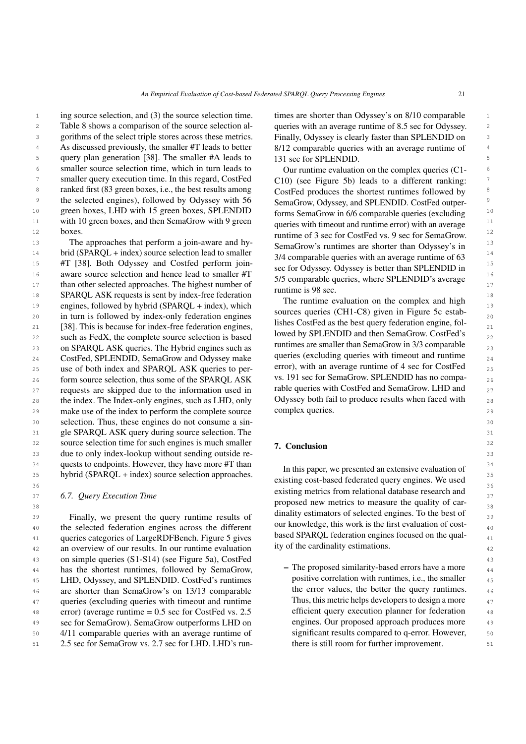<sup>1</sup> ing source selection, and (3) the source selection time. times are shorter than Odyssey's on 8/10 comparable 2 Table [8](#page-19-0) shows a comparison of the source selection al-queries with an average runtime of 8.5 sec for Odyssey. 3 3 gorithms of the select triple stores across these metrics. 4 As discussed previously, the smaller #T leads to better 8/12 comparable queries with an average runtime of 5 5 query plan generation [\[38\]](#page-24-12). The smaller #A leads to <sup>6</sup> smaller source selection time, which in turn leads to Our runtime evaluation on the complex queries (C1-<sup>7</sup> smaller query execution time. In this regard, CostFed C10) (see Figure 5b) leads to a different ranking: <sup>8</sup> ranked first (83 green boxes, i.e., the best results among CostFed produces the shortest runtimes followed by <sup>9</sup> the selected engines), followed by Odyssey with 56 SemaGrow Odyssey and SPLENDID. CostFed outper-<sup>10</sup> green boxes, LHD with 15 green boxes, SPLENDID forms SemaGrow in 6/6 comparable queries (excluding <sup>10</sup> 11 with 10 green boxes, and then SemaGrow with 9 green queries with time out and runtime error) with an average boxes.

 $14$  brid (SPARQL + index) source selection lead to smaller  $\frac{24}{4}$  comparable queries with an average runtime of 63  $\frac{14}{4}$ 15  $#T$  [\[38\]](#page-24-12). Both Odyssey and Costfed perform join-<br>28  $\frac{60}{20}$  for Odyssey Odyssey is helter then SDI ENDID in 16 aware source selection and hence lead to smaller  $\#T$  5.15 compared by source the SDI ENDID's suggests of the state of the state of the state of the state of the state of the state of the state of the state of the sta 17 than other selected approaches. The highest number of the strategy and the selected approaches. The highest number of the strategy of the strategy of the strategy of the strategy of the strategy of the strategy of the s 18 **SPARQL ASK requests is sent by index-free federation** The mutting supplying on the coupling and high <sup>18</sup> 19 engines, followed by hybrid (SPARQL + index), which the fundamental contract of the complex and institution 20 in turn is followed by index-only federation engines but the queries (CITI-Co) given in Figure 5C establishing 21 [\[38\]](#page-24-12). This is because for index-free federation engines,<br>21 **21 EXECUTE:** THE SOLUTED ASSISTED ASSISTED FOR THE REFLECTION ENGINEERS OF THE REFLECTION ENGINEERS OF THE REFLECTION OF THE REFLECTION OF THE REFLECTION OF 22 such as FedX, the complete source selection is based lowed by SPLENDID and then Semacrow. Costred s 23 on SPARQL ASK queries. The Hybrid engines such as the function of the sinality man semator of in 5/3 comparable  $24$  CostFed, SPLENDID, SemaGrow and Odyssey make queries (excluding queries with timeout and runtime  $24$ 25 use of both index and SPARQL ASK queries to per-<br>25 use of both index and SPARQL ASK queries to per-<br>25 26 form source selection, thus some of the SPARQL ASK vs. 191 sec for SemaGrow. SPLENDID has no compa- $27$  requests are skipped due to the information used in Table queries with CostFed and SemaGrow. LHD and  $27$ 28 the index. The Index-only engines, such as LHD, only Odyssey both fail to produce results when faced with 28 29 make use of the index to perform the complete source complex queries. 29 30 30 selection. Thus, these engines do not consume a sin-31 31 gle SPARQL ASK query during source selection. The  $32$  source selection time for such engines is much smaller  $\frac{7}{2}$  Conclusion  $32$ 33 33 due to only index-lookup without sending outside re-<sup>34</sup> quests to endpoints. However, they have more #T than In this paper we presented an extensive evaluation of <sup>34</sup> <sup>35</sup> hybrid (SPARQL + index) source selection approaches. The individual source in the selection approaches.

39 Finally, we present the query runtime results of different contractors of selected eighteent of 39 40 the selected federation engines across the different our knowledge, this work is the first evaluation of cost-41 queries categories of LargeRDFBench. Figure [5](#page-21-0) gives based SPARQL lederation engines locused on the qual-42 an overview of our results. In our runtime evaluation ty of the cardinality estimations. 43 43 on simple queries (S1-S14) (see Figure [5a\)](#page-21-0), CostFed <sup>44</sup> has the shortest runtimes, followed by SemaGrow,  $\overline{a}$  Ine proposed similarity-based errors have a more 45 LHD, Odyssey, and SPLENDID. CostFed's runtimes positive correlation with runtimes, i.e., the smaller  $\frac{45}{45}$ <sup>46</sup> are shorter than SemaGrow's on 13/13 comparable the error values, the better the query runtimes. <sup>47</sup> queries (excluding queries with timeout and runtime Thus, this metric helps developers to design a more 48 48 error) (average runtime = 0.5 sec for CostFed vs. 2.5 49 49 sec for SemaGrow). SemaGrow outperforms LHD on 50 50 4/11 comparable queries with an average runtime of

times are shorter than Odyssey's on 8/10 comparable queries with an average runtime of 8.5 sec for Odyssey. Finally, Odyssey is clearly faster than SPLENDID on 8/12 comparable queries with an average runtime of 131 sec for SPLENDID.

12 boxes. The cost of 3 sec for CostFed vs. 9 sec for SemaGrow. <sup>12</sup> 13 13 The approaches that perform a join-aware and hy-Our runtime evaluation on the complex queries (C1- C10) (see Figure [5b\)](#page-21-0) leads to a different ranking: CostFed produces the shortest runtimes followed by SemaGrow, Odyssey, and SPLENDID. CostFed outperforms SemaGrow in 6/6 comparable queries (excluding queries with timeout and runtime error) with an average SemaGrow's runtimes are shorter than Odyssey's in 3/4 comparable queries with an average runtime of 63 sec for Odyssey. Odyssey is better than SPLENDID in 5/5 comparable queries, where SPLENDID's average runtime is 98 sec.

> The runtime evaluation on the complex and high sources queries (CH1-C8) given in Figure [5c](#page-21-0) establishes CostFed as the best query federation engine, followed by SPLENDID and then SemaGrow. CostFed's runtimes are smaller than SemaGrow in 3/3 comparable queries (excluding queries with timeout and runtime error), with an average runtime of 4 sec for CostFed vs. 191 sec for SemaGrow. SPLENDID has no comparable queries with CostFed and SemaGrow. LHD and Odyssey both fail to produce results when faced with complex queries.

## <span id="page-20-0"></span>7. Conclusion

<sup>36</sup><br>existing metrics from relational database research and<br><sup>27</sup> 37 37 *6.7. Query Execution Time*  $\frac{38}{38}$  proposed new metrics to measure the quality of car-In this paper, we presented an extensive evaluation of existing cost-based federated query engines. We used dinality estimators of selected engines. To the best of our knowledge, this work is the first evaluation of costbased SPARQL federation engines focused on the quality of the cardinality estimations.

51 51 2.5 sec for SemaGrow vs. 2.7 sec for LHD. LHD's run-– The proposed similarity-based errors have a more positive correlation with runtimes, i.e., the smaller the error values, the better the query runtimes. Thus, this metric helps developers to design a more efficient query execution planner for federation engines. Our proposed approach produces more significant results compared to q-error. However, there is still room for further improvement.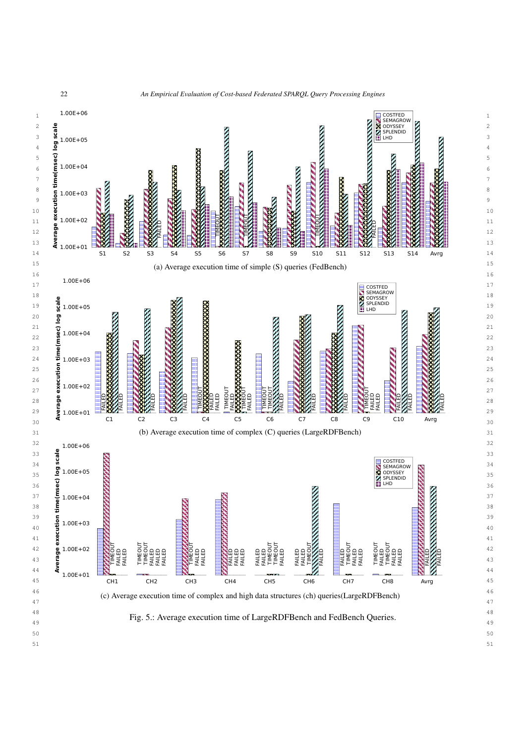

<sup>22</sup> *An Empirical Evaluation of Cost-based Federated SPARQL Query Processing Engines*

<span id="page-21-0"></span>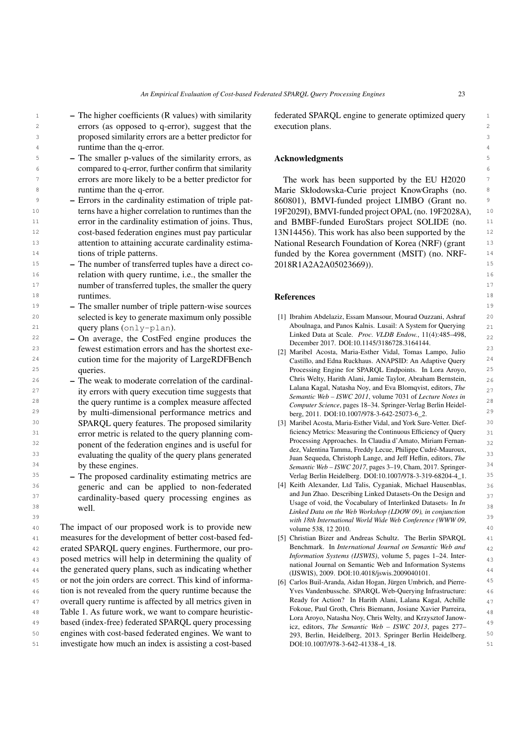- <sup>1</sup> The higher coefficients (R values) with similarity federated SPARQL engine to generate optimized query <sup>1</sup> 2 2 errors (as opposed to q-error), suggest that the 3 3 proposed similarity errors are a better predictor for 4 a runtime than the q-error. – The higher coefficients (R values) with similarity
- 5 The smaller p-values of the similarity errors, as **Acknowledgments** 5 6 6 compared to q-error, further confirm that similarity <sup>7</sup> errors are more likely to be a better predictor for The work has been supported by the EU H2020 <sup>7</sup> errors are more likely to be a better predictor for runtime than the q-error.
- 9 Errors in the cardinality estimation of triple pat 860801), BMVI-funded project LIMBO (Grant no. <sup>10</sup> terns have a higher correlation to runtimes than the 19F2029I), BMVI-funded project OPAL (no. 19F2028A), <sup>10</sup> <sup>11</sup> error in the cardinality estimation of joins. Thus, and BMBF-funded EuroStars project SOLIDE (no. <sup>11</sup> <sup>12</sup> cost-based federation engines must pay particular 13N14456). This work has also been supported by the <sup>12</sup> <sup>13</sup> 13 **13** 11 attention to attaining accurate cardinality estima-<br>
National Research Foundation of Korea (NRF) (grant – Errors in the cardinality estimation of triple patterns have a higher correlation to runtimes than the error in the cardinality estimation of joins. Thus, cost-based federation engines must pay particular attention to attaining accurate cardinality estimations of triple patterns.
- <sup>15</sup> The number of transferred tuples have a direct co- 2018R1A2A2A05023669). 16 16 relation with query runtime, i.e., the smaller the <sup>17</sup> 17 **number of transferred tuples, the smaller the query** 17 **number of transferred tuples, the smaller the query** 18 muntimes. 2012 muntimes and the contract of the contract of the contract of the contract of the contract of the contract of the contract of the contract of the contract of the contract of the contract of the contract of runtimes.
- 19 19 The smaller number of triple pattern-wise sources 20 20 selected is key to generate maximum only possible 21 21 Aboulnaga, and Panos Kalnis. Lusail: A System for Querying query plans (only-plan).
- $22$  On average, the CostFed engine produces the  $22$   $22 \text{ hours}$  and  $22 \text{ hours}$   $22 \text{ hours}$   $22 \text{ hours}$   $22 \text{ hours}$   $22 \text{ hours}$   $22 \text{ hours}$   $22 \text{ hours}$   $22 \text{ hours}$   $22 \text{ hours}$   $22 \text{ hours}$   $22 \text{ hours}$   $22 \text{ hours}$   $22 \text{ hours}$   $22 \text{ hours}$   $22 \text{ hours}$ 23 23 fewest estimation errors and has the shortest exe-<sup>24</sup> cution time for the majority of LargeRDFBench Castillo, and Edna Ruckhaus. ANAPSID: An Adaptive Query<sup>24</sup> 25 25 Processing Engine for SPARQL Endpoints. In Lora Aroyo, queries.
- <sup>26</sup> The weak to moderate correlation of the cardinal-<br><sup>26</sup> The weak to moderate correlation of the cardinal-27 ity errors with query execution time suggests that  $\frac{27}{27}$   $\frac{27}{27}$  and  $\frac{27}{27}$  and  $\frac{27}{27}$  and  $\frac{27}{27}$  and  $\frac{27}{27}$  and  $\frac{27}{27}$  and  $\frac{27}{27}$  and  $\frac{27}{27}$  and  $\frac{27}{27}$  and  $\frac{27}{27}$ 28 **the query runtime is a complex measure affected** 28<br>
28 **28 Computer Science pages 18–34** Springer-Verlag Berlin Heidel-<sup>29</sup> by multi-dimensional performance metrics and berg, 2011. DOI:10.1007/978-3-642-25073-6\_2. 30 30 [3] Maribel Acosta, Maria-Esther Vidal, and York Sure-Vetter. Dief-31 **SIMPLE 2018** error metric is related to the query planning com-<br><sup>51</sup> since the seasuring the Continuous Efficiency of Query 32 **ponent of the federation engines and is useful for**  $\frac{1}{2}$   $\frac{1}{2}$   $\frac{1}{2}$   $\frac{1}{2}$   $\frac{1}{2}$   $\frac{1}{2}$   $\frac{1}{2}$   $\frac{1}{2}$   $\frac{1}{2}$   $\frac{1}{2}$   $\frac{1}{2}$   $\frac{1}{2}$   $\frac{1}{2}$   $\frac{1}{2}$   $\frac{1}{2}$   $\frac{1}{2}$   $\frac{1$ 33 33 evaluating the quality of the query plans generated  $\frac{1}{2}$  and  $\frac{1}{2}$  contains the manifold  $\frac{1}{2}$  and  $\frac{1}{2}$  and  $\frac{1}{2}$  and  $\frac{1}{2}$  and  $\frac{1}{2}$  and  $\frac{1}{2}$  and  $\frac{1}{2}$  and  $\frac{1}{2}$  and  $\frac{1$ <sup>34</sup> by these engines. Semantic Web – ISWC 2017, pages 3–19, Cham, 2017. Springer-<sup>34</sup> SPARQL query features. The proposed similarity by these engines.
- 35 35 The proposed cardinality estimating metrics are 36 36 [4] Keith Alexander, Ltd Talis, Cyganiak, Michael Hausenblas,  $37$  cardinality-based query processing engines as  $\frac{37}{2}$  and  $\frac{37}{2}$  cardinality-based query processing engines as  $\frac{37}{2}$ Cardinarity-based query processing engines as<br>38 Usage of void, the Vocabulary of Interlinked Datasets. In *In* 38 generic and can be applied to non-federated well.
- 40 The impact of our proposed work is to provide new volume 538, 12 2010. 41 measures for the development of better cost-based fed-<br>
[5] Christian Bizer and Andreas Schultz. The Berlin SPARQL 41 42 erated SPARQL query engines. Furthermore, our pro-<br>Benchmark. In International Journal on Semantic Web and<br>42 43 posed metrics will help in determining the quality of *Information Systems (IJSWIS)*, volume 5, pages 1–24. Inter-44 the generated query plans, such as indicating whether a the material of the distribution of the distribution of the state and the state and the state of the state of the state of the state of the state of the state of t 45 or not the join orders are correct. This kind of informa-<br>
[6] Carlos Buil-Aranda, Aidan Hogan, Jürgen Umbrich, and Pierre-<br>
<sup>45</sup> 46 46 tion is not revealed from the query runtime because the 47 47 overall query runtime is affected by all metrics given in 48 Table [1.](#page-2-0) As future work, we want to compare heuristic-<br> $\frac{1}{2}$  Table 1. As future work, we want to compare heuristic-49 based (index-free) federated SPARQL query processing<br>49  $\frac{1}{100}$  adjust The Semantic Web - ISWC 2013 pages 277 50 50 engines with cost-based federated engines. We want to

execution plans.

## Acknowledgments

8 8 Marie Skłodowska-Curie project KnowGraphs (no. 14 14 funded by the Korea government (MSIT) (no. NRF-2018R1A2A2A05023669)).

#### References

- <span id="page-22-0"></span>[1] Ibrahim Abdelaziz, Essam Mansour, Mourad Ouzzani, Ashraf Linked Data at Scale. *Proc. VLDB Endow.*, 11(4):485–498, December 2017. DOI[:10.1145/3186728.3164144.](https://doi.org/10.1145/3186728.3164144)
- <span id="page-22-3"></span>[2] Maribel Acosta, Maria-Esther Vidal, Tomas Lampo, Julio Castillo, and Edna Ruckhaus. ANAPSID: An Adaptive Query Chris Welty, Harith Alani, Jamie Taylor, Abraham Bernstein, Lalana Kagal, Natasha Noy, and Eva Blomqvist, editors, *The Semantic Web – ISWC 2011*, volume 7031 of *Lecture Notes in Computer Science*, pages 18–34. Springer-Verlag Berlin Heidelberg, 2011. DOI[:10.1007/978-3-642-25073-6\\_2.](https://doi.org/10.1007/978-3-642-25073-6_2)
- <span id="page-22-5"></span><span id="page-22-4"></span><span id="page-22-2"></span><span id="page-22-1"></span>ficiency Metrics: Measuring the Continuous Efficiency of Query Processing Approaches. In Claudia d'Amato, Miriam Fernandez, Valentina Tamma, Freddy Lecue, Philippe Cudré-Mauroux, Juan Sequeda, Christoph Lange, and Jeff Heflin, editors, *The* Verlag Berlin Heidelberg. DOI[:10.1007/978-3-319-68204-4\\_1.](https://doi.org/10.1007/978-3-319-68204-4_1)
- 39 39 *with 18th International World Wide Web Conference (WWW 09*, and Jun Zhao. Describing Linked Datasets-On the Design and *Linked Data on the Web Workshop (LDOW 09), in conjunction* volume 538, 12 2010.
	- [5] Christian Bizer and Andreas Schultz. The Berlin SPARQL Benchmark. In *International Journal on Semantic Web and Information Systems (IJSWIS)*, volume 5, pages 1–24. International Journal on Semantic Web and Information Systems (IJSWIS), 2009. DOI[:10.4018/jswis.2009040101.](https://doi.org/10.4018/jswis.2009040101)
- 51 51 investigate how much an index is assisting a cost-based [6] Carlos Buil-Aranda, Aidan Hogan, Jürgen Umbrich, and Pierre-Yves Vandenbussche. SPARQL Web-Querying Infrastructure: Ready for Action? In Harith Alani, Lalana Kagal, Achille Fokoue, Paul Groth, Chris Biemann, Josiane Xavier Parreira, Lora Aroyo, Natasha Noy, Chris Welty, and Krzysztof Janowicz, editors, *The Semantic Web – ISWC 2013*, pages 277– 293, Berlin, Heidelberg, 2013. Springer Berlin Heidelberg. DOI[:10.1007/978-3-642-41338-4\\_18.](https://doi.org/10.1007/978-3-642-41338-4_18)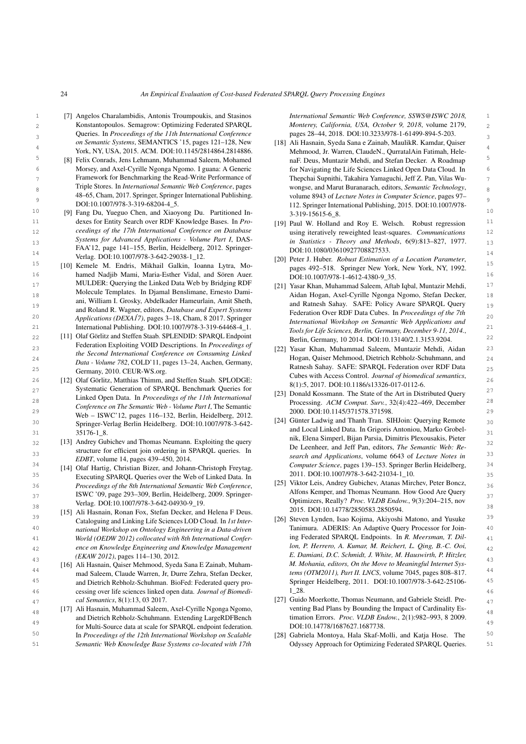- <span id="page-23-4"></span>1 [7] Angelos Charalambidis, Antonis Troumpoukis, and Stasinos *International Semantic Web Conference, SSWS@ISWC 2018*, 2 2 Konstantopoulos. Semagrow: Optimizing Federated SPARQL 3 3 Queries. In *Proceedings of the 11th International Conference on Semantic Systems*, SEMANTICS '15, pages 121–128, New
	- Framework for Benchmarking the Read-Write Performance of Triple Stores. In *International Semantic Web Conference*, pages 48–65, Cham, 2017. Springer, Springer International Publishing. DOI[:10.1007/978-3-319-68204-4\\_5.](https://doi.org/10.1007/978-3-319-68204-4_5)
- <span id="page-23-5"></span>11 11 dexes for Entity Search over RDF Knowledge Bases. In *Pro-*12 12 using iteratively reweighted least-squares. *Communications* 13 13 *in Statistics - Theory and Methods*, 6(9):813–827, 1977. 14<br>14 14 Verlag. DOI[:10.1007/978-3-642-29038-1\\_12.](https://doi.org/10.1007/978-3-642-29038-1_12) [201] Peter I Huber Robust Estimation of a Location Parameter *ceedings of the 17th International Conference on Database Systems for Advanced Applications - Volume Part I*, DAS-FAA'12, page 141–155, Berlin, Heidelberg, 2012. Springer-
- <span id="page-23-13"></span>15 15 [10] Kemele M. Endris, Mikhail Galkin, Ioanna Lytra, Mo-16 hamed Nadjib Mami, Maria-Esther Vidal, and Sören Auer. <br>16 hamed Nadjib Mami, Maria-Esther Vidal, and Sören Auer. <br>16 hamed Nadjib Mami, Maria-Esther Vidal, and Sören Auer. 17 17 [21] Yasar Khan, Muhammad Saleem, Aftab Iqbal, Muntazir Mehdi, 18 18 Aidan Hogan, Axel-Cyrille Ngonga Ngomo, Stefan Decker, 19 19 and Ratnesh Sahay. SAFE: Policy Aware SPARQL Query 20 *Applications (DEXA17)*, pages 3–18, Cham, 8 2017. Springer *Container and Semantic Web Applications and* 20 MULDER: Querying the Linked Data Web by Bridging RDF Molecule Templates. In Djamal Benslimane, Ernesto Damiani, William I. Grosky, Abdelkader Hameurlain, Amit Sheth, and Roland R. Wagner, editors, *Database and Expert Systems*
- <span id="page-23-6"></span>22  $[11]$  Olaf Görlitz and Steffen Staab. SPLENDID: SPARQL Endpoint<br>  $\frac{1}{22}$   $\frac{1}{21}$   $\frac{1}{2140/2}$   $\frac{1}{13140/2}$   $\frac{1}{13153}$   $\frac{3004}{22}$ 23 23 [22] Yasar Khan, Muhammad Saleem, Muntazir Mehdi, Aidan 24 24 Hogan, Qaiser Mehmood, Dietrich Rebholz-Schuhmann, and  $25$   $2444 - 26440 + 262$ ,  $2522$   $271$ ,  $284$   $284$   $294$   $295$   $294$   $295$   $294$   $296$   $295$   $296$   $297$   $299$   $299$   $299$   $299$   $299$   $299$   $299$   $299$   $299$   $299$   $299$   $299$   $299$   $299$   $299$   $299$   $299$   $299$   $299$   $2$ Federation Exploiting VOID Descriptions. In *Proceedings of the Second International Conference on Consuming Linked Data - Volume 782*, COLD'11, pages 13–24, Aachen, Germany, Germany, 2010. CEUR-WS.org.
- <span id="page-23-17"></span><span id="page-23-0"></span>26 [12] Olaf Görlitz, Matthias Thimm, and Steffen Staab. SPLODGE:<br>26 26112 2011 1126/21226 017 20110 1126 27 27 Systematic Generation of SPARQL Benchmark Queries for 21 Deneld Keepenn The State of the Art in Distributed Query 27 28 28 Processing. *ACM Comput. Surv.*, 32(4):422–469, December 29 **29** 2000. DOI[:10.1145/371578.371598.](https://doi.org/10.1145/371578.371598) 30 Springer Verlag Rettin Heidelberg DOI:10 1007/978,3,642. [24] Günter Ladwig and Thanh Tran. SIHJoin: Querying Remote 30 31 31 and Local Linked Data. In Grigoris Antoniou, Marko Grobel-Linked Open Data. In *Proceedings of the 11th International Conference on The Semantic Web - Volume Part I*, The Semantic Web – ISWC'12, pages 116–132, Berlin, Heidelberg, 2012. Springer-Verlag Berlin Heidelberg. DOI[:10.1007/978-3-642-](https://doi.org/10.1007/978-3-642-35176-1_8) [35176-1\\_8.](https://doi.org/10.1007/978-3-642-35176-1_8)
- <span id="page-23-19"></span> $\frac{32}{2}$  [13] Andrey Gubichev and Thomas Neumann. Exploiting the query  $\frac{32}{2}$  [14] Andrey Gubichev and Thomas Neumann. Exploiting the query  $\frac{32}{2}$ 33 33 *search and Applications*, volume 6643 of *Lecture Notes in* structure for efficient join ordering in SPARQL queries. In *EDBT*, volume 14, pages 439–450, 2014.
- <span id="page-23-3"></span>35 35 Executing SPARQL Queries over the Web of Linked Data. In <sup>36</sup> *Proceedings of the 8th International Semantic Web Conference*, [25] VIKIOT Lets, Anarey Gubicnev, Atanas Mirchev, Peter Boncz,  $\frac{36}{2}$ 37 37 ISWC '09, page 293–309, Berlin, Heidelberg, 2009. Springer-[14] Olaf Hartig, Christian Bizer, and Johann-Christoph Freytag. Verlag. DOI[:10.1007/978-3-642-04930-9\\_19.](https://doi.org/10.1007/978-3-642-04930-9_19)
- <span id="page-23-10"></span><span id="page-23-7"></span><sup>39</sup> Cataloguing and Linking Life Sciences LOD Cloud. In *Ist Inter*- [26] Steven Lynden, Isao Kojima, Akiyoshi Matono, and Yusuke <sup>39</sup> 40 *national Workshop on Ontology Engineering in a Data-driven* Tanimura. ADERIS: An Adaptive Query Processor for Join-41 *World (OEDW 2012) collocated with 8th International Confer-* **11 and Federated SPARQL Endpoints. In R. Meersman, T. Dil-**42 42 *ence on Knowledge Engineering and Knowledge Management* [15] Ali Hasnain, Ronan Fox, Stefan Decker, and Helena F Deus. Cataloguing and Linking Life Sciences LOD Cloud. In *1st International Workshop on Ontology Engineering in a Data-driven (EKAW 2012)*, pages 114–130, 2012.
- <span id="page-23-14"></span><sup>44</sup> and Saleem, Claude Warren, Jr. Durre Zehra, Stefan Decker, *tems (OTM2011), Part II. LNCS*, volume 7045, pages 808–817. 45 and Dietrich Rebholz-Schuhman. BioFed: Federated query pro-<br>
Springer Heidelberg, 2011. DOI[:10.1007/978-3-642-25106-](https://doi.org/10.1007/978-3-642-25106-1_28)<br>
<sup>45</sup> 46 46 cessing over life sciences linked open data. *Journal of Biomedi-*[16] Ali Hasnain, Qaiser Mehmood, Syeda Sana E Zainab, Muhammad Saleem, Claude Warren, Jr, Durre Zehra, Stefan Decker, and Dietrich Rebholz-Schuhman. BioFed: Federated query pro*cal Semantics*, 8(1):13, 03 2017.
- <span id="page-23-18"></span><sup>48</sup> [17] Ali Hasnain, Muhammad Saleem, Axel-Cyrille Ngonga Ngomo, venting Bad Plans by Bounding the Impact of Cardinality Es-49 49 for Multi-Source data at scale for SPARQL endpoint federation. 50 **In Proceedings of the 12th International Workshop on Scalable** [28] Gabriela Montoya, Hala Skaf-Molli, and Katja Hose. The <sup>50</sup> and Dietrich Rebholz-Schuhmann. Extending LargeRDFBench In *Proceedings of the 12th International Workshop on Scalable*

<span id="page-23-21"></span><span id="page-23-20"></span><span id="page-23-16"></span><span id="page-23-15"></span><span id="page-23-8"></span>*International Semantic Web Conference, SSWS@ISWC 2018, Monterey, California, USA, October 9, 2018*, volume 2179, pages 28–44, 2018. DOI[:10.3233/978-1-61499-894-5-203.](https://doi.org/10.3233/978-1-61499-894-5-203)

- <span id="page-23-12"></span>4<br>York, NY, USA, 2015. ACM. DOI[:10.1145/2814864.2814886.](https://doi.org/10.1145/2814864.2814886) Mehmood, Jr. Warren, ClaudeN., QurratalAin Fatimah, Hele-<sup>5</sup> [8] Felix Conrads, Jens Lehmann, Muhammad Saleem, Mohamed naF. Deus, Muntazir Mehdi, and Stefan Decker. A Roadmap 6 6 Morsey, and Axel-Cyrille Ngonga Ngomo. I guana: A Generic 7 7 Thepchai Supnithi, Takahira Yamaguchi, Jeff Z. Pan, Vilas Wu-8 8 8 1 Triple Stores. In *International Semantic Web Conference*, pages wongse, and Marut Buranarach, editors, *Semantic Technology*, 9 9 volume 8943 of *Lecture Notes in Computer Science*, pages 97– 10 10 [9] Fang Du, Yueguo Chen, and Xiaoyong Du. Partitioned In-[18] Ali Hasnain, Syeda Sana e Zainab, MaulikR. Kamdar, Qaiser Mehmood, Jr. Warren, ClaudeN., QurratalAin Fatimah, HelenaF. Deus, Muntazir Mehdi, and Stefan Decker. A Roadmap for Navigating the Life Sciences Linked Open Data Cloud. In 112. Springer International Publishing, 2015. DOI[:10.1007/978-](https://doi.org/10.1007/978-3-319-15615-6_8) [3-319-15615-6\\_8.](https://doi.org/10.1007/978-3-319-15615-6_8)
	- [19] Paul W. Holland and Roy E. Welsch. Robust regression DOI[:10.1080/03610927708827533.](https://doi.org/10.1080/03610927708827533)
	- [20] Peter J. Huber. *Robust Estimation of a Location Parameter*, pages 492–518. Springer New York, New York, NY, 1992. DOI[:10.1007/978-1-4612-4380-9\\_35.](https://doi.org/10.1007/978-1-4612-4380-9_35)
- 21 International Publishing. DOI[:10.1007/978-3-319-64468-4\\_1.](https://doi.org/10.1007/978-3-319-64468-4_1)  $T_{\text{e} \text{e} \text{f} \text{or} \text{f} \text{if} \text{f} \text{f} \text{or} \text{f} \text{if} \text{f} \text{or} \text{f} \text{or} \text{f} \text{or} \text{f} \text{or} \text{f} \text{or} \text{f} \text{or} \text{f} \text{or} \text{f} \text{or} \text{f} \text{or} \text{f} \text{or} \$ Federation Over RDF Data Cubes. In *Proceedings of the 7th International Workshop on Semantic Web Applications and Tools for Life Sciences, Berlin, Germany, December 9-11, 2014.*, Berlin, Germany, 10 2014. DOI[:10.13140/2.1.3153.9204.](https://doi.org/10.13140/2.1.3153.9204)
	- Cubes with Access Control. *Journal of biomedical semantics*, 8(1):5, 2017. DOI[:10.1186/s13326-017-0112-6.](https://doi.org/10.1186/s13326-017-0112-6)
	- [23] Donald Kossmann. The State of the Art in Distributed Query
- <span id="page-23-9"></span>34 34 *Computer Science*, pages 139–153. Springer Berlin Heidelberg, nik, Elena Simperl, Bijan Parsia, Dimitris Plexousakis, Pieter De Leenheer, and Jeff Pan, editors, *The Semantic Web: Re-*2011. DOI[:10.1007/978-3-642-21034-1\\_10.](https://doi.org/10.1007/978-3-642-21034-1_10)
- <span id="page-23-1"></span> $\frac{38}{20}$  38<br>2015. DOI[:10.14778/2850583.2850594.](https://doi.org/10.14778/2850583.2850594) [15] Ali Hasnain, Ronan Fox, Stefan Decker, and Helena F Deus [25] Viktor Leis, Andrey Gubichev, Atanas Mirchev, Peter Boncz, Alfons Kemper, and Thomas Neumann. How Good Are Query Optimizers, Really? *Proc. VLDB Endow.*, 9(3):204–215, nov
- 43 43 *M. Mohania, editors, On the Move to Meaningful Internet Sys*ing Federated SPARQL Endpoints. In *R. Meersman, T. Dillon, P. Herrero, A. Kumar, M. Reichert, L. Qing, B.-C. Ooi, E. Damiani, D.C. Schmidt, J. White, M. Hauswirth, P. Hitzler,* [1\\_28.](https://doi.org/10.1007/978-3-642-25106-1_28)
- <span id="page-23-2"></span>*cal Semantics*, 8(1):13, 03 2017. <sup>27</sup> 47 **(27)** Guido Moerkotte, Thomas Neumann, and Gabriele Steidl. Preventing Bad Plans by Bounding the Impact of Cardinality Estimation Errors. *Proc. VLDB Endow.*, 2(1):982–993, 8 2009. DOI[:10.14778/1687627.1687738.](https://doi.org/10.14778/1687627.1687738)
- <span id="page-23-11"></span>51 51 *Semantic Web Knowledge Base Systems co-located with 17th* Odyssey Approach for Optimizing Federated SPARQL Queries.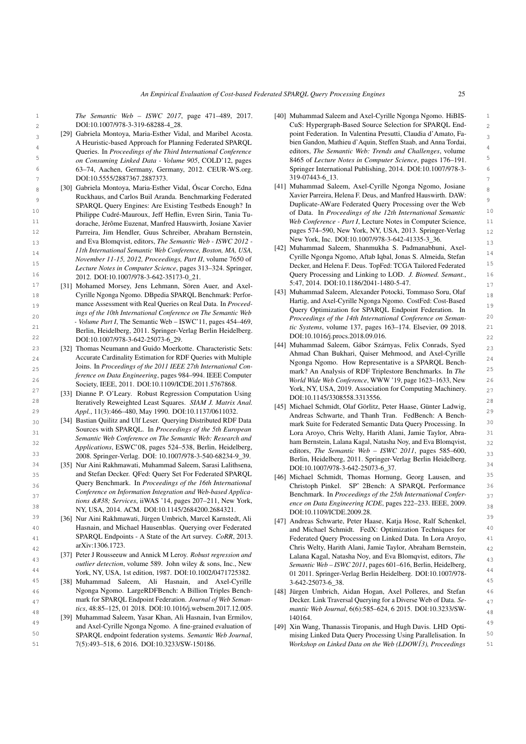<span id="page-24-2"></span>*The Semantic Web – ISWC 2017*, page 471–489, 2017. DOI[:10.1007/978-3-319-68288-4\\_28.](https://doi.org/10.1007/978-3-319-68288-4_28)

- <sup>3</sup> [29] Gabriela Montoya, Maria-Esther Vidal, and Maribel Acosta. <sup>2</sup> point Federation. In Valentina Presutti, Claudia d'Amato, Fa-<sup>4</sup><br>Queries. In Proceedings of the Third International Conference editors, *The Semantic Web: Trends and Challenges*, volume 5 5 *on Consuming Linked Data - Volume 905*, COLD'12, pages 6 6 Springer International Publishing, 2014. DOI[:10.1007/978-3-](https://doi.org/10.1007/978-3-319-07443-6_13) 7 **DOI**[:10.5555/2887367.2887373.](https://dl.acm.org/doi/10.5555/2887367.2887373) **19-07443-6\_13.** 19-07443-6\_13. A Heuristic-based Approach for Planning Federated SPARQL Queries. In *Proceedings of the Third International Conference* 63–74, Aachen, Germany, Germany, 2012. CEUR-WS.org.
- <span id="page-24-9"></span>8 [30] Gabriela Montoya, Maria-Esther Vidal, Óscar Corcho, Edna [41] Muhammad Saleem, Axel-Cyrille Ngonga Ngomo, Josiane 9<br>SPAROL Ouery Engines: Are Existing Testbeds Enough? In Duplicate-AWare Federated Query Processing over the Web 10 10 of Data. In *Proceedings of the 12th International Semantic* 11 dorache. Jérôme Fuzenat, Manfred Hauswirth, Josiane Xavier Web Conference - Part I, Lecture Notes in Computer Science, 11 12 12 Parreira, Jim Hendler, Guus Schreiber, Abraham Bernstein, 13 **and Eva Blomqvist, editors,** *The Semantic Web - ISWC 2012* **- New York, Inc. DOI:10.100//9/8-3-642-41335-5\_36.** 14 14 *11th International Semantic Web Conference, Boston, MA, USA,* 15 15 Decker, and Helena F. Deus. TopFed: TCGA Tailored Federated 16 16 Query Processing and Linking to LOD. *J. Biomed. Semant.*, Ruckhaus, and Carlos Buil Aranda. Benchmarking Federated SPARQL Query Engines: Are Existing Testbeds Enough? In Philippe Cudré-Mauroux, Jeff Heflin, Evren Sirin, Tania Tudorache, Jérôme Euzenat, Manfred Hauswirth, Josiane Xavier *November 11-15, 2012, Proceedings, Part II*, volume 7650 of *Lecture Notes in Computer Science*, pages 313–324. Springer, 2012. DOI[:10.1007/978-3-642-35173-0\\_21.](https://doi.org/10.1007/978-3-642-35173-0_21)
- <span id="page-24-10"></span><span id="page-24-5"></span>17 17 17 17 17 17 17 17 186/2041-1480-5-47. 2014. DOI:10.1186/2041-1480-5-47. 18 Cyrille Ngonga Ngomo. DBpedia SPARQL Benchmark: Perfor- [45] Munammad Saleem, Alexander Potocki, Tommaso Soru, Olar 18 19 19 mance Assessment with Real Queries on Real Data. In *Proceed-*20 *Proceedings of the 14th International Conference on Seman-* <sup>20</sup> *Proceedings of the 14th International Conference on Seman-* <sup>20</sup> 21 21 *tic Systems*, volume 137, pages 163–174. Elsevier, 09 2018. 22 **DOI[:10.1007/978-3-642-25073-6\\_29.](https://doi.org/10.1007/978-3-642-25073-6_29) DOI:10.1016/1.016/1.016/1.procs**.2018.09.016. **22 DOI:10.1007/978-3-642-25073-6\_29. 22** *ings of the 10th International Conference on The Semantic Web - Volume Part I*, The Semantic Web – ISWC'11, pages 454–469, Berlin, Heidelberg, 2011. Springer-Verlag Berlin Heidelberg.
- 23 [32] Thomas Neumann and Guido Moerkotte. Characteristic Sets: [444] William Machines Salectin, Gabot Szamyas, Ferx Comadis, Syca [32] 24 Accurate Cardinality Estimation for RDF Queries with Multiple 24 Accurate Cardinality Estimation for RDF Queries with Multiple <sup>25</sup> <sup>Journ</sup> 1. *Proceedings by the 2011 ICEC 27th International Contract Contract 25* mark? An Analysis of RDF Triplestore Benchmarks. In *The* <sup>25</sup> 26 26 *World Wide Web Conference*, WWW '19, page 1623–1633, New Joins. In *Proceedings of the 2011 IEEE 27th International Conference on Data Engineering*, pages 984–994. IEEE Computer Society, IEEE, 2011. DOI[:10.1109/ICDE.2011.5767868.](https://doi.org/10.1109/ICDE.2011.5767868)
- <span id="page-24-18"></span>28 28 Iteratively Reweighted Least Squares. *SIAM J. Matrix Anal.* [33] Dianne P. O'Leary. Robust Regression Computation Using
- <span id="page-24-4"></span>30 30 [34] Bastian Quilitz and Ulf Leser. Querying Distributed RDF Data 31 31 Lora Aroyo, Chris Welty, Harith Alani, Jamie Taylor, Abra-32 32 ham Bernstein, Lalana Kagal, Natasha Noy, and Eva Blomqvist,  $\frac{33}{2008}$ . Springer-Verlag. DOI: [10.1007/978-3-540-68234-9\\_39.](http://doi.org/10.1007/978-3-540-68234-9_39)  $\frac{33}{2008}$  Retlin Heidelberg. 2011. Springer-Verlag. Retlin Heidelberg. Sources with SPARQL. In *Proceedings of the 5th European Semantic Web Conference on The Semantic Web: Research and Applications*, ESWC'08, pages 524–538, Berlin, Heidelberg,
- <span id="page-24-11"></span>35 35 [46] Michael Schmidt, Thomas Hornung, Georg Lausen, and 36 **State Christoph Pinkel. SP**<sup>2</sup> 2Bench: A SPARQL Performance 36 36 37 37 Benchmark. In *Proceedings of the 25th International Confer*and Stefan Decker. QFed: Query Set For Federated SPARQL Query Benchmark. In *Proceedings of the 16th International Conference on Information Integration and Web-based Applica*tions & Services, iiWAS '14, pages 207-211, New York,
- <span id="page-24-3"></span><span id="page-24-0"></span><sup>39</sup> [36] Nur Aini Rakhmawati, Jürgen Umbrich, Marcel Karnstedt, Ali [47] Andreas Schwarte. Peter Haase. Katia Hose. Ralf Schenkel<sup>39</sup> 40 40 Hasnain, and Michael Hausenblas. Querying over Federated 41 SPARQL Endpoints - A State of the Art survey. CoRR, 2013. Federated Query Processing on Linked Data. In Lora Aroyo, 41 SPARQL Endpoints - A State of the Art survey. *CoRR*, 2013. [arXiv:1306.1723.](http://arxiv.org/abs/1306.1723)
- <span id="page-24-19"></span>43 43 Lalana Kagal, Natasha Noy, and Eva Blomqvist, editors, *The* [37] Peter J Rousseeuw and Annick M Leroy. *Robust regression and outlier detection*, volume 589. John wiley & sons, Inc., New
- <span id="page-24-12"></span>45 45 [38] Muhammad Saleem, Ali Hasnain, and Axel-Cyrille 46 Mgonga Ngomo. LargeRDFBench: A Billion Triples Bench- [48] Jürgen Umbrich, Aidan Hogan, Axel Polleres, and Stefan 46 47 47 mark for SPARQL Endpoint Federation. *Journal of Web Seman-*Ngonga Ngomo. LargeRDFBench: A Billion Triples Bench*tics*, 48:85–125, 01 2018. DOI[:10.1016/j.websem.2017.12.005.](https://doi.org/10.1016/j.websem.2017.12.005)
- <span id="page-24-1"></span>and Axel-Cyrille Ngonga Ngomo. A fine-grained evaluation of [49] Xin Wang, Thanassis Tiropanis, and Hugh Davis. LHD Opti-50 50 SPARQL endpoint federation systems. *Semantic Web Journal*, [39] Muhammad Saleem, Yasar Khan, Ali Hasnain, Ivan Ermilov, and Axel-Cyrille Ngonga Ngomo. A fine-grained evaluation of 7(5):493–518, 6 2016. DOI[:10.3233/SW-150186.](https://doi.org/10.3233/SW-150186)
- 1 The Semantic Web ISWC 2017, page 471–489, 2017. [40] Muhammad Saleem and Axel-Cyrille Ngonga Ngomo. HiBIS-2 **DOI:10.1007/978-3-319-68288-4\_28.** CuS: Hypergraph-Based Source Selection for SPARQL Endpoint Federation. In Valentina Presutti, Claudia d'Amato, Fabien Gandon, Mathieu d'Aquin, Steffen Staab, and Anna Tordai, 8465 of *Lecture Notes in Computer Science*, pages 176–191. [319-07443-6\\_13.](https://doi.org/10.1007/978-3-319-07443-6_13)
	- [41] Muhammad Saleem, Axel-Cyrille Ngonga Ngomo, Josiane Xavier Parreira, Helena F. Deus, and Manfred Hauswirth. DAW: pages 574–590, New York, NY, USA, 2013. Springer-Verlag New York, Inc. DOI[:10.1007/978-3-642-41335-3\\_36.](https://doi.org/10.1007/978-3-642-41335-3_36)
	- [42] Muhammad Saleem, Shanmukha S. Padmanabhuni, Axel-Cyrille Ngonga Ngomo, Aftab Iqbal, Jonas S. Almeida, Stefan 5:47, 2014. DOI[:10.1186/2041-1480-5-47.](https://doi.org/10.1186/2041-1480-5-47)
	- [43] Muhammad Saleem, Alexander Potocki, Tommaso Soru, Olaf Hartig, and Axel-Cyrille Ngonga Ngomo. CostFed: Cost-Based Query Optimization for SPARQL Endpoint Federation. In DOI[:10.1016/j.procs.2018.09.016.](https://doi.org/10.1016/j.procs.2018.09.016)
- <span id="page-24-20"></span><span id="page-24-17"></span>27 21 Dienne D.O'Leery, Polyton Democratic Computation Lising York, NY, USA, 2019. Association for Computing Machinery. 27 [44] Muhammad Saleem, Gábor Szárnyas, Felix Conrads, Syed Ahmad Chan Bukhari, Qaiser Mehmood, and Axel-Cyrille Ngonga Ngomo. How Representative is a SPARQL Bench-DOI[:10.1145/3308558.3313556.](https://doi.org/10.1145/3308558.3313556)
- <span id="page-24-13"></span>29 *Appl.*, 11(3):466–480, May 1990. DOI[:10.1137/0611032.](https://doi.org/10.1137/0611032)  $\frac{34}{1001 \cdot 1007/978.3 - 642.25073.6}$  34<br>[35] Nur Aini Rakhmawati, Muhammad Saleem, Sarasi Lalithsena, [45] Michael Schmidt, Olaf Görlitz, Peter Haase, Günter Ladwig, Andreas Schwarte, and Thanh Tran. FedBench: A Benchmark Suite for Federated Semantic Data Query Processing. In editors, *The Semantic Web – ISWC 2011*, pages 585–600, Berlin, Heidelberg, 2011. Springer-Verlag Berlin Heidelberg. DOI[:10.1007/978-3-642-25073-6\\_37.](https://doi.org/10.1007/978-3-642-25073-6_37)
- <span id="page-24-14"></span>38 138<br>NY, USA, 2014. ACM. DOI[:10.1145/2684200.2684321.](https://doi.org/10.1145/2684200.2684321) DOI:10.1109/ICDE 2009.28 *ence on Data Engineering ICDE*, pages 222–233. IEEE, 2009. DOI[:10.1109/ICDE.2009.28.](https://doi.org/10.1109/ICDE.2009.28)
- 42 42 Chris Welty, Harith Alani, Jamie Taylor, Abraham Bernstein, 44 44 York, NY, USA, 1st edition, 1987. DOI[:10.1002/0471725382.](https://onlinelibrary.wiley.com/doi/book/10.1002/0471725382) [47] Andreas Schwarte, Peter Haase, Katia Hose, Ralf Schenkel, and Michael Schmidt. FedX: Optimization Techniques for *Semantic Web – ISWC 2011*, pages 601–616, Berlin, Heidelberg, 01 2011. Springer-Verlag Berlin Heidelberg. DOI[:10.1007/978-](https://doi.org/10.1007/978-3-642-25073-6_38) [3-642-25073-6\\_38.](https://doi.org/10.1007/978-3-642-25073-6_38)
- <span id="page-24-8"></span>48 48 *mantic Web Journal*, 6(6):585–624, 6 2015. DOI[:10.3233/SW-](https://doi.org/10.3233/SW-140164)Decker. Link Traversal Querying for a Diverse Web of Data. *Se-*[140164.](https://doi.org/10.3233/SW-140164)
- <span id="page-24-6"></span>51 51 *Workshop on Linked Data on the Web (LDOW13), Proceedings ´*mising Linked Data Query Processing Using Parallelisation. In

<span id="page-24-16"></span><span id="page-24-15"></span><span id="page-24-7"></span>